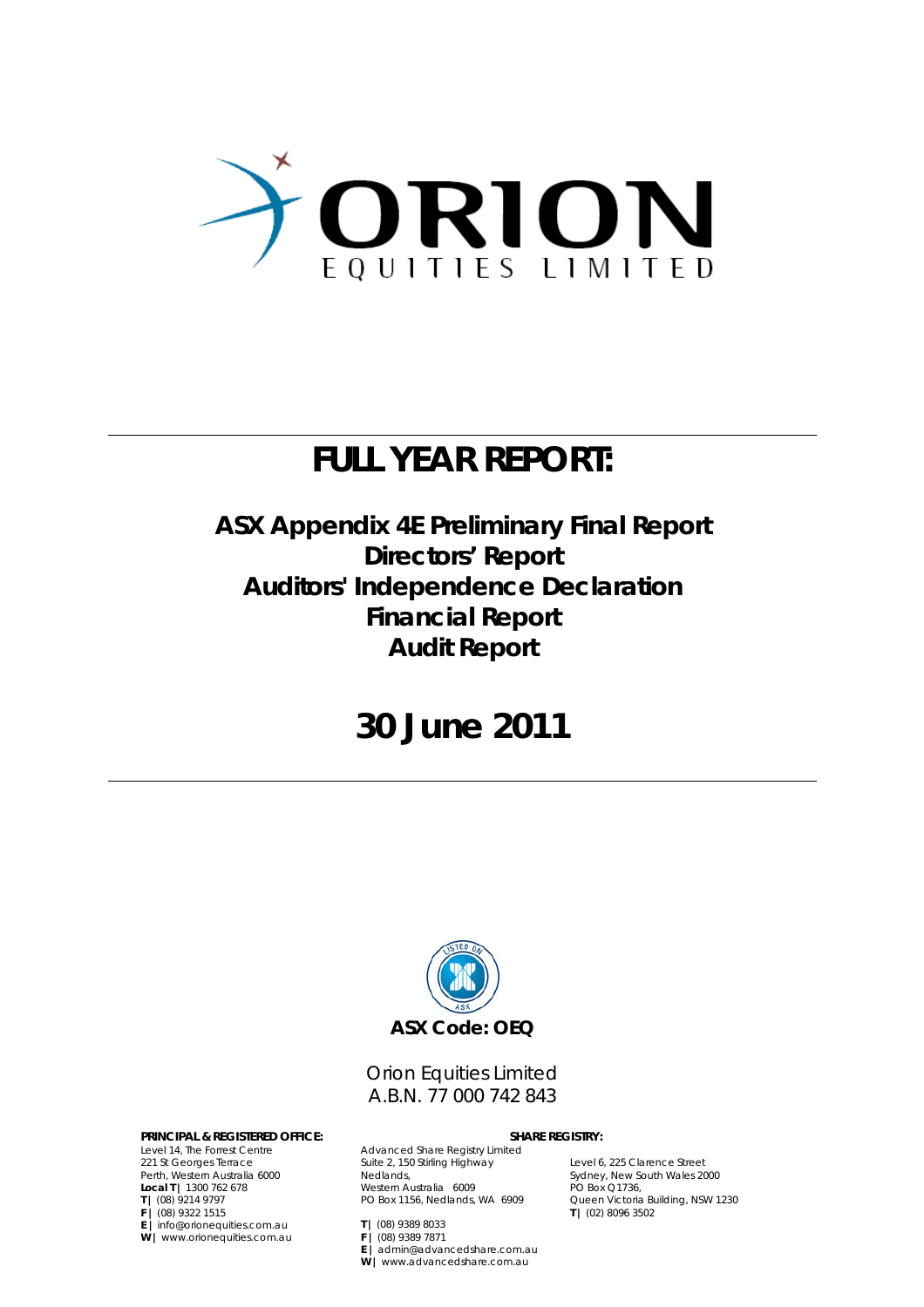

## **FULL YEAR REPORT:**

**ASX Appendix 4E Preliminary Final Report Directors' Report Auditors' Independence Declaration Financial Report Audit Report** 

## **30 June 2011**



Orion Equities Limited A.B.N. 77 000 742 843

#### **PRINCIPAL & REGISTERED OFFICE: SHARE REGISTRY:**

Level 14, The Forrest Centre 221 St Georges Terrace Perth, Western Australia 6000 **Local T |** 1300 762 678 **T |** (08) 9214 9797 **F |** (08) 9322 1515 **E |** info@orionequities.com.au **W |** www.orionequities.com.au

Advanced Share Registry Limited Suite 2, 150 Stirling Highway Nedlands, Western Australia 6009 PO Box 1156, Nedlands, WA 6909

**E |** admin@advancedshare.com.au **W |** www.advancedshare.com.au

**F |** (08) 9389 7871

**T |** (08) 9389 8033

Level 6, 225 Clarence Street Sydney, New South Wales 2000 PO Box Q1736, Queen Victoria Building, NSW 1230 **T |** (02) 8096 3502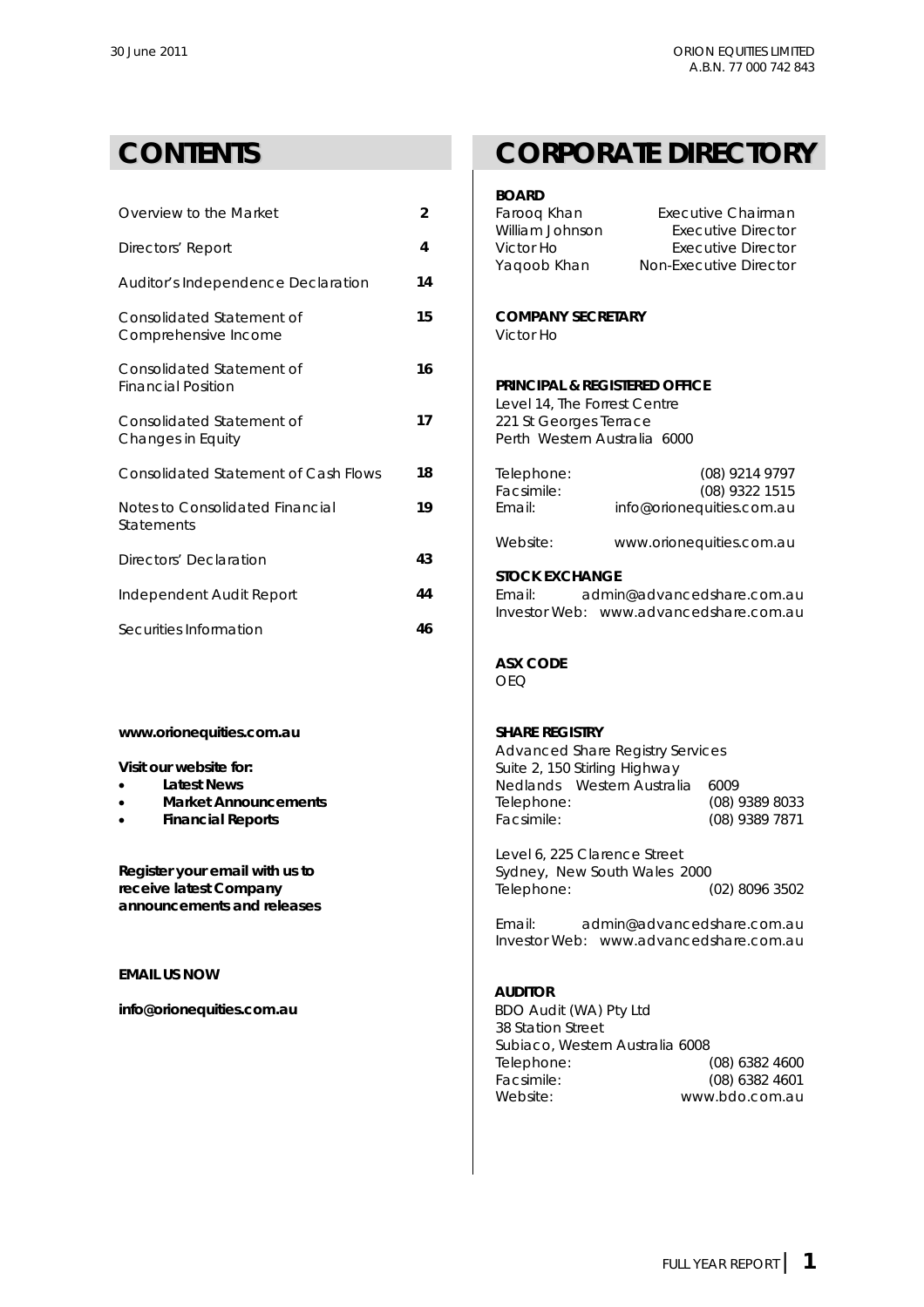| Overview to the Market                                 | $\overline{2}$ | Faroog Khan<br>William Johnson                                                         | Executive Chairman<br><b>Executive Director</b>     |  |
|--------------------------------------------------------|----------------|----------------------------------------------------------------------------------------|-----------------------------------------------------|--|
| Directors' Report                                      | 4              | Victor Ho<br>Yaqoob Khan                                                               | <b>Executive Director</b><br>Non-Executive Director |  |
| Auditor's Independence Declaration                     | 14             |                                                                                        |                                                     |  |
| Consolidated Statement of<br>Comprehensive Income      | 15             | <b>COMPANY SECRETARY</b><br>Victor Ho                                                  |                                                     |  |
| Consolidated Statement of<br><b>Financial Position</b> | 16             | <b>PRINCIPAL &amp; REGISTERED OFFICE</b>                                               |                                                     |  |
| Consolidated Statement of<br>Changes in Equity         | 17             | Level 14, The Forrest Centre<br>221 St Georges Terrace<br>Perth Western Australia 6000 |                                                     |  |
| Consolidated Statement of Cash Flows                   | 18             | Telephone:<br>Facsimile:                                                               | (08) 9214 9797<br>(08) 9322 1515                    |  |
| Notes to Consolidated Financial<br><b>Statements</b>   | 19             | Email:                                                                                 | info@orionequities.com.au                           |  |
| Directors' Declaration                                 | 43             | Website:                                                                               | www.orionequities.com.au                            |  |
|                                                        |                | <b>STOCK EXCHANGE</b>                                                                  |                                                     |  |
| Independent Audit Report                               | 44             | Email:                                                                                 | admin@advancedshare.com.au                          |  |
| Securities Information                                 | 46             |                                                                                        | Investor Web: www.advancedshare.com.au              |  |
|                                                        |                |                                                                                        |                                                     |  |

- **.** Latest News
- **•** Market Announcements
- **•** Financial Reports

## **CONTENTS CORPORATE DIRECTORY**

### **BOARD**

| Overview to the Market                                                                                                                         | $\overline{2}$ | Farooq Khan<br>William Johnson                                                                                                           | <b>Executive Chairman</b><br><b>Executive Director</b>               |
|------------------------------------------------------------------------------------------------------------------------------------------------|----------------|------------------------------------------------------------------------------------------------------------------------------------------|----------------------------------------------------------------------|
| Directors' Report                                                                                                                              | 4              | Victor Ho<br>Yaqoob Khan                                                                                                                 | <b>Executive Director</b><br>Non-Executive Director                  |
| Auditor's Independence Declaration                                                                                                             | 14             |                                                                                                                                          |                                                                      |
| Consolidated Statement of<br>Comprehensive Income                                                                                              | 15             | <b>COMPANY SECRETARY</b><br>Victor Ho                                                                                                    |                                                                      |
| Consolidated Statement of<br><b>Financial Position</b>                                                                                         | 16             | <b>PRINCIPAL &amp; REGISTERED OFFICE</b><br>Level 14, The Forrest Centre                                                                 |                                                                      |
| Consolidated Statement of<br>Changes in Equity                                                                                                 | 17             | 221 St Georges Terrace<br>Perth Western Australia 6000                                                                                   |                                                                      |
| Consolidated Statement of Cash Flows                                                                                                           | 18             | Telephone:<br>Facsimile:                                                                                                                 | (08) 9214 9797                                                       |
| Notes to Consolidated Financial<br><b>Statements</b>                                                                                           | 19             | Email:                                                                                                                                   | (08) 9322 1515<br>info@orionequities.com.au                          |
| Directors' Declaration                                                                                                                         | 43             | Website:                                                                                                                                 | www.orionequities.com.au                                             |
| Independent Audit Report                                                                                                                       | 44             | <b>STOCK EXCHANGE</b><br>Email:                                                                                                          | admin@advancedshare.com.au                                           |
| Securities Information                                                                                                                         | 46             |                                                                                                                                          | Investor Web: www.advancedshare.com.au                               |
|                                                                                                                                                |                | <b>ASX CODE</b><br><b>OEQ</b>                                                                                                            |                                                                      |
| www.orionequities.com.au                                                                                                                       |                | <b>SHARE REGISTRY</b><br><b>Advanced Share Registry Services</b>                                                                         |                                                                      |
| Visit our website for:<br><b>Latest News</b><br>$\bullet$<br><b>Market Announcements</b><br>$\bullet$<br><b>Financial Reports</b><br>$\bullet$ |                | Suite 2, 150 Stirling Highway<br>Nedlands Western Australia<br>Telephone:<br>Facsimile:                                                  | 6009<br>$(08)$ 9389 8033<br>(08) 9389 7871                           |
| Register your email with us to<br>receive latest Company<br>announcements and releases                                                         |                | Level 6, 225 Clarence Street<br>Sydney, New South Wales 2000<br>Telephone:                                                               | $(02)$ 8096 3502                                                     |
|                                                                                                                                                |                | Email:                                                                                                                                   | admin@advancedshare.com.au<br>Investor Web: www.advancedshare.com.au |
| <b>EMAIL US NOW</b>                                                                                                                            |                |                                                                                                                                          |                                                                      |
| info@orionequities.com.au                                                                                                                      |                | <b>AUDITOR</b><br>BDO Audit (WA) Pty Ltd<br>38 Station Street<br>Subiaco, Western Australia 6008<br>Telephone:<br>Facsimile:<br>Website: | $(08)$ 6382 4600<br>$(08)$ 6382 4601<br>www.bdo.com.au               |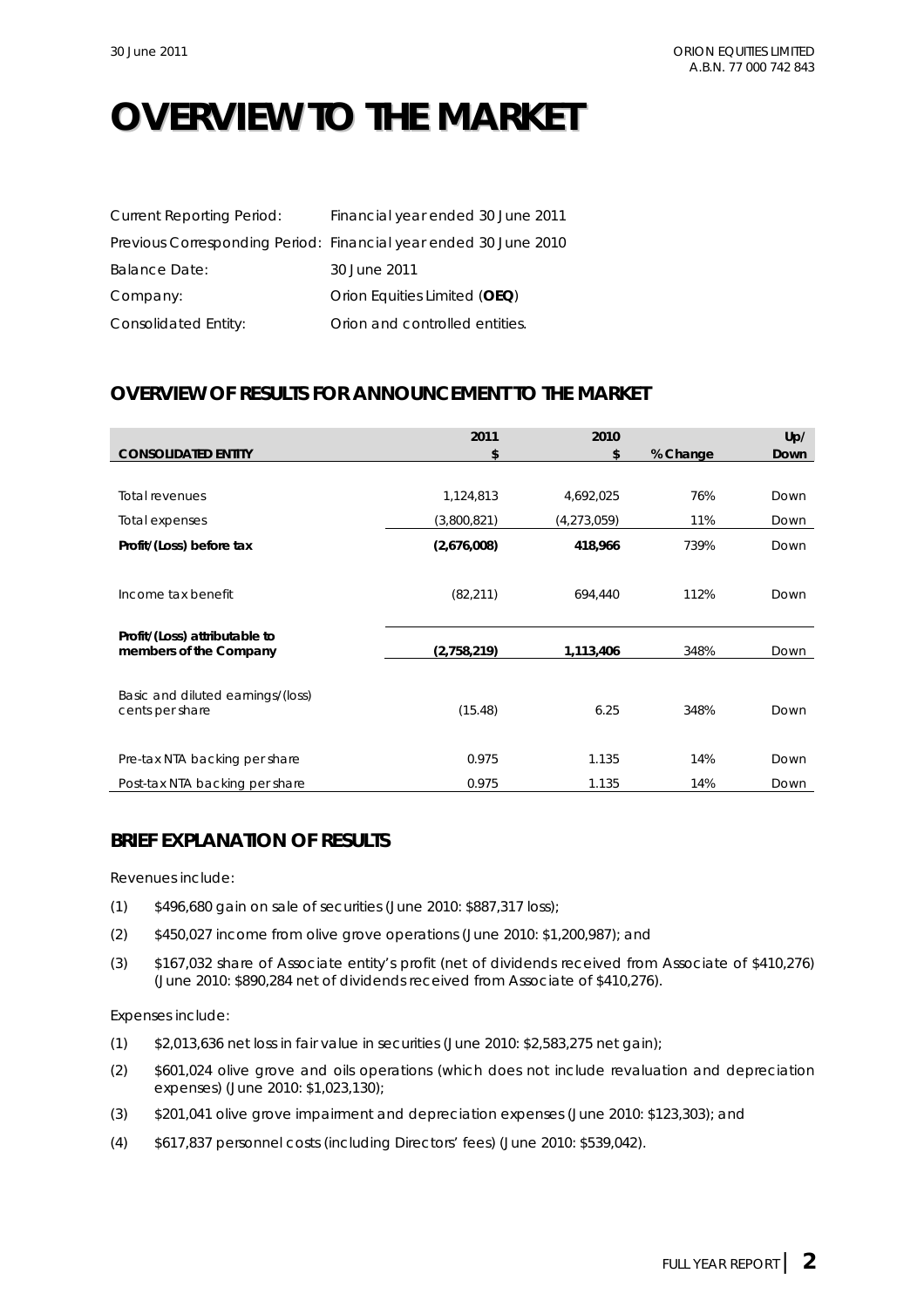## **OVERVIEW TO THE MARKET**

| <b>Current Reporting Period:</b> | Financial year ended 30 June 2011                                |
|----------------------------------|------------------------------------------------------------------|
|                                  | Previous Corresponding Period: Financial year ended 30 June 2010 |
| Balance Date:                    | 30 June 2011                                                     |
| Company:                         | Orion Equities Limited (OEQ)                                     |
| Consolidated Entity:             | Orion and controlled entities.                                   |

## **OVERVIEW OF RESULTS FOR ANNOUNCEMENT TO THE MARKET**

|                                                         | 2011        | 2010        |          | Up/  |
|---------------------------------------------------------|-------------|-------------|----------|------|
| <b>CONSOLIDATED ENTITY</b>                              | \$          | \$          | % Change | Down |
|                                                         |             |             |          |      |
| <b>Total revenues</b>                                   | 1,124,813   | 4,692,025   | 76%      | Down |
| Total expenses                                          | (3,800,821) | (4,273,059) | 11%      | Down |
| Profit/(Loss) before tax                                | (2,676,008) | 418,966     | 739%     | Down |
| Income tax benefit                                      | (82, 211)   | 694,440     | 112%     | Down |
| Profit/(Loss) attributable to<br>members of the Company | (2,758,219) | 1,113,406   | 348%     | Down |
| Basic and diluted earnings/(loss)<br>cents per share    | (15.48)     | 6.25        | 348%     | Down |
| Pre-tax NTA backing per share                           | 0.975       | 1.135       | 14%      | Down |
| Post-tax NTA backing per share                          | 0.975       | 1.135       | 14%      | Down |

## **BRIEF EXPLANATION OF RESULTS**

Revenues include:

- (1) \$496,680 gain on sale of securities (June 2010: \$887,317 loss);
- (2) \$450,027 income from olive grove operations (June 2010: \$1,200,987); and
- (3) \$167,032 share of Associate entity's profit (net of dividends received from Associate of \$410,276) (June 2010: \$890,284 net of dividends received from Associate of \$410,276).

Expenses include:

- (1) \$2,013,636 net loss in fair value in securities (June 2010: \$2,583,275 net gain);
- (2) \$601,024 olive grove and oils operations (which does not include revaluation and depreciation expenses) (June 2010: \$1,023,130);
- (3) \$201,041 olive grove impairment and depreciation expenses (June 2010: \$123,303); and
- (4) \$617,837 personnel costs (including Directors' fees) (June 2010: \$539,042).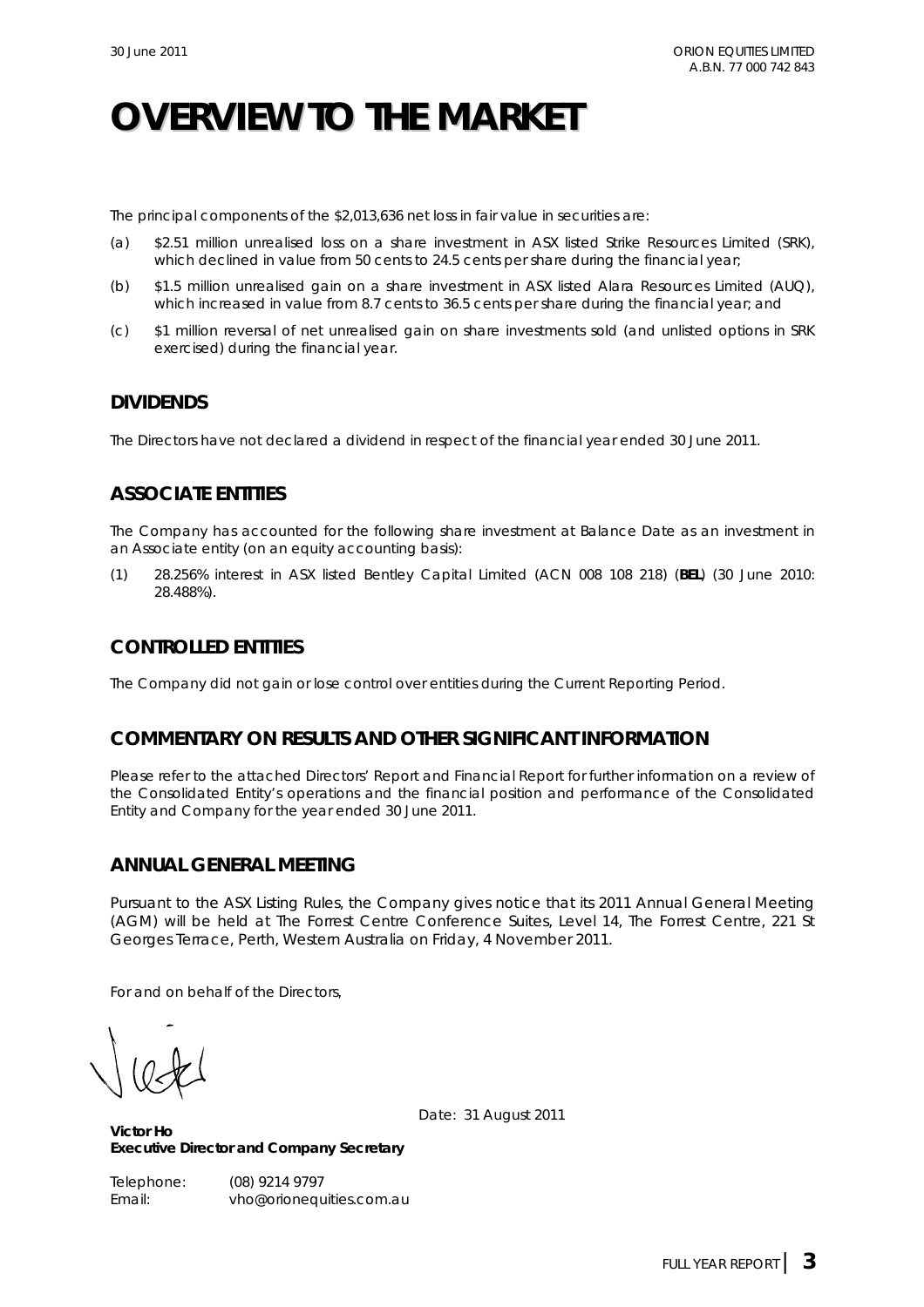## **OVERVIEW TO THE MARKET**

The principal components of the \$2,013,636 net loss in fair value in securities are:

- (a) \$2.51 million unrealised loss on a share investment in ASX listed Strike Resources Limited (SRK), which declined in value from 50 cents to 24.5 cents per share during the financial year;
- (b) \$1.5 million unrealised gain on a share investment in ASX listed Alara Resources Limited (AUQ), which increased in value from 8.7 cents to 36.5 cents per share during the financial year; and
- (c) \$1 million reversal of net unrealised gain on share investments sold (and unlisted options in SRK exercised) during the financial year.

## **DIVIDENDS**

The Directors have not declared a dividend in respect of the financial year ended 30 June 2011.

## **ASSOCIATE ENTITIES**

The Company has accounted for the following share investment at Balance Date as an investment in an Associate entity (on an equity accounting basis):

(1) 28.256% interest in ASX listed Bentley Capital Limited (ACN 008 108 218) (**BEL**) (30 June 2010: 28.488%).

## **CONTROLLED ENTITIES**

The Company did not gain or lose control over entities during the Current Reporting Period.

## **COMMENTARY ON RESULTS AND OTHER SIGNIFICANT INFORMATION**

Please refer to the attached Directors' Report and Financial Report for further information on a review of the Consolidated Entity's operations and the financial position and performance of the Consolidated Entity and Company for the year ended 30 June 2011.

## **ANNUAL GENERAL MEETING**

Pursuant to the ASX Listing Rules, the Company gives notice that its 2011 Annual General Meeting (AGM) will be held at The Forrest Centre Conference Suites, Level 14, The Forrest Centre, 221 St Georges Terrace, Perth, Western Australia on Friday, 4 November 2011.

For and on behalf of the Directors,

Date: 31 August 2011

**Victor Ho Executive Director and Company Secretary** 

Telephone: (08) 9214 9797 Email: vho@orionequities.com.au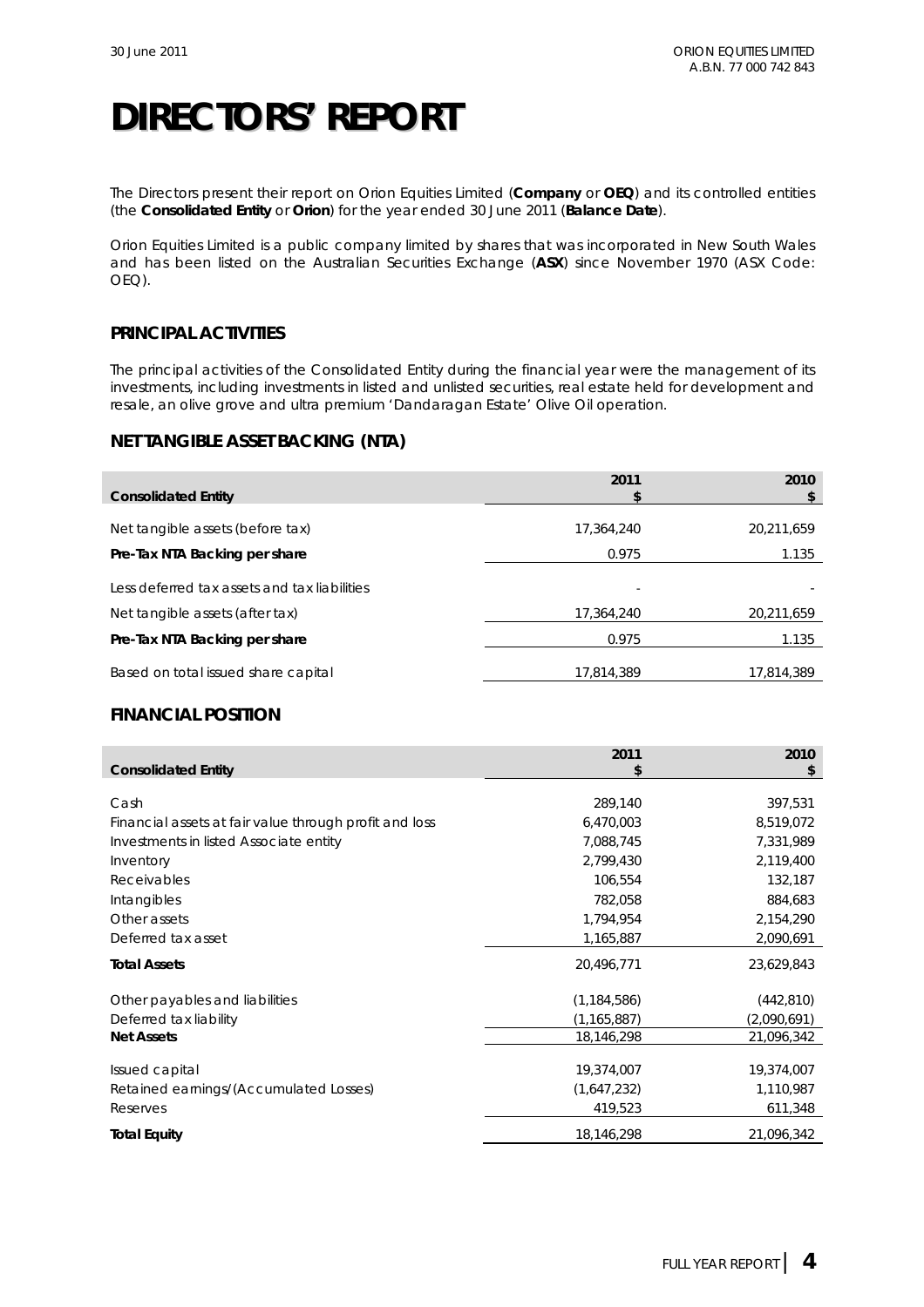The Directors present their report on Orion Equities Limited (**Company** or **OEQ**) and its controlled entities (the **Consolidated Entity** or **Orion**) for the year ended 30 June 2011 (**Balance Date**).

Orion Equities Limited is a public company limited by shares that was incorporated in New South Wales and has been listed on the Australian Securities Exchange (**ASX**) since November 1970 (ASX Code: OEQ).

### **PRINCIPAL ACTIVITIES**

The principal activities of the Consolidated Entity during the financial year were the management of its investments, including investments in listed and unlisted securities, real estate held for development and resale, an olive grove and ultra premium 'Dandaragan Estate' Olive Oil operation.

## **NET TANGIBLE ASSET BACKING (NTA)**

| <b>Consolidated Entity</b>                   | 2011       | 2010       |
|----------------------------------------------|------------|------------|
| Net tangible assets (before tax)             | 17,364,240 | 20,211,659 |
| Pre-Tax NTA Backing per share                | 0.975      | 1.135      |
| Less deferred tax assets and tax liabilities |            |            |
| Net tangible assets (after tax)              | 17,364,240 | 20,211,659 |
| Pre-Tax NTA Backing per share                | 0.975      | 1.135      |
| Based on total issued share capital          | 17.814.389 | 17.814.389 |

### **FINANCIAL POSITION**

|                                                        | 2011          | 2010        |
|--------------------------------------------------------|---------------|-------------|
| <b>Consolidated Entity</b>                             | S             | \$          |
|                                                        |               |             |
| Cash                                                   | 289,140       | 397,531     |
| Financial assets at fair value through profit and loss | 6,470,003     | 8,519,072   |
| Investments in listed Associate entity                 | 7,088,745     | 7,331,989   |
| Inventory                                              | 2,799,430     | 2,119,400   |
| Receivables                                            | 106,554       | 132,187     |
| Intangibles                                            | 782,058       | 884,683     |
| Other assets                                           | 1,794,954     | 2,154,290   |
| Deferred tax asset                                     | 1,165,887     | 2,090,691   |
| <b>Total Assets</b>                                    | 20,496,771    | 23,629,843  |
| Other payables and liabilities                         | (1, 184, 586) | (442, 810)  |
| Deferred tax liability                                 | (1, 165, 887) | (2,090,691) |
| <b>Net Assets</b>                                      | 18,146,298    | 21,096,342  |
|                                                        |               |             |
| Issued capital                                         | 19,374,007    | 19,374,007  |
| Retained earnings/(Accumulated Losses)                 | (1,647,232)   | 1,110,987   |
| Reserves                                               | 419,523       | 611,348     |
| <b>Total Equity</b>                                    | 18,146,298    | 21,096,342  |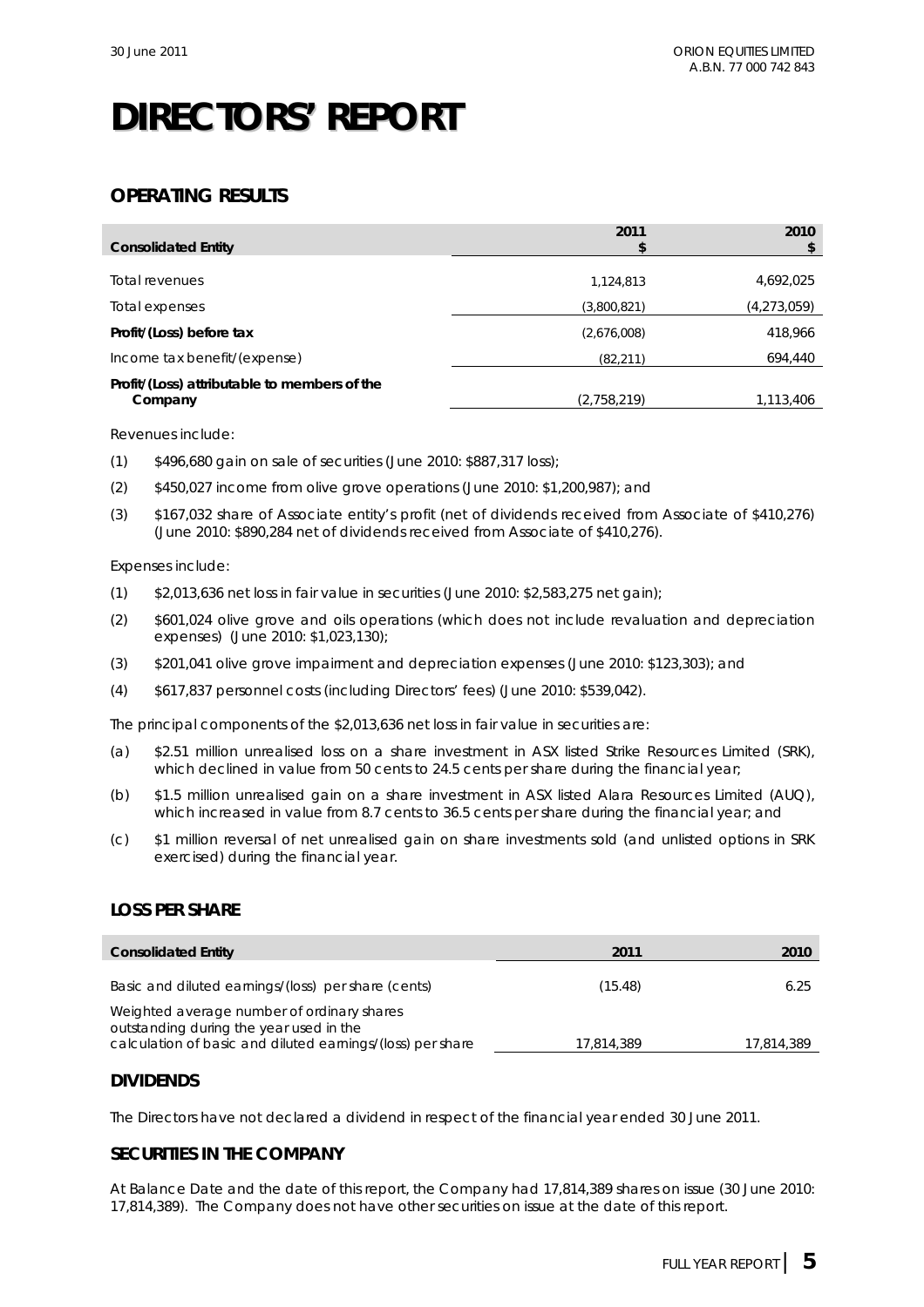## **OPERATING RESULTS**

| <b>Consolidated Entity</b>                              | 2011        | 2010        |
|---------------------------------------------------------|-------------|-------------|
| Total revenues                                          | 1,124,813   | 4,692,025   |
| Total expenses                                          | (3,800,821) | (4,273,059) |
| Profit/(Loss) before tax                                | (2,676,008) | 418,966     |
| Income tax benefit/(expense)                            | (82, 211)   | 694,440     |
| Profit/(Loss) attributable to members of the<br>Company | (2,758,219) | 1,113,406   |

Revenues include:

- (1) \$496,680 gain on sale of securities (June 2010: \$887,317 loss);
- (2) \$450,027 income from olive grove operations (June 2010: \$1,200,987); and
- (3) \$167,032 share of Associate entity's profit (net of dividends received from Associate of \$410,276) (June 2010: \$890,284 net of dividends received from Associate of \$410,276).

#### Expenses include:

- (1) \$2,013,636 net loss in fair value in securities (June 2010: \$2,583,275 net gain);
- (2) \$601,024 olive grove and oils operations (which does not include revaluation and depreciation expenses) (June 2010: \$1,023,130);
- (3) \$201,041 olive grove impairment and depreciation expenses (June 2010: \$123,303); and
- (4) \$617,837 personnel costs (including Directors' fees) (June 2010: \$539,042).

The principal components of the \$2,013,636 net loss in fair value in securities are:

- (a) \$2.51 million unrealised loss on a share investment in ASX listed Strike Resources Limited (SRK), which declined in value from 50 cents to 24.5 cents per share during the financial year;
- (b) \$1.5 million unrealised gain on a share investment in ASX listed Alara Resources Limited (AUQ), which increased in value from 8.7 cents to 36.5 cents per share during the financial year; and
- (c) \$1 million reversal of net unrealised gain on share investments sold (and unlisted options in SRK exercised) during the financial year.

### **LOSS PER SHARE**

| <b>Consolidated Entity</b>                                                                                                                          | 2011       | 2010       |
|-----------------------------------------------------------------------------------------------------------------------------------------------------|------------|------------|
| Basic and diluted earnings/(loss) per share (cents)                                                                                                 | (15.48)    | 6.25       |
| Weighted average number of ordinary shares<br>outstanding during the year used in the<br>calculation of basic and diluted earnings/(loss) per share | 17.814.389 | 17,814,389 |

### **DIVIDENDS**

The Directors have not declared a dividend in respect of the financial year ended 30 June 2011.

## **SECURITIES IN THE COMPANY**

At Balance Date and the date of this report, the Company had 17,814,389 shares on issue (30 June 2010: 17,814,389). The Company does not have other securities on issue at the date of this report.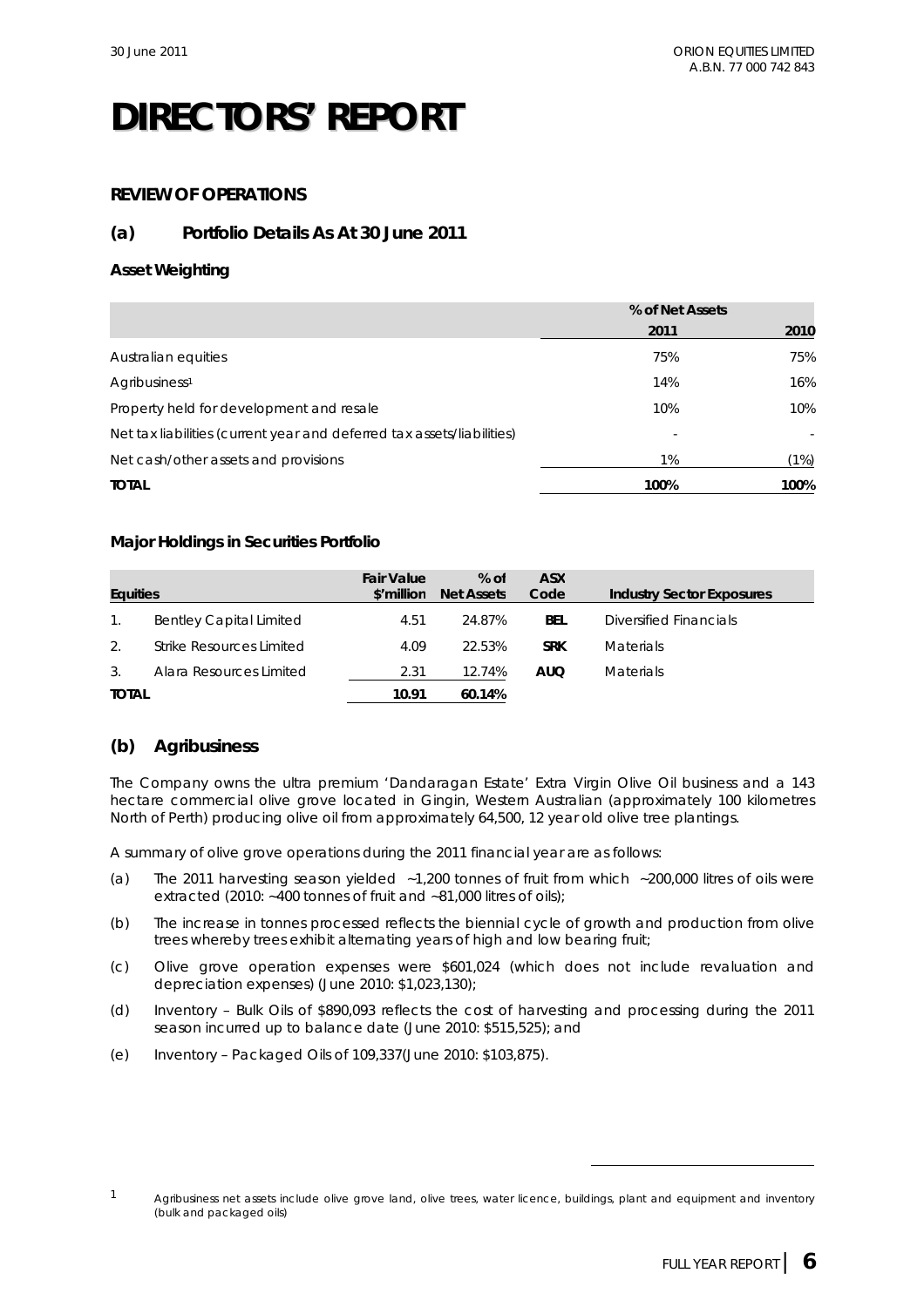## **REVIEW OF OPERATIONS**

## **(a) Portfolio Details As At 30 June 2011**

### **Asset Weighting**

|                                                                        | % of Net Assets |      |
|------------------------------------------------------------------------|-----------------|------|
|                                                                        | 2011            | 2010 |
| Australian equities                                                    | 75%             | 75%  |
| Agribusiness <sup>1</sup>                                              | 14%             | 16%  |
| Property held for development and resale                               | 10%             | 10%  |
| Net tax liabilities (current year and deferred tax assets/liabilities) |                 |      |
| Net cash/other assets and provisions                                   | 1%              | (1%) |
| <b>TOTAL</b>                                                           | 100%            | 100% |

### **Major Holdings in Securities Portfolio**

| <b>Equities</b> |                                | <b>Fair Value</b><br>\$'million | $%$ of<br><b>Net Assets</b> | <b>ASX</b><br>Code | <b>Industry Sector Exposures</b> |
|-----------------|--------------------------------|---------------------------------|-----------------------------|--------------------|----------------------------------|
| $1_{\cdot}$     | <b>Bentley Capital Limited</b> | 4.51                            | 24.87%                      | <b>BEL</b>         | Diversified Financials           |
| 2.              | Strike Resources Limited       | 4.09                            | 22.53%                      | <b>SRK</b>         | <b>Materials</b>                 |
| 3 <sub>1</sub>  | Alara Resources Limited        | 2.31                            | 12.74%                      | <b>AUQ</b>         | <b>Materials</b>                 |
| <b>TOTAL</b>    |                                | 10.91                           | 60.14%                      |                    |                                  |

## **(b) Agribusiness**

The Company owns the ultra premium 'Dandaragan Estate' Extra Virgin Olive Oil business and a 143 hectare commercial olive grove located in Gingin, Western Australian (approximately 100 kilometres North of Perth) producing olive oil from approximately 64,500, 12 year old olive tree plantings.

A summary of olive grove operations during the 2011 financial year are as follows:

- (a) The 2011 harvesting season yielded ~1,200 tonnes of fruit from which ~200,000 litres of oils were extracted (2010: ~400 tonnes of fruit and ~81,000 litres of oils);
- (b) The increase in tonnes processed reflects the biennial cycle of growth and production from olive trees whereby trees exhibit alternating years of high and low bearing fruit;
- (c) Olive grove operation expenses were \$601,024 (which does not include revaluation and depreciation expenses) (June 2010: \$1,023,130);
- (d) Inventory Bulk Oils of \$890,093 reflects the cost of harvesting and processing during the 2011 season incurred up to balance date (June 2010: \$515,525); and
- (e) Inventory Packaged Oils of 109,337(June 2010: \$103,875).

 $\overline{a}$ 

<sup>1</sup> Agribusiness net assets include olive grove land, olive trees, water licence, buildings, plant and equipment and inventory (bulk and packaged oils)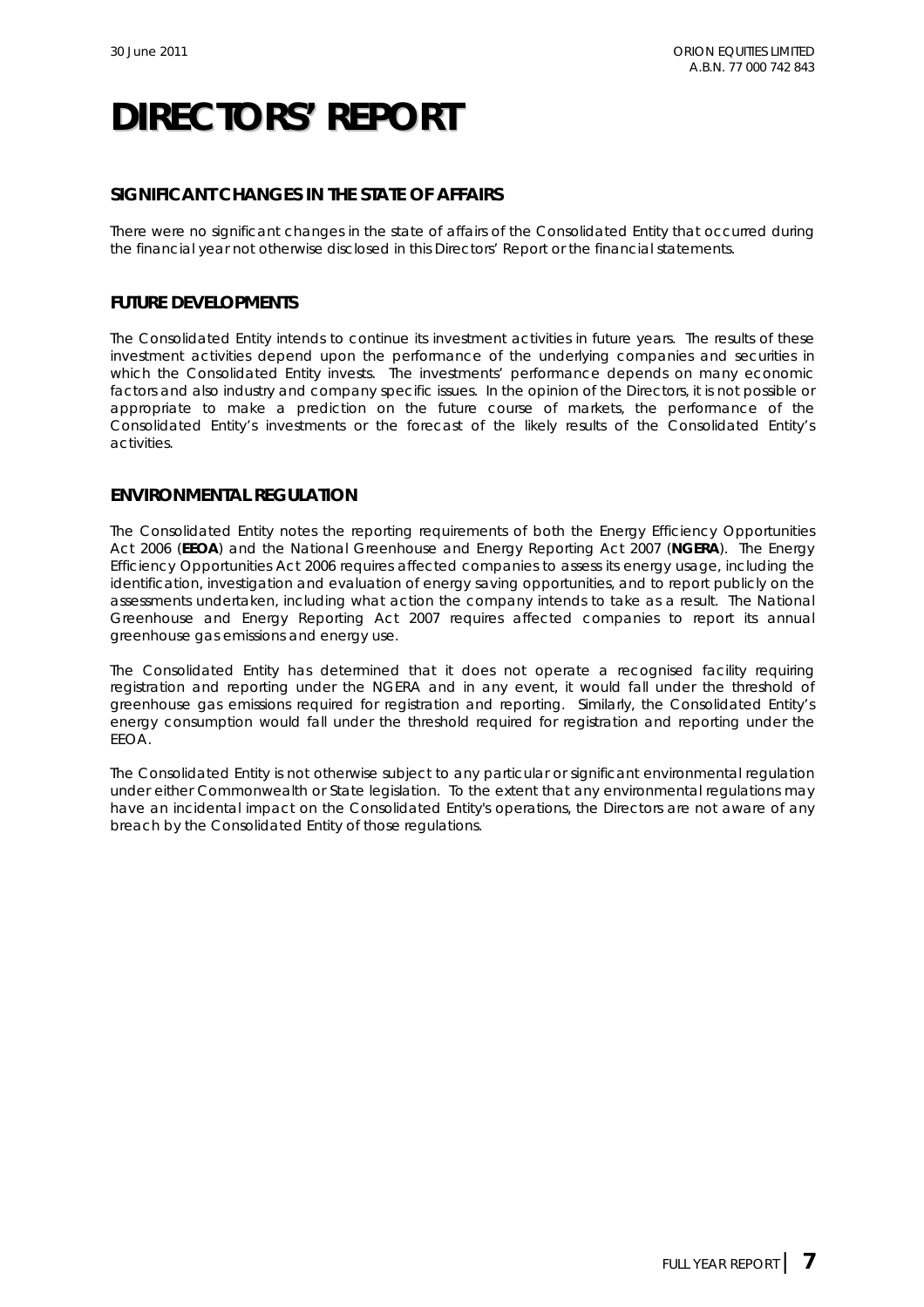## **SIGNIFICANT CHANGES IN THE STATE OF AFFAIRS**

There were no significant changes in the state of affairs of the Consolidated Entity that occurred during the financial year not otherwise disclosed in this Directors' Report or the financial statements.

### **FUTURE DEVELOPMENTS**

The Consolidated Entity intends to continue its investment activities in future years. The results of these investment activities depend upon the performance of the underlying companies and securities in which the Consolidated Entity invests. The investments' performance depends on many economic factors and also industry and company specific issues. In the opinion of the Directors, it is not possible or appropriate to make a prediction on the future course of markets, the performance of the Consolidated Entity's investments or the forecast of the likely results of the Consolidated Entity's activities.

### **ENVIRONMENTAL REGULATION**

The Consolidated Entity notes the reporting requirements of both the *Energy Efficiency Opportunities Act 2006* (**EEOA**) and the *National Greenhouse and Energy Reporting Act 2007* (**NGERA**).The *Energy Efficiency Opportunities Act 2006* requires affected companies to assess its energy usage, including the identification, investigation and evaluation of energy saving opportunities, and to report publicly on the assessments undertaken, including what action the company intends to take as a result. The *National Greenhouse and Energy Reporting Act 2007* requires affected companies to report its annual greenhouse gas emissions and energy use.

The Consolidated Entity has determined that it does not operate a recognised facility requiring registration and reporting under the NGERA and in any event, it would fall under the threshold of greenhouse gas emissions required for registration and reporting. Similarly, the Consolidated Entity's energy consumption would fall under the threshold required for registration and reporting under the EEOA.

The Consolidated Entity is not otherwise subject to any particular or significant environmental regulation under either Commonwealth or State legislation. To the extent that any environmental regulations may have an incidental impact on the Consolidated Entity's operations, the Directors are not aware of any breach by the Consolidated Entity of those regulations.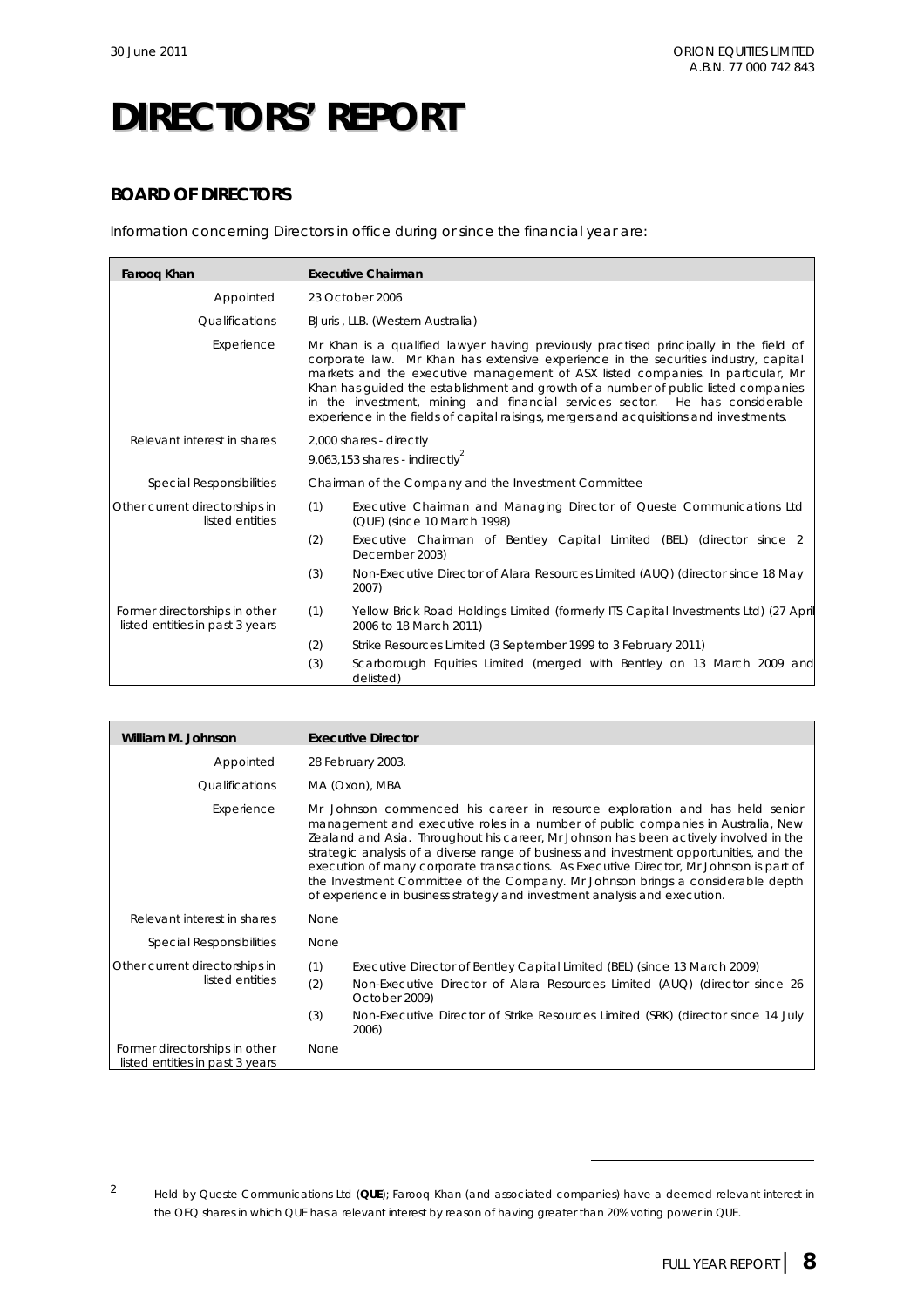## **BOARD OF DIRECTORS**

Information concerning Directors in office during or since the financial year are:

| Faroog Khan                                                      | <b>Executive Chairman</b>                                                                                                                                                                                                                                                                                                                                                                                                                                                                                                         |                                                                                                               |  |  |
|------------------------------------------------------------------|-----------------------------------------------------------------------------------------------------------------------------------------------------------------------------------------------------------------------------------------------------------------------------------------------------------------------------------------------------------------------------------------------------------------------------------------------------------------------------------------------------------------------------------|---------------------------------------------------------------------------------------------------------------|--|--|
| Appointed                                                        | 23 October 2006                                                                                                                                                                                                                                                                                                                                                                                                                                                                                                                   |                                                                                                               |  |  |
| Qualifications                                                   |                                                                                                                                                                                                                                                                                                                                                                                                                                                                                                                                   | BJuris, LLB. (Western Australia)                                                                              |  |  |
| Experience                                                       | Mr Khan is a qualified lawyer having previously practised principally in the field of<br>corporate law. Mr Khan has extensive experience in the securities industry, capital<br>markets and the executive management of ASX listed companies. In particular, Mr<br>Khan has guided the establishment and growth of a number of public listed companies<br>in the investment, mining and financial services sector. He has considerable<br>experience in the fields of capital raisings, mergers and acquisitions and investments. |                                                                                                               |  |  |
| Relevant interest in shares                                      | 2,000 shares - directly<br>9,063,153 shares - indirectly <sup>2</sup>                                                                                                                                                                                                                                                                                                                                                                                                                                                             |                                                                                                               |  |  |
| Special Responsibilities                                         | Chairman of the Company and the Investment Committee                                                                                                                                                                                                                                                                                                                                                                                                                                                                              |                                                                                                               |  |  |
| Other current directorships in<br>listed entities                | (1)                                                                                                                                                                                                                                                                                                                                                                                                                                                                                                                               | Executive Chairman and Managing Director of Queste Communications Ltd<br>(QUE) (since 10 March 1998)          |  |  |
|                                                                  | (2)                                                                                                                                                                                                                                                                                                                                                                                                                                                                                                                               | Executive Chairman of Bentley Capital Limited (BEL) (director since 2<br>December 2003)                       |  |  |
|                                                                  | (3)                                                                                                                                                                                                                                                                                                                                                                                                                                                                                                                               | Non-Executive Director of Alara Resources Limited (AUQ) (director since 18 May<br>2007)                       |  |  |
| Former directorships in other<br>listed entities in past 3 years | (1)                                                                                                                                                                                                                                                                                                                                                                                                                                                                                                                               | Yellow Brick Road Holdings Limited (formerly ITS Capital Investments Ltd) (27 April<br>2006 to 18 March 2011) |  |  |
|                                                                  | (2)                                                                                                                                                                                                                                                                                                                                                                                                                                                                                                                               | Strike Resources Limited (3 September 1999 to 3 February 2011)                                                |  |  |
|                                                                  | (3)                                                                                                                                                                                                                                                                                                                                                                                                                                                                                                                               | Scarborough Equities Limited (merged with Bentley on 13 March 2009 and<br>delisted)                           |  |  |

| William M. Johnson                                               | <b>Executive Director</b>                                                                                                                                                                                                                                                                                                                                                                                                                                                                                                                                                                                     |
|------------------------------------------------------------------|---------------------------------------------------------------------------------------------------------------------------------------------------------------------------------------------------------------------------------------------------------------------------------------------------------------------------------------------------------------------------------------------------------------------------------------------------------------------------------------------------------------------------------------------------------------------------------------------------------------|
| Appointed                                                        | 28 February 2003.                                                                                                                                                                                                                                                                                                                                                                                                                                                                                                                                                                                             |
| <i><u><b>Oualifications</b></u></i>                              | MA (Oxon), MBA                                                                                                                                                                                                                                                                                                                                                                                                                                                                                                                                                                                                |
| Experience                                                       | Mr Johnson commenced his career in resource exploration and has held senior<br>management and executive roles in a number of public companies in Australia, New<br>Zealand and Asia. Throughout his career, Mr Johnson has been actively involved in the<br>strategic analysis of a diverse range of business and investment opportunities, and the<br>execution of many corporate transactions. As Executive Director, Mr Johnson is part of<br>the Investment Committee of the Company. Mr Johnson brings a considerable depth<br>of experience in business strategy and investment analysis and execution. |
| Relevant interest in shares                                      | <b>None</b>                                                                                                                                                                                                                                                                                                                                                                                                                                                                                                                                                                                                   |
| Special Responsibilities                                         | None                                                                                                                                                                                                                                                                                                                                                                                                                                                                                                                                                                                                          |
| Other current directorships in<br>listed entities                | (1)<br>Executive Director of Bentley Capital Limited (BEL) (since 13 March 2009)<br>(2)<br>Non-Executive Director of Alara Resources Limited (AUQ) (director since 26<br>October 2009)<br>(3)<br>Non-Executive Director of Strike Resources Limited (SRK) (director since 14 July<br>2006)                                                                                                                                                                                                                                                                                                                    |
| Former directorships in other<br>listed entities in past 3 years | <b>None</b>                                                                                                                                                                                                                                                                                                                                                                                                                                                                                                                                                                                                   |

 $\overline{a}$ 

<sup>2</sup> Held by Queste Communications Ltd (**QUE**); Farooq Khan (and associated companies) have a deemed relevant interest in the OEQ shares in which QUE has a relevant interest by reason of having greater than 20% voting power in QUE.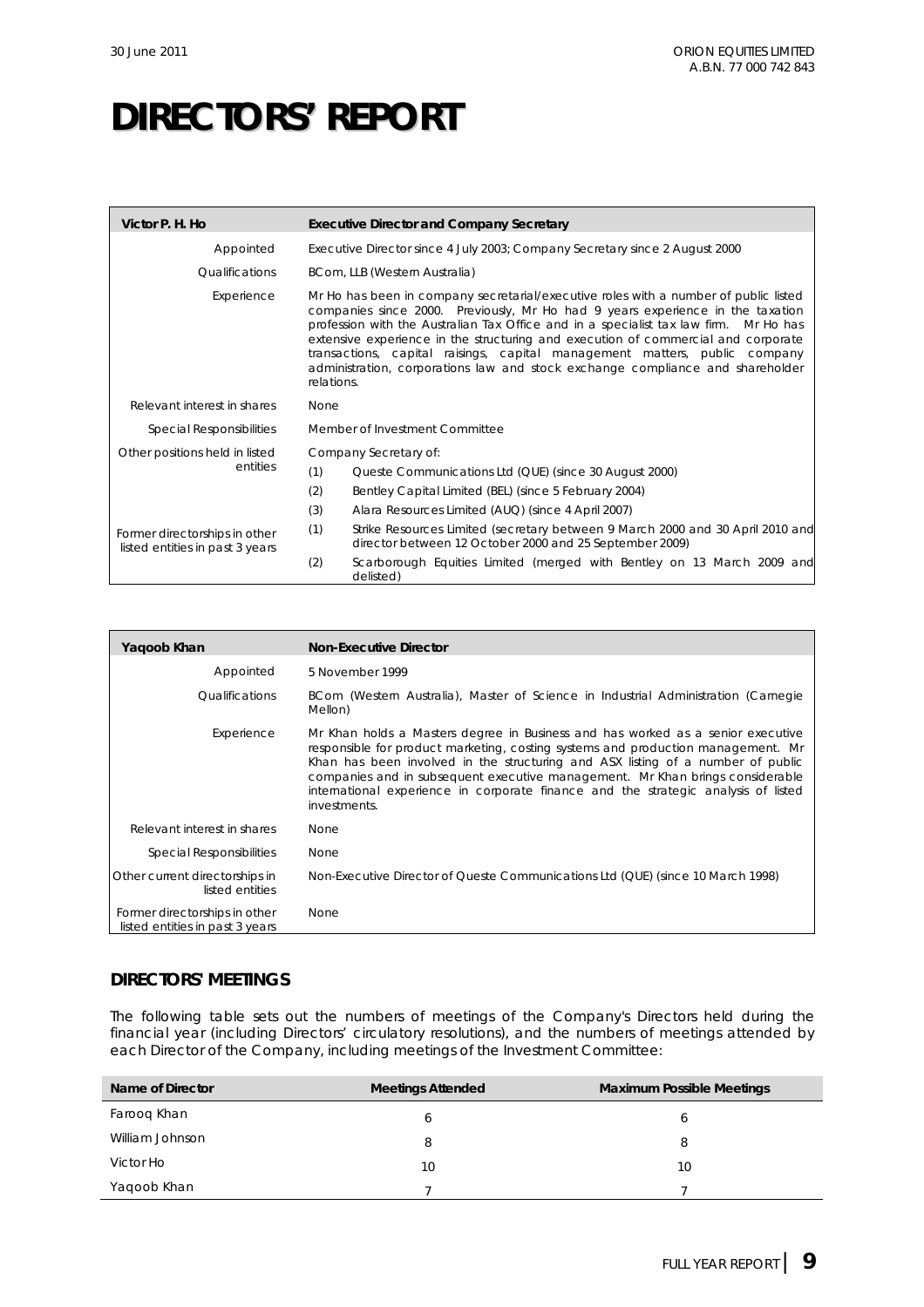| Victor P. H. Ho                                                  | <b>Executive Director and Company Secretary</b>                                                                                                                                                                                                                                                                                                                                                                                                                                                                                    |
|------------------------------------------------------------------|------------------------------------------------------------------------------------------------------------------------------------------------------------------------------------------------------------------------------------------------------------------------------------------------------------------------------------------------------------------------------------------------------------------------------------------------------------------------------------------------------------------------------------|
| Appointed                                                        | Executive Director since 4 July 2003; Company Secretary since 2 August 2000                                                                                                                                                                                                                                                                                                                                                                                                                                                        |
| <i><u><b>Oualifications</b></u></i>                              | BCom, LLB (Western Australia)                                                                                                                                                                                                                                                                                                                                                                                                                                                                                                      |
| Experience                                                       | Mr Ho has been in company secretarial/executive roles with a number of public listed<br>companies since 2000. Previously, Mr Ho had 9 years experience in the taxation<br>profession with the Australian Tax Office and in a specialist tax law firm. Mr Ho has<br>extensive experience in the structuring and execution of commercial and corporate<br>transactions, capital raisings, capital management matters, public company<br>administration, corporations law and stock exchange compliance and shareholder<br>relations. |
| Relevant interest in shares                                      | None                                                                                                                                                                                                                                                                                                                                                                                                                                                                                                                               |
| Special Responsibilities                                         | Member of Investment Committee                                                                                                                                                                                                                                                                                                                                                                                                                                                                                                     |
| Other positions held in listed                                   | Company Secretary of:                                                                                                                                                                                                                                                                                                                                                                                                                                                                                                              |
| entities                                                         | (1)<br>Queste Communications Ltd (QUE) (since 30 August 2000)                                                                                                                                                                                                                                                                                                                                                                                                                                                                      |
|                                                                  | (2)<br>Bentley Capital Limited (BEL) (since 5 February 2004)                                                                                                                                                                                                                                                                                                                                                                                                                                                                       |
|                                                                  | (3)<br>Alara Resources Limited (AUQ) (since 4 April 2007)                                                                                                                                                                                                                                                                                                                                                                                                                                                                          |
| Former directorships in other<br>listed entities in past 3 years | (1)<br>Strike Resources Limited (secretary between 9 March 2000 and 30 April 2010 and<br>director between 12 October 2000 and 25 September 2009)                                                                                                                                                                                                                                                                                                                                                                                   |
|                                                                  | Scarborough Equities Limited (merged with Bentley on 13 March 2009 and<br>(2)<br>delisted)                                                                                                                                                                                                                                                                                                                                                                                                                                         |

| Yaqoob Khan                                                      | <b>Non-Executive Director</b>                                                                                                                                                                                                                                                                                                                                                                                                                 |
|------------------------------------------------------------------|-----------------------------------------------------------------------------------------------------------------------------------------------------------------------------------------------------------------------------------------------------------------------------------------------------------------------------------------------------------------------------------------------------------------------------------------------|
| Appointed                                                        | 5 November 1999                                                                                                                                                                                                                                                                                                                                                                                                                               |
| Qualifications                                                   | BCom (Western Australia), Master of Science in Industrial Administration (Carnegie<br>Mellon)                                                                                                                                                                                                                                                                                                                                                 |
| Experience                                                       | Mr Khan holds a Masters degree in Business and has worked as a senior executive<br>responsible for product marketing, costing systems and production management. Mr<br>Khan has been involved in the structuring and ASX listing of a number of public<br>companies and in subsequent executive management. Mr Khan brings considerable<br>international experience in corporate finance and the strategic analysis of listed<br>investments. |
| Relevant interest in shares                                      | None                                                                                                                                                                                                                                                                                                                                                                                                                                          |
| <b>Special Responsibilities</b>                                  | None                                                                                                                                                                                                                                                                                                                                                                                                                                          |
| Other current directorships in<br>listed entities                | Non-Executive Director of Queste Communications Ltd (QUE) (since 10 March 1998)                                                                                                                                                                                                                                                                                                                                                               |
| Former directorships in other<br>listed entities in past 3 years | None                                                                                                                                                                                                                                                                                                                                                                                                                                          |

## **DIRECTORS' MEETINGS**

The following table sets out the numbers of meetings of the Company's Directors held during the financial year (including Directors' circulatory resolutions), and the numbers of meetings attended by each Director of the Company, including meetings of the Investment Committee:

| Name of Director | <b>Meetings Attended</b> | <b>Maximum Possible Meetings</b> |
|------------------|--------------------------|----------------------------------|
| Faroog Khan      | 6                        | b                                |
| William Johnson  | 8                        | 8                                |
| Victor Ho        | 10                       | 10                               |
| Yaqoob Khan      |                          |                                  |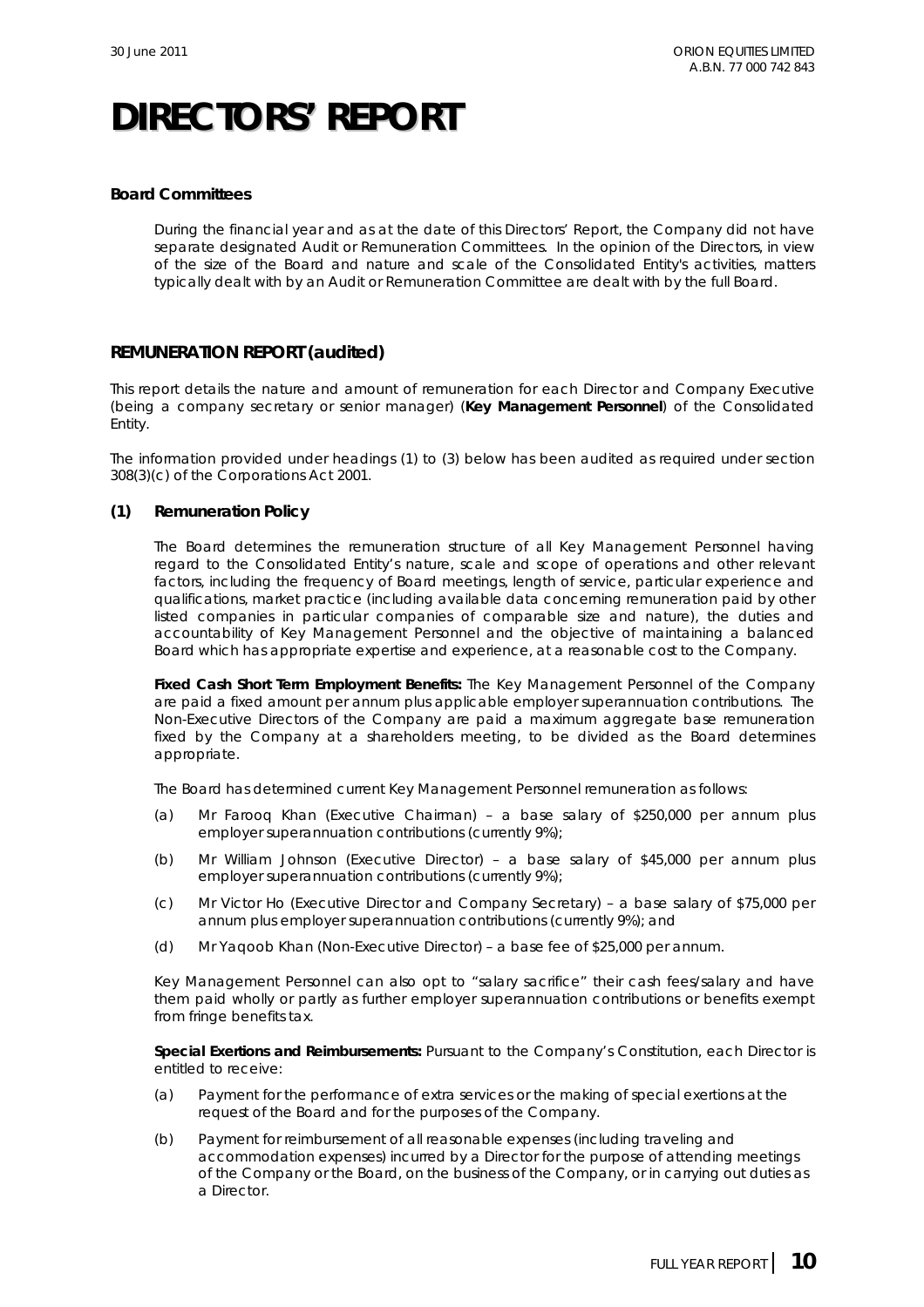### **Board Committees**

During the financial year and as at the date of this Directors' Report, the Company did not have separate designated Audit or Remuneration Committees. In the opinion of the Directors, in view of the size of the Board and nature and scale of the Consolidated Entity's activities, matters typically dealt with by an Audit or Remuneration Committee are dealt with by the full Board.

### **REMUNERATION REPORT (audited)**

This report details the nature and amount of remuneration for each Director and Company Executive (being a company secretary or senior manager) (**Key Management Personnel**) of the Consolidated Entity.

The information provided under headings (1) to (3) below has been audited as required under section 308(3)(c) of the *Corporations Act 2001*.

### **(1) Remuneration Policy**

The Board determines the remuneration structure of all Key Management Personnel having regard to the Consolidated Entity's nature, scale and scope of operations and other relevant factors, including the frequency of Board meetings, length of service, particular experience and qualifications, market practice (including available data concerning remuneration paid by other listed companies in particular companies of comparable size and nature), the duties and accountability of Key Management Personnel and the objective of maintaining a balanced Board which has appropriate expertise and experience, at a reasonable cost to the Company.

**Fixed Cash Short Term Employment Benefits:** The Key Management Personnel of the Company are paid a fixed amount per annum plus applicable employer superannuation contributions. The Non-Executive Directors of the Company are paid a maximum aggregate base remuneration fixed by the Company at a shareholders meeting, to be divided as the Board determines appropriate.

The Board has determined current Key Management Personnel remuneration as follows:

- (a) Mr Farooq Khan (Executive Chairman) a base salary of \$250,000 per annum plus employer superannuation contributions (currently 9%);
- (b) Mr William Johnson (Executive Director) a base salary of \$45,000 per annum plus employer superannuation contributions (currently 9%);
- (c) Mr Victor Ho (Executive Director and Company Secretary) a base salary of \$75,000 per annum plus employer superannuation contributions (currently 9%); and
- (d) Mr Yaqoob Khan (Non-Executive Director) a base fee of \$25,000 per annum.

Key Management Personnel can also opt to "salary sacrifice" their cash fees/salary and have them paid wholly or partly as further employer superannuation contributions or benefits exempt from fringe benefits tax.

**Special Exertions and Reimbursements:** Pursuant to the Company's Constitution, each Director is entitled to receive:

- (a) Payment for the performance of extra services or the making of special exertions at the request of the Board and for the purposes of the Company.
- (b) Payment for reimbursement of all reasonable expenses (including traveling and accommodation expenses) incurred by a Director for the purpose of attending meetings of the Company or the Board, on the business of the Company, or in carrying out duties as a Director.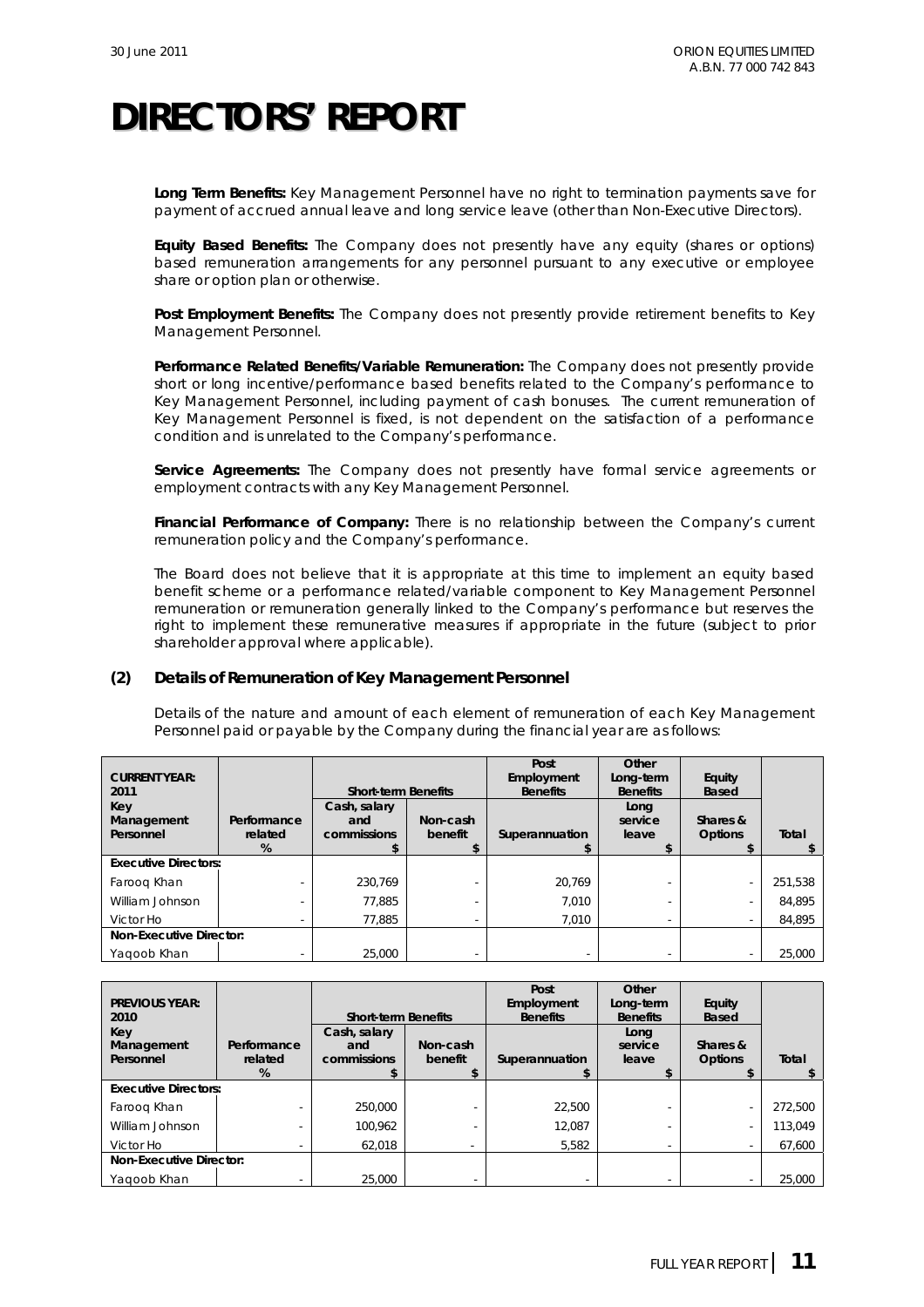**Long Term Benefits:** Key Management Personnel have no right to termination payments save for payment of accrued annual leave and long service leave (other than Non-Executive Directors).

**Equity Based Benefits:** The Company does not presently have any equity (shares or options) based remuneration arrangements for any personnel pursuant to any executive or employee share or option plan or otherwise.

**Post Employment Benefits:** The Company does not presently provide retirement benefits to Key Management Personnel.

**Performance Related Benefits/Variable Remuneration:** The Company does not presently provide short or long incentive/performance based benefits related to the Company's performance to Key Management Personnel, including payment of cash bonuses. The current remuneration of Key Management Personnel is fixed, is not dependent on the satisfaction of a performance condition and is unrelated to the Company's performance.

**Service Agreements:** The Company does not presently have formal service agreements or employment contracts with any Key Management Personnel.

**Financial Performance of Company:** There is no relationship between the Company's current remuneration policy and the Company's performance.

The Board does not believe that it is appropriate at this time to implement an equity based benefit scheme or a performance related/variable component to Key Management Personnel remuneration or remuneration generally linked to the Company's performance but reserves the right to implement these remunerative measures if appropriate in the future (subject to prior shareholder approval where applicable).

### **(2) Details of Remuneration of Key Management Personnel**

Details of the nature and amount of each element of remuneration of each Key Management Personnel paid or payable by the Company during the financial year are as follows:

| <b>CURRENT YEAR:</b><br>2011   |                             | <b>Short-term Benefits</b>         |                     | Post<br>Employment<br><b>Benefits</b> | Other<br>Long-term<br><b>Benefits</b> | Equity<br>Based            |         |
|--------------------------------|-----------------------------|------------------------------------|---------------------|---------------------------------------|---------------------------------------|----------------------------|---------|
| Key<br>Management<br>Personnel | Performance<br>related<br>% | Cash, salary<br>and<br>commissions | Non-cash<br>benefit | Superannuation                        | Long<br>service<br>leave              | Shares &<br><b>Options</b> | Total   |
| <b>Executive Directors:</b>    |                             |                                    |                     |                                       |                                       |                            |         |
| Faroog Khan                    |                             | 230.769                            |                     | 20.769                                |                                       |                            | 251,538 |
| William Johnson                |                             | 77.885                             |                     | 7.010                                 |                                       |                            | 84,895  |
| Victor Ho                      | $\sim$                      | 77.885                             |                     | 7.010                                 |                                       |                            | 84,895  |
| <b>Non-Executive Director:</b> |                             |                                    |                     |                                       |                                       |                            |         |
| Yagoob Khan                    |                             | 25,000                             |                     |                                       |                                       |                            | 25.000  |

| <b>PREVIOUS YEAR:</b><br>2010  |                        | <b>Short-term Benefits</b>         |                          | Post<br>Employment<br><b>Benefits</b> | Other<br>Long-term<br><b>Benefits</b> | Equity<br><b>Based</b>     |         |
|--------------------------------|------------------------|------------------------------------|--------------------------|---------------------------------------|---------------------------------------|----------------------------|---------|
| Key<br>Management<br>Personnel | Performance<br>related | Cash, salary<br>and<br>commissions | Non-cash<br>benefit      | Superannuation                        | Long<br>service<br>leave              | Shares &<br><b>Options</b> | Total   |
|                                | %                      |                                    |                          |                                       |                                       |                            |         |
| <b>Executive Directors:</b>    |                        |                                    |                          |                                       |                                       |                            |         |
| Faroog Khan                    |                        | 250,000                            |                          | 22.500                                |                                       |                            | 272,500 |
| William Johnson                |                        | 100.962                            |                          | 12.087                                |                                       |                            | 113,049 |
| Victor Ho                      |                        | 62.018                             | $\overline{\phantom{a}}$ | 5,582                                 |                                       |                            | 67,600  |
| <b>Non-Executive Director:</b> |                        |                                    |                          |                                       |                                       |                            |         |
| Yagoob Khan                    |                        | 25,000                             |                          |                                       |                                       |                            | 25,000  |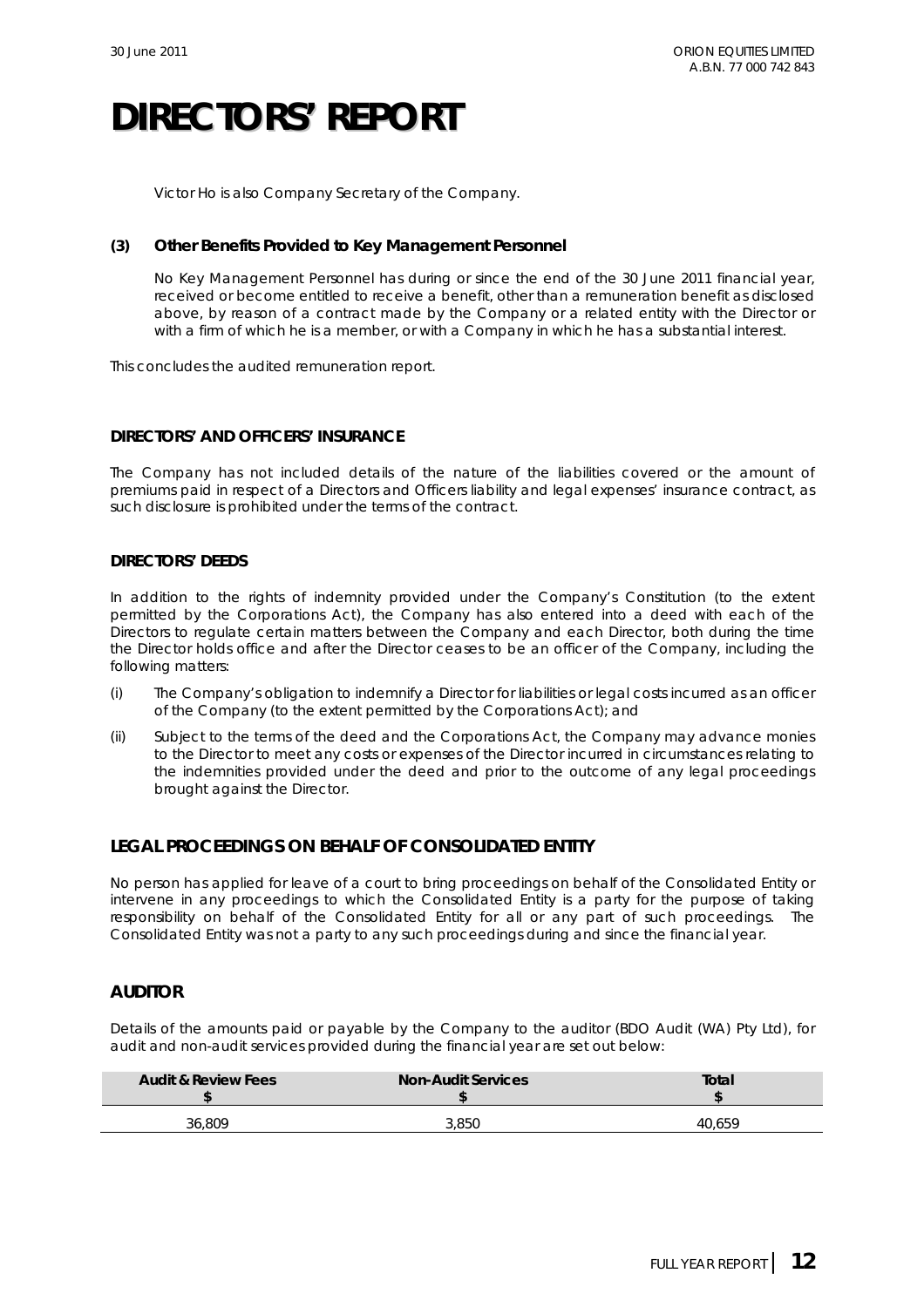Victor Ho is also Company Secretary of the Company.

#### **(3) Other Benefits Provided to Key Management Personnel**

No Key Management Personnel has during or since the end of the 30 June 2011 financial year, received or become entitled to receive a benefit, other than a remuneration benefit as disclosed above, by reason of a contract made by the Company or a related entity with the Director or with a firm of which he is a member, or with a Company in which he has a substantial interest.

This concludes the audited remuneration report.

### **DIRECTORS' AND OFFICERS' INSURANCE**

The Company has not included details of the nature of the liabilities covered or the amount of premiums paid in respect of a Directors and Officers liability and legal expenses' insurance contract, as such disclosure is prohibited under the terms of the contract.

### **DIRECTORS' DEEDS**

In addition to the rights of indemnity provided under the Company's Constitution (to the extent permitted by the Corporations Act), the Company has also entered into a deed with each of the Directors to regulate certain matters between the Company and each Director, both during the time the Director holds office and after the Director ceases to be an officer of the Company, including the following matters:

- (i) The Company's obligation to indemnify a Director for liabilities or legal costs incurred as an officer of the Company (to the extent permitted by the Corporations Act); and
- (ii) Subject to the terms of the deed and the Corporations Act, the Company may advance monies to the Director to meet any costs or expenses of the Director incurred in circumstances relating to the indemnities provided under the deed and prior to the outcome of any legal proceedings brought against the Director.

## **LEGAL PROCEEDINGS ON BEHALF OF CONSOLIDATED ENTITY**

No person has applied for leave of a court to bring proceedings on behalf of the Consolidated Entity or intervene in any proceedings to which the Consolidated Entity is a party for the purpose of taking responsibility on behalf of the Consolidated Entity for all or any part of such proceedings. The Consolidated Entity was not a party to any such proceedings during and since the financial year.

## **AUDITOR**

Details of the amounts paid or payable by the Company to the auditor (BDO Audit (WA) Pty Ltd), for audit and non-audit services provided during the financial year are set out below:

| <b>Audit &amp; Review Fees</b> | <b>Non-Audit Services</b> | Total  |
|--------------------------------|---------------------------|--------|
| 36.809                         | 3.850                     | 40.659 |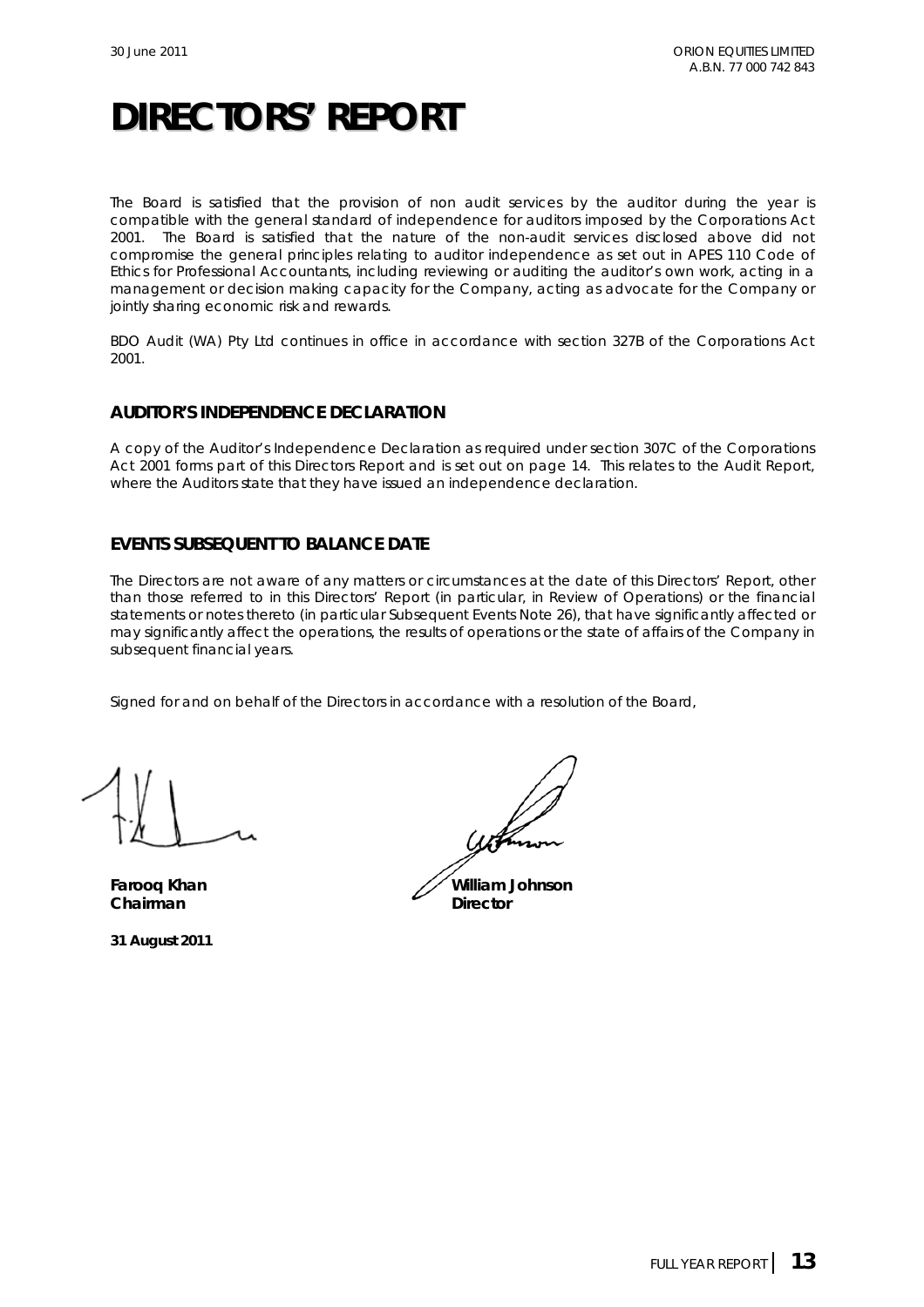The Board is satisfied that the provision of non audit services by the auditor during the year is compatible with the general standard of independence for auditors imposed by the *Corporations Act 2001.* The Board is satisfied that the nature of the non-audit services disclosed above did not compromise the general principles relating to auditor independence as set out in APES 110 Code of Ethics for Professional Accountants, including reviewing or auditing the auditor's own work, acting in a management or decision making capacity for the Company, acting as advocate for the Company or jointly sharing economic risk and rewards.

BDO Audit (WA) Pty Ltd continues in office in accordance with section 327B of the *Corporations Act 2001*.

### **AUDITOR'S INDEPENDENCE DECLARATION**

A copy of the Auditor's Independence Declaration as required under section 307C of the *Corporations Act 2001* forms part of this Directors Report and is set out on page 14. This relates to the Audit Report, where the Auditors state that they have issued an independence declaration.

## **EVENTS SUBSEQUENT TO BALANCE DATE**

The Directors are not aware of any matters or circumstances at the date of this Directors' Report, other than those referred to in this Directors' Report (in particular, in Review of Operations) or the financial statements or notes thereto (in particular Subsequent Events Note 26), that have significantly affected or may significantly affect the operations, the results of operations or the state of affairs of the Company in subsequent financial years.

Signed for and on behalf of the Directors in accordance with a resolution of the Board,

**Chairman** Director

**31 August 2011** 

**Farooq Khan William Johnson**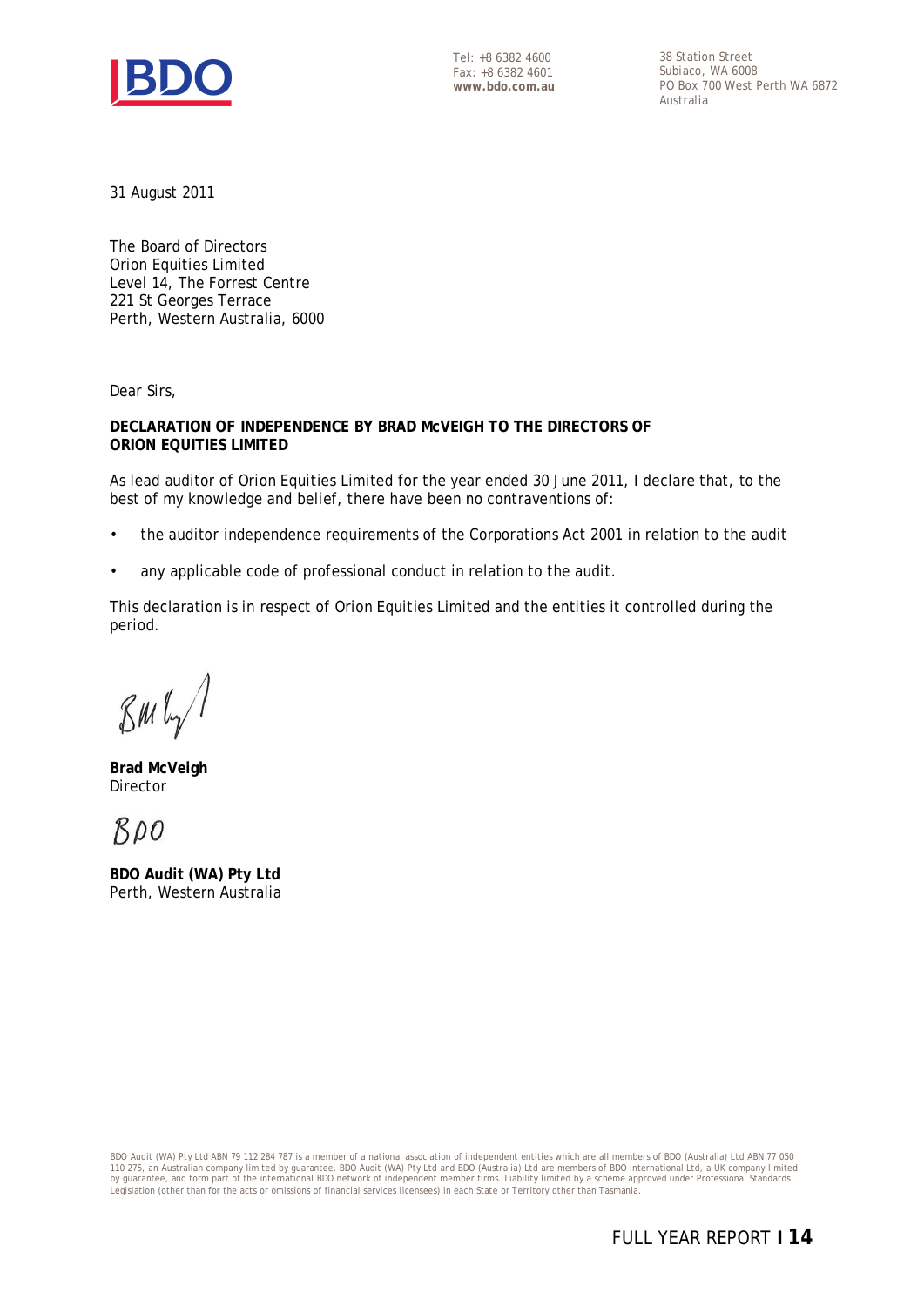

Tel: +8 6382 4600 Fax: +8 6382 4601 **www.bdo.com.au** 

38 Station Street Subiaco, WA 6008 PO Box 700 West Perth WA 6872 Australia

31 August 2011

The Board of Directors Orion Equities Limited Level 14, The Forrest Centre 221 St Georges Terrace Perth, Western Australia, 6000

Dear Sirs,

**DECLARATION OF INDEPENDENCE BY BRAD McVEIGH TO THE DIRECTORS OF ORION EQUITIES LIMITED** 

As lead auditor of Orion Equities Limited for the year ended 30 June 2011, I declare that, to the best of my knowledge and belief, there have been no contraventions of:

- the auditor independence requirements of the Corporations Act 2001 in relation to the audit
- any applicable code of professional conduct in relation to the audit.

This declaration is in respect of Orion Equities Limited and the entities it controlled during the period.

 $\mathcal{B}$ M $\mathfrak{l}_{\gamma}$ 

**Brad McVeigh**  Director

 $BDO$ 

**BDO Audit (WA) Pty Ltd**  Perth, Western Australia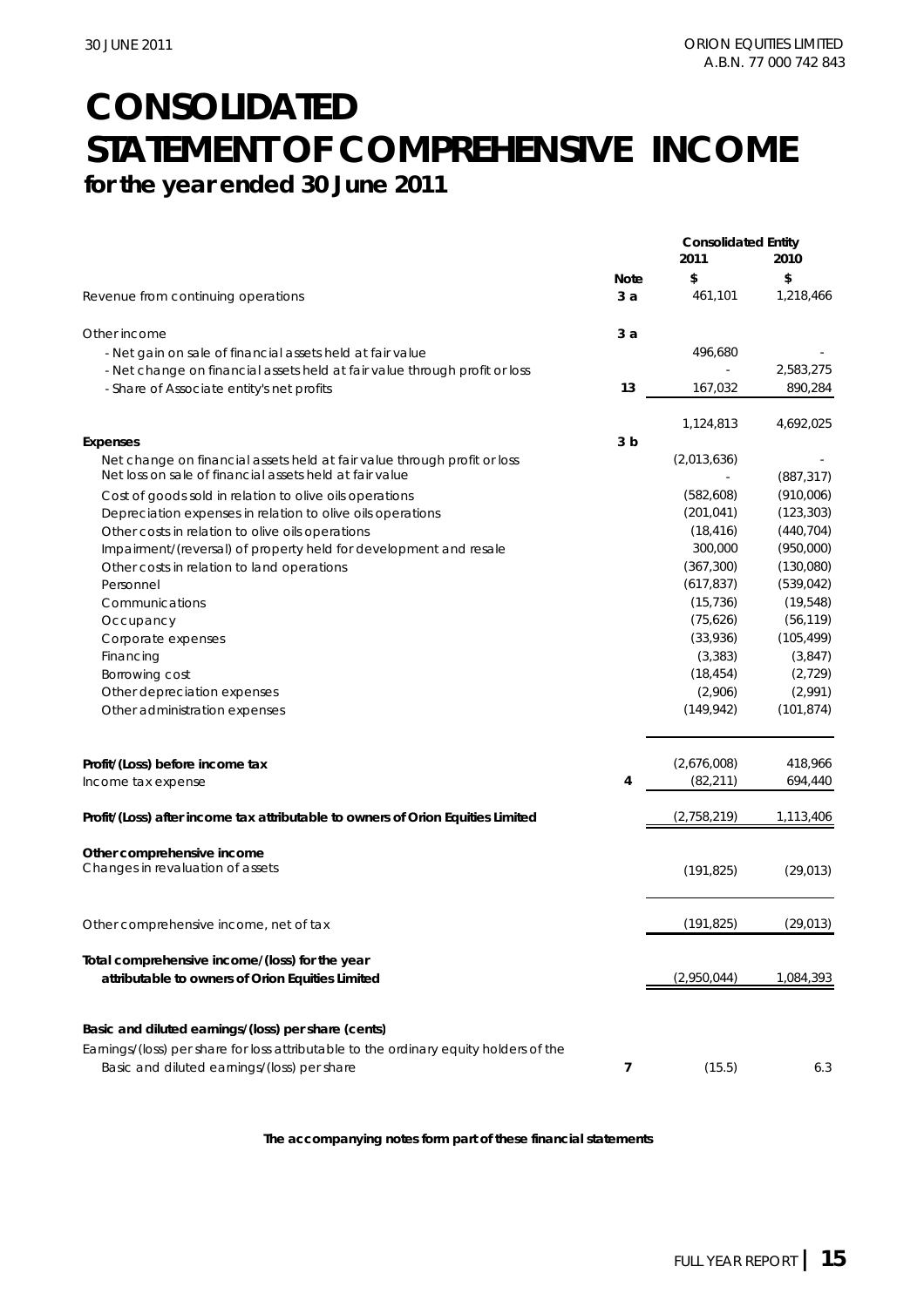## **CONSOLIDATED STATEMENT OF COMPREHENSIVE INCOME for the year ended 30 June 2011**

|                                                                                                                                      | <b>Consolidated Entity</b> |             |            |  |
|--------------------------------------------------------------------------------------------------------------------------------------|----------------------------|-------------|------------|--|
|                                                                                                                                      |                            | 2011        | 2010       |  |
|                                                                                                                                      | <b>Note</b>                | \$          | \$         |  |
| Revenue from continuing operations                                                                                                   | 3a                         | 461,101     | 1,218,466  |  |
| Other income                                                                                                                         | 3а                         |             |            |  |
| - Net gain on sale of financial assets held at fair value                                                                            |                            | 496,680     |            |  |
| - Net change on financial assets held at fair value through profit or loss                                                           |                            |             | 2,583,275  |  |
| - Share of Associate entity's net profits                                                                                            | 13                         | 167,032     | 890,284    |  |
|                                                                                                                                      |                            | 1,124,813   | 4,692,025  |  |
| <b>Expenses</b>                                                                                                                      | 3 <sub>b</sub>             |             |            |  |
| Net change on financial assets held at fair value through profit or loss<br>Net loss on sale of financial assets held at fair value  |                            | (2,013,636) | (887, 317) |  |
| Cost of goods sold in relation to olive oils operations                                                                              |                            | (582,608)   | (910,006)  |  |
| Depreciation expenses in relation to olive oils operations                                                                           |                            | (201, 041)  | (123, 303) |  |
| Other costs in relation to olive oils operations                                                                                     |                            | (18, 416)   | (440, 704) |  |
| Impairment/(reversal) of property held for development and resale                                                                    |                            | 300,000     | (950,000)  |  |
| Other costs in relation to land operations                                                                                           |                            | (367, 300)  | (130,080)  |  |
| Personnel                                                                                                                            |                            | (617, 837)  | (539, 042) |  |
| Communications                                                                                                                       |                            | (15, 736)   | (19, 548)  |  |
| Occupancy                                                                                                                            |                            | (75,626)    | (56, 119)  |  |
| Corporate expenses                                                                                                                   |                            | (33,936)    | (105, 499) |  |
| Financing                                                                                                                            |                            | (3, 383)    | (3,847)    |  |
| Borrowing cost                                                                                                                       |                            | (18, 454)   | (2,729)    |  |
| Other depreciation expenses                                                                                                          |                            | (2,906)     | (2,991)    |  |
| Other administration expenses                                                                                                        |                            | (149, 942)  | (101, 874) |  |
|                                                                                                                                      |                            |             |            |  |
| Profit/(Loss) before income tax                                                                                                      |                            | (2,676,008) | 418,966    |  |
| Income tax expense                                                                                                                   | 4                          | (82, 211)   | 694,440    |  |
| Profit/(Loss) after income tax attributable to owners of Orion Equities Limited                                                      |                            | (2,758,219) | 1,113,406  |  |
| Other comprehensive income                                                                                                           |                            |             |            |  |
| Changes in revaluation of assets                                                                                                     |                            | (191, 825)  | (29, 013)  |  |
| Other comprehensive income, net of tax                                                                                               |                            | (191, 825)  | (29, 013)  |  |
|                                                                                                                                      |                            |             |            |  |
| Total comprehensive income/(loss) for the year                                                                                       |                            |             |            |  |
| attributable to owners of Orion Equities Limited                                                                                     |                            | (2,950,044) | 1,084,393  |  |
|                                                                                                                                      |                            |             |            |  |
| Basic and diluted earnings/(loss) per share (cents)                                                                                  |                            |             |            |  |
| Earnings/(loss) per share for loss attributable to the ordinary equity holders of the<br>Basic and diluted earnings/(loss) per share | 7                          | (15.5)      | 6.3        |  |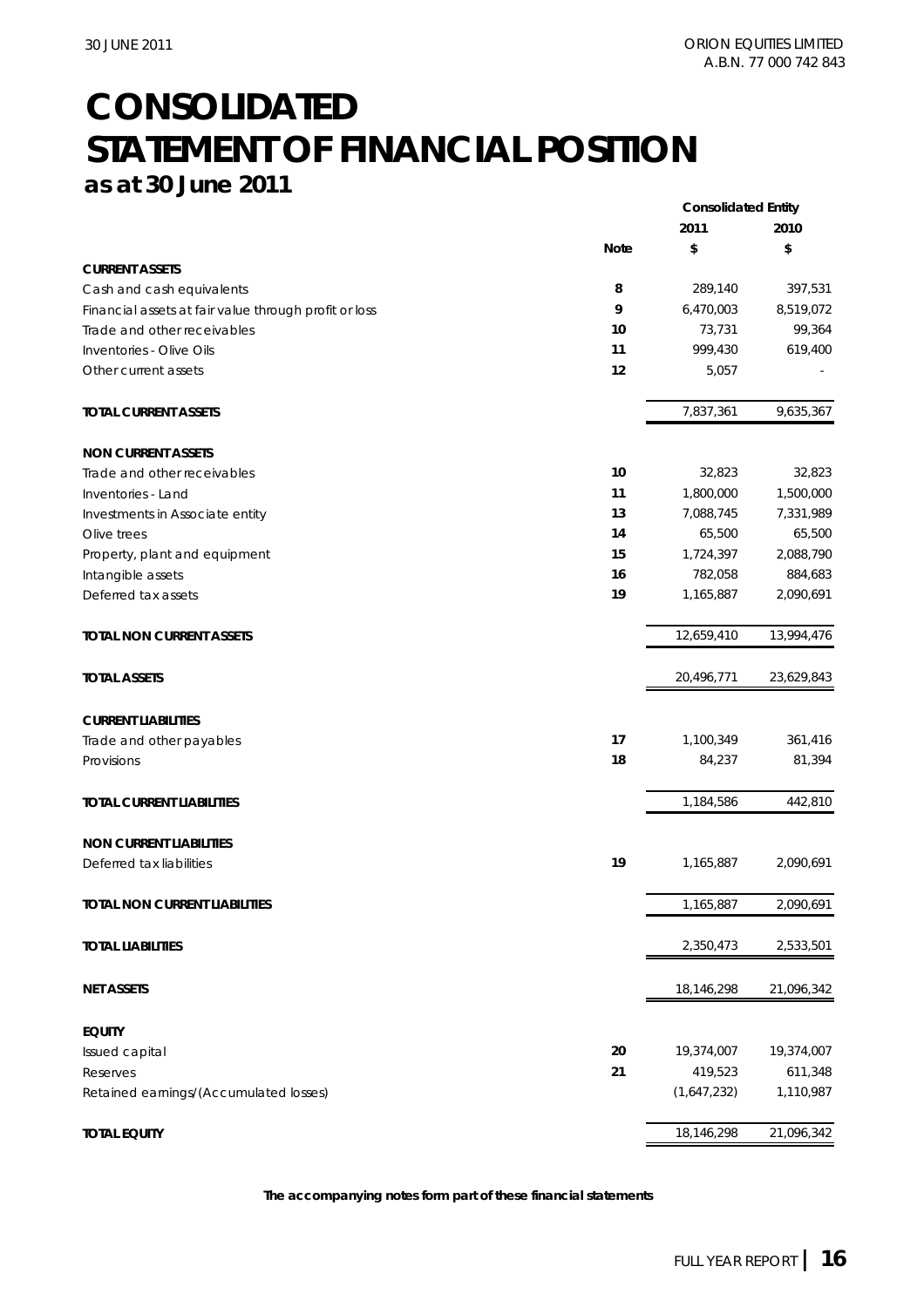## **CONSOLIDATED STATEMENT OF FINANCIAL POSITION as at 30 June 2011**

|                                                       | <b>Consolidated Entity</b> |             |            |  |
|-------------------------------------------------------|----------------------------|-------------|------------|--|
|                                                       | 2011                       |             | 2010       |  |
|                                                       | <b>Note</b>                | \$          | \$         |  |
| <b>CURRENT ASSETS</b>                                 |                            |             |            |  |
| Cash and cash equivalents                             | 8                          | 289,140     | 397,531    |  |
| Financial assets at fair value through profit or loss | 9                          | 6,470,003   | 8,519,072  |  |
| Trade and other receivables                           | 10                         | 73,731      | 99,364     |  |
| Inventories - Olive Oils                              | 11                         | 999,430     | 619,400    |  |
| Other current assets                                  | 12                         | 5,057       |            |  |
| <b>TOTAL CURRENT ASSETS</b>                           |                            | 7,837,361   | 9,635,367  |  |
| <b>NON CURRENT ASSETS</b>                             |                            |             |            |  |
| Trade and other receivables                           | 10                         | 32,823      | 32,823     |  |
| Inventories - Land                                    | 11                         | 1,800,000   | 1,500,000  |  |
| Investments in Associate entity                       | 13                         | 7,088,745   | 7,331,989  |  |
| Olive trees                                           | 14                         | 65,500      | 65,500     |  |
| Property, plant and equipment                         | 15                         | 1,724,397   | 2,088,790  |  |
| Intangible assets                                     | 16                         | 782,058     | 884,683    |  |
| Deferred tax assets                                   | 19                         | 1,165,887   | 2,090,691  |  |
| <b>TOTAL NON CURRENT ASSETS</b>                       |                            | 12,659,410  | 13,994,476 |  |
| <b>TOTAL ASSETS</b>                                   |                            | 20,496,771  | 23,629,843 |  |
| <b>CURRENT LIABILITIES</b>                            |                            |             |            |  |
| Trade and other payables                              | 17                         | 1,100,349   | 361,416    |  |
| Provisions                                            | 18                         | 84,237      | 81,394     |  |
| <b>TOTAL CURRENT LIABILITIES</b>                      |                            | 1,184,586   | 442,810    |  |
| <b>NON CURRENT LIABILITIES</b>                        |                            |             |            |  |
| Deferred tax liabilities                              | 19                         | 1,165,887   | 2,090,691  |  |
| <b>TOTAL NON CURRENT LIABILITIES</b>                  |                            | 1,165,887   | 2,090,691  |  |
| <b>TOTAL LIABILITIES</b>                              |                            | 2,350,473   | 2,533,501  |  |
| <b>NET ASSETS</b>                                     |                            | 18,146,298  | 21,096,342 |  |
| <b>EQUITY</b>                                         |                            |             |            |  |
| Issued capital                                        | 20                         | 19,374,007  | 19,374,007 |  |
| Reserves                                              | 21                         | 419,523     | 611,348    |  |
| Retained earnings/(Accumulated losses)                |                            | (1,647,232) | 1,110,987  |  |
| <b>TOTAL EQUITY</b>                                   |                            | 18,146,298  | 21,096,342 |  |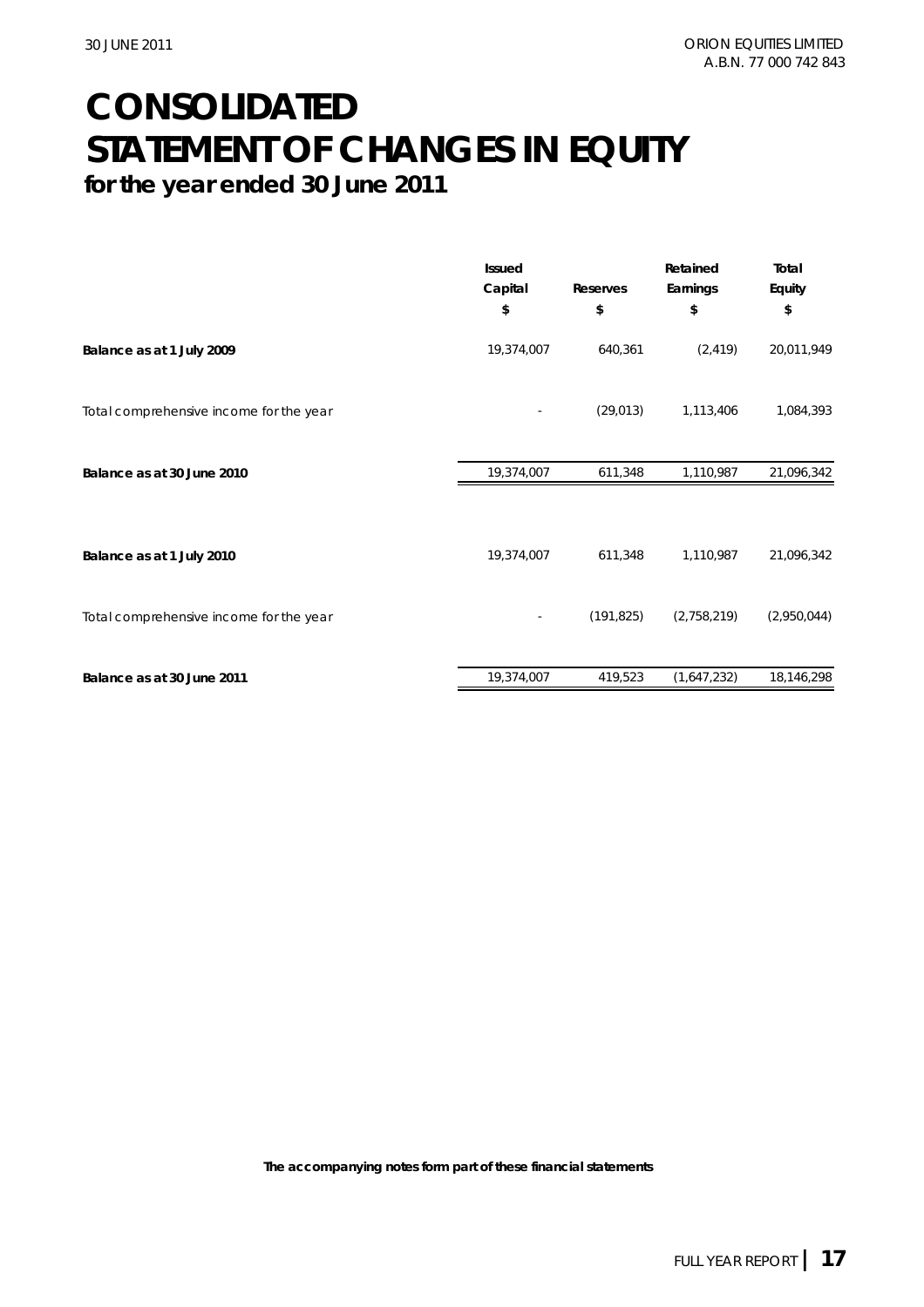## **CONSOLIDATED STATEMENT OF CHANGES IN EQUITY for the year ended 30 June 2011**

|                                         | <b>Issued</b><br>Capital<br>\$ | Reserves<br>\$ | Retained<br>Earnings<br>\$ | Total<br>Equity<br>\$ |
|-----------------------------------------|--------------------------------|----------------|----------------------------|-----------------------|
| Balance as at 1 July 2009               | 19,374,007                     | 640,361        | (2, 419)                   | 20,011,949            |
| Total comprehensive income for the year |                                | (29, 013)      | 1,113,406                  | 1,084,393             |
| Balance as at 30 June 2010              | 19,374,007                     | 611,348        | 1,110,987                  | 21,096,342            |
| Balance as at 1 July 2010               | 19,374,007                     | 611,348        | 1,110,987                  | 21,096,342            |
| Total comprehensive income for the year |                                | (191, 825)     | (2,758,219)                | (2,950,044)           |
| Balance as at 30 June 2011              | 19,374,007                     | 419,523        | (1,647,232)                | 18,146,298            |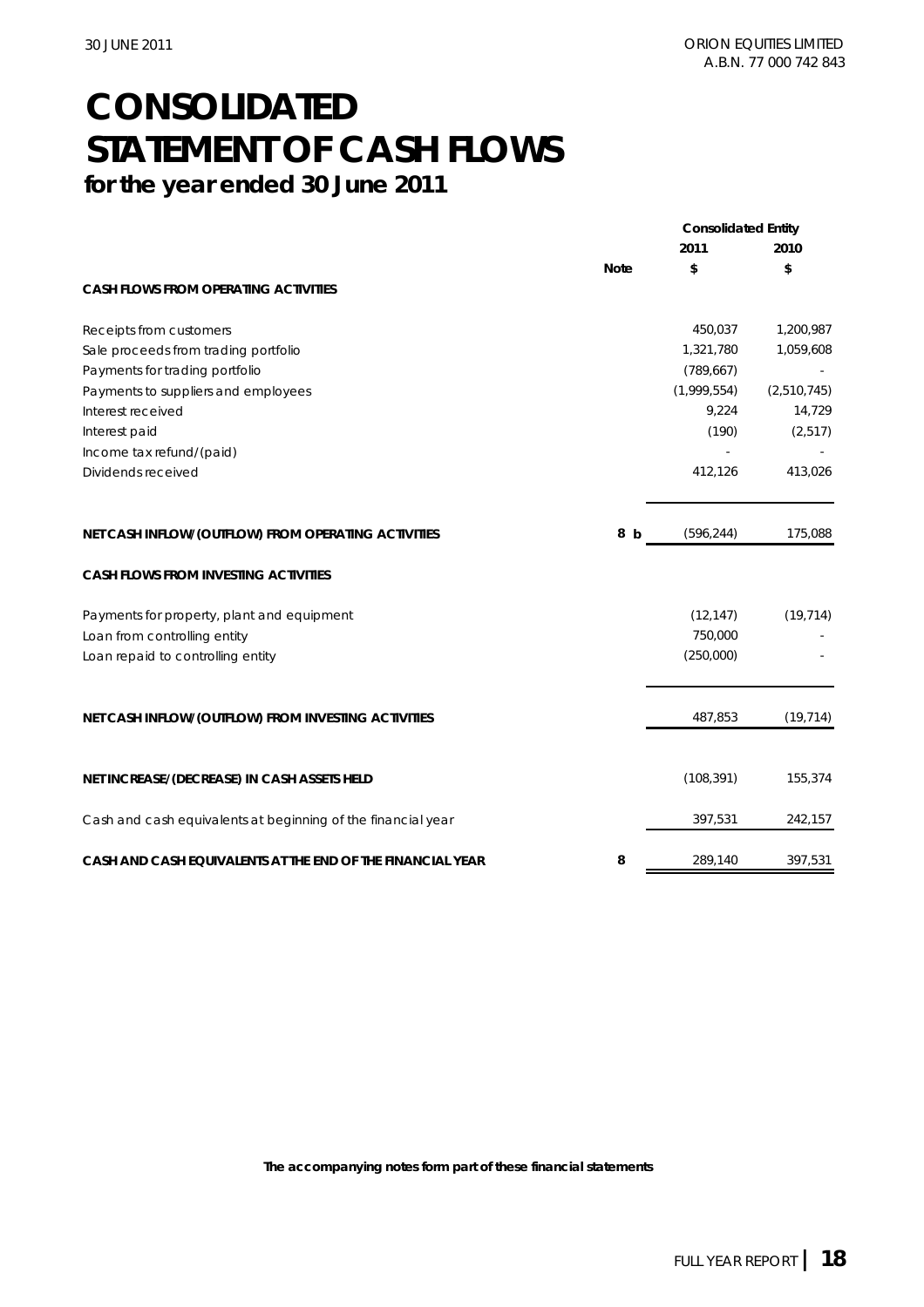## **CONSOLIDATED STATEMENT OF CASH FLOWS for the year ended 30 June 2011**

|                                                              | <b>Consolidated Entity</b> |             |             |  |
|--------------------------------------------------------------|----------------------------|-------------|-------------|--|
|                                                              |                            | 2011        | 2010        |  |
|                                                              | <b>Note</b>                | \$          | \$          |  |
| <b>CASH FLOWS FROM OPERATING ACTIVITIES</b>                  |                            |             |             |  |
| Receipts from customers                                      |                            | 450,037     | 1,200,987   |  |
| Sale proceeds from trading portfolio                         |                            | 1,321,780   | 1,059,608   |  |
| Payments for trading portfolio                               |                            | (789, 667)  |             |  |
| Payments to suppliers and employees                          |                            | (1,999,554) | (2,510,745) |  |
| Interest received                                            |                            | 9,224       | 14,729      |  |
| Interest paid                                                |                            | (190)       | (2, 517)    |  |
| Income tax refund/(paid)                                     |                            |             |             |  |
| Dividends received                                           |                            | 412,126     | 413,026     |  |
| NET CASH INFLOW/(OUTFLOW) FROM OPERATING ACTIVITIES          | 8<br>- b                   | (596, 244)  | 175,088     |  |
| <b>CASH FLOWS FROM INVESTING ACTIVITIES</b>                  |                            |             |             |  |
| Payments for property, plant and equipment                   |                            | (12, 147)   | (19, 714)   |  |
| Loan from controlling entity                                 |                            | 750,000     |             |  |
| Loan repaid to controlling entity                            |                            | (250,000)   |             |  |
| NET CASH INFLOW/(OUTFLOW) FROM INVESTING ACTIVITIES          |                            | 487,853     | (19, 714)   |  |
|                                                              |                            |             |             |  |
| NET INCREASE/(DECREASE) IN CASH ASSETS HELD                  |                            | (108, 391)  | 155,374     |  |
| Cash and cash equivalents at beginning of the financial year |                            | 397,531     | 242,157     |  |
| CASH AND CASH EQUIVALENTS AT THE END OF THE FINANCIAL YEAR   | 8                          | 289,140     | 397,531     |  |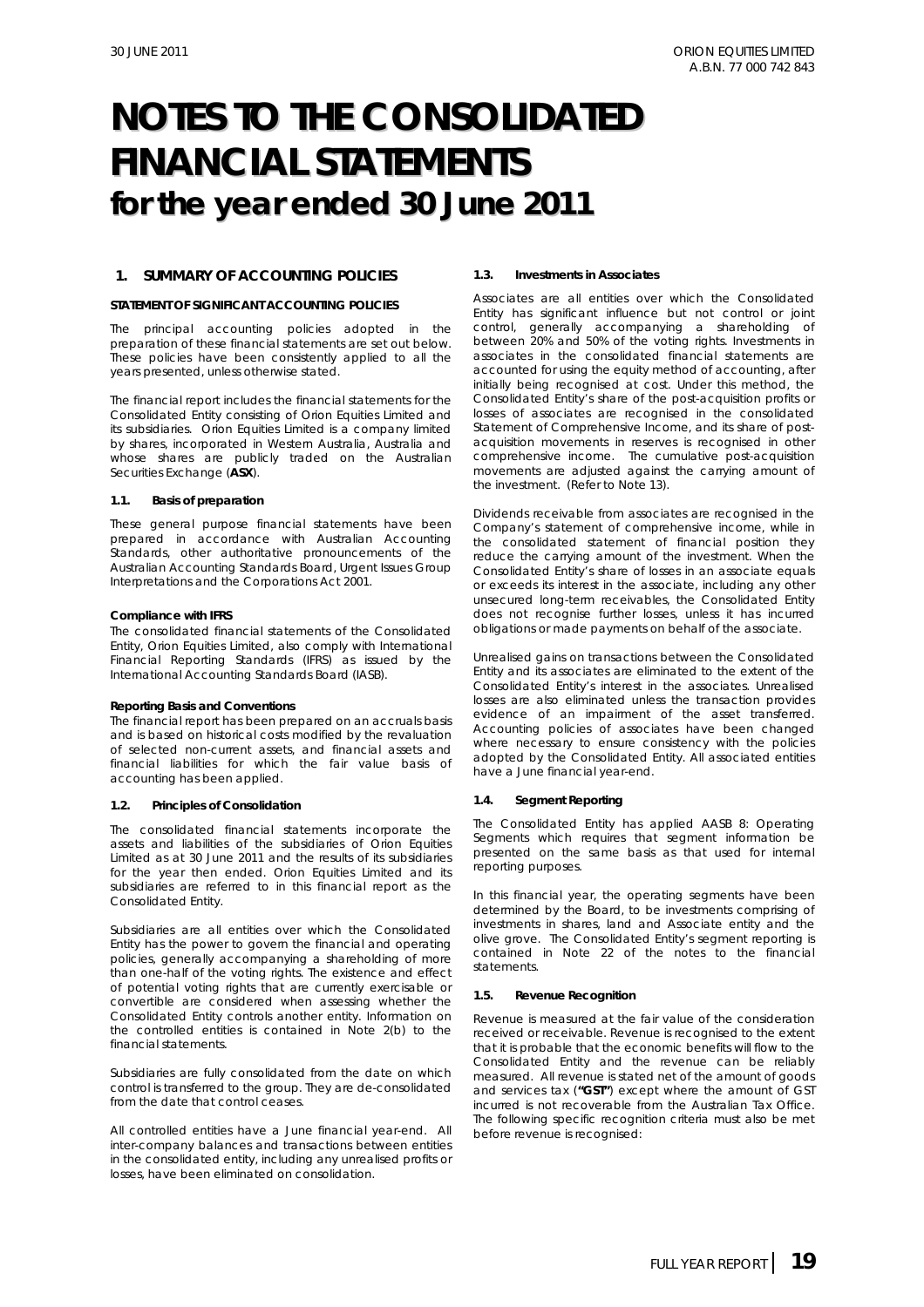#### **1. SUMMARY OF ACCOUNTING POLICIES**

#### **STATEMENT OF SIGNIFICANT ACCOUNTING POLICIES**

The principal accounting policies adopted in the preparation of these financial statements are set out below. These policies have been consistently applied to all the years presented, unless otherwise stated.

The financial report includes the financial statements for the Consolidated Entity consisting of Orion Equities Limited and its subsidiaries. Orion Equities Limited is a company limited by shares, incorporated in Western Australia, Australia and whose shares are publicly traded on the Australian Securities Exchange (**ASX**).

#### **1.1. Basis of preparation**

These general purpose financial statements have been prepared in accordance with Australian Accounting Standards, other authoritative pronouncements of the Australian Accounting Standards Board, Urgent Issues Group Interpretations and the *Corporations Act 2001.* 

#### *Compliance with IFRS*

The consolidated financial statements of the Consolidated Entity, Orion Equities Limited, also comply with International Financial Reporting Standards (IFRS) as issued by the International Accounting Standards Board (IASB).

#### *Reporting Basis and Conventions*

The financial report has been prepared on an accruals basis and is based on historical costs modified by the revaluation of selected non-current assets, and financial assets and financial liabilities for which the fair value basis of accounting has been applied.

#### **1.2. Principles of Consolidation**

The consolidated financial statements incorporate the assets and liabilities of the subsidiaries of Orion Equities Limited as at 30 June 2011 and the results of its subsidiaries for the year then ended. Orion Equities Limited and its subsidiaries are referred to in this financial report as the Consolidated Entity.

Subsidiaries are all entities over which the Consolidated Entity has the power to govern the financial and operating policies, generally accompanying a shareholding of more than one-half of the voting rights. The existence and effect of potential voting rights that are currently exercisable or convertible are considered when assessing whether the Consolidated Entity controls another entity. Information on the controlled entities is contained in Note 2(b) to the financial statements.

Subsidiaries are fully consolidated from the date on which control is transferred to the group. They are de-consolidated from the date that control ceases.

All controlled entities have a June financial year-end. All inter-company balances and transactions between entities in the consolidated entity, including any unrealised profits or losses, have been eliminated on consolidation.

#### **1.3. Investments in Associates**

Associates are all entities over which the Consolidated Entity has significant influence but not control or joint control, generally accompanying a shareholding of between 20% and 50% of the voting rights. Investments in associates in the consolidated financial statements are accounted for using the equity method of accounting, after initially being recognised at cost. Under this method, the Consolidated Entity's share of the post-acquisition profits or losses of associates are recognised in the consolidated Statement of Comprehensive Income, and its share of postacquisition movements in reserves is recognised in other comprehensive income. The cumulative post-acquisition movements are adjusted against the carrying amount of the investment. (Refer to Note 13).

Dividends receivable from associates are recognised in the Company's statement of comprehensive income, while in the consolidated statement of financial position they reduce the carrying amount of the investment. When the Consolidated Entity's share of losses in an associate equals or exceeds its interest in the associate, including any other unsecured long-term receivables, the Consolidated Entity does not recognise further losses, unless it has incurred obligations or made payments on behalf of the associate.

Unrealised gains on transactions between the Consolidated Entity and its associates are eliminated to the extent of the Consolidated Entity's interest in the associates. Unrealised losses are also eliminated unless the transaction provides evidence of an impairment of the asset transferred. Accounting policies of associates have been changed where necessary to ensure consistency with the policies adopted by the Consolidated Entity. All associated entities have a June financial year-end.

#### **1.4. Segment Reporting**

The Consolidated Entity has applied AASB 8: Operating Segments which requires that segment information be presented on the same basis as that used for internal reporting purposes.

In this financial year, the operating segments have been determined by the Board, to be investments comprising of investments in shares, land and Associate entity and the olive grove. The Consolidated Entity's segment reporting is contained in Note 22 of the notes to the financial statements.

#### **1.5. Revenue Recognition**

Revenue is measured at the fair value of the consideration received or receivable. Revenue is recognised to the extent that it is probable that the economic benefits will flow to the Consolidated Entity and the revenue can be reliably measured. All revenue is stated net of the amount of goods and services tax (**"GST"**) except where the amount of GST incurred is not recoverable from the Australian Tax Office. The following specific recognition criteria must also be met before revenue is recognised: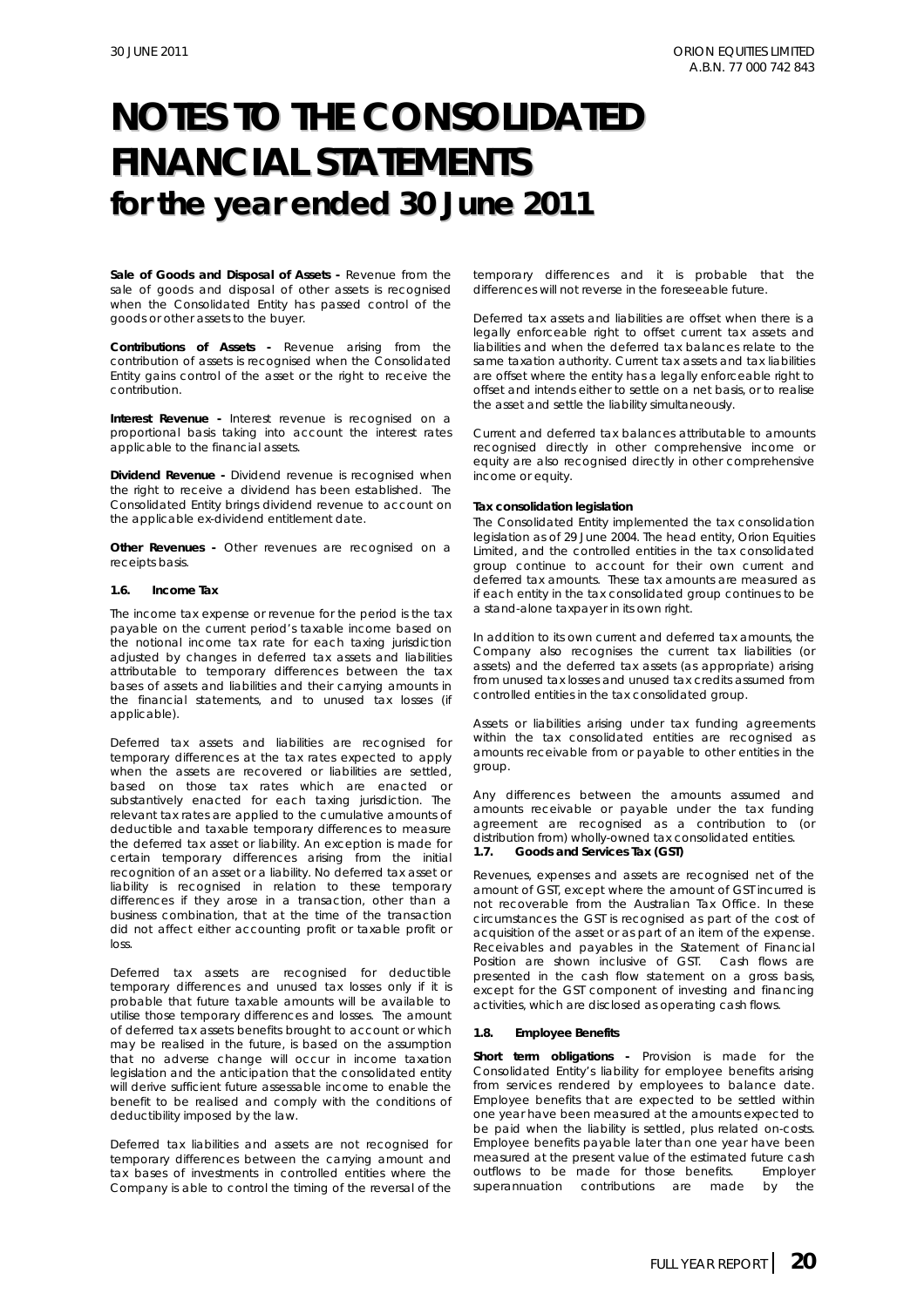*Sale of Goods and Disposal of Assets* **-** Revenue from the sale of goods and disposal of other assets is recognised when the Consolidated Entity has passed control of the goods or other assets to the buyer.

*Contributions of Assets* **-** Revenue arising from the contribution of assets is recognised when the Consolidated Entity gains control of the asset or the right to receive the contribution.

**Interest Revenue -** Interest revenue is recognised on a proportional basis taking into account the interest rates applicable to the financial assets.

*Dividend Revenue* **-** Dividend revenue is recognised when the right to receive a dividend has been established. The Consolidated Entity brings dividend revenue to account on the applicable ex-dividend entitlement date.

**Other Revenues** - Other revenues are recognised on a receipts basis.

#### **1.6. Income Tax**

The income tax expense or revenue for the period is the tax payable on the current period's taxable income based on the notional income tax rate for each taxing jurisdiction adjusted by changes in deferred tax assets and liabilities attributable to temporary differences between the tax bases of assets and liabilities and their carrying amounts in the financial statements, and to unused tax losses (if applicable).

Deferred tax assets and liabilities are recognised for temporary differences at the tax rates expected to apply when the assets are recovered or liabilities are settled, based on those tax rates which are enacted or substantively enacted for each taxing jurisdiction. The relevant tax rates are applied to the cumulative amounts of deductible and taxable temporary differences to measure the deferred tax asset or liability. An exception is made for certain temporary differences arising from the initial recognition of an asset or a liability. No deferred tax asset or liability is recognised in relation to these temporary differences if they arose in a transaction, other than a business combination, that at the time of the transaction did not affect either accounting profit or taxable profit or loss.

Deferred tax assets are recognised for deductible temporary differences and unused tax losses only if it is probable that future taxable amounts will be available to utilise those temporary differences and losses. The amount of deferred tax assets benefits brought to account or which may be realised in the future, is based on the assumption that no adverse change will occur in income taxation legislation and the anticipation that the consolidated entity will derive sufficient future assessable income to enable the benefit to be realised and comply with the conditions of deductibility imposed by the law.

Deferred tax liabilities and assets are not recognised for temporary differences between the carrying amount and tax bases of investments in controlled entities where the Company is able to control the timing of the reversal of the temporary differences and it is probable that the differences will not reverse in the foreseeable future.

Deferred tax assets and liabilities are offset when there is a legally enforceable right to offset current tax assets and liabilities and when the deferred tax balances relate to the same taxation authority. Current tax assets and tax liabilities are offset where the entity has a legally enforceable right to offset and intends either to settle on a net basis, or to realise the asset and settle the liability simultaneously.

Current and deferred tax balances attributable to amounts recognised directly in other comprehensive income or equity are also recognised directly in other comprehensive income or equity.

#### **Tax consolidation legislation**

The Consolidated Entity implemented the tax consolidation legislation as of 29 June 2004. The head entity, Orion Equities Limited, and the controlled entities in the tax consolidated group continue to account for their own current and deferred tax amounts. These tax amounts are measured as if each entity in the tax consolidated group continues to be a stand-alone taxpayer in its own right.

In addition to its own current and deferred tax amounts, the Company also recognises the current tax liabilities (or assets) and the deferred tax assets (as appropriate) arising from unused tax losses and unused tax credits assumed from controlled entities in the tax consolidated group.

Assets or liabilities arising under tax funding agreements within the tax consolidated entities are recognised as amounts receivable from or payable to other entities in the group.

Any differences between the amounts assumed and amounts receivable or payable under the tax funding agreement are recognised as a contribution to (or distribution from) wholly-owned tax consolidated entities.

#### **1.7. Goods and Services Tax (GST)**

Revenues, expenses and assets are recognised net of the amount of GST, except where the amount of GST incurred is not recoverable from the Australian Tax Office. In these circumstances the GST is recognised as part of the cost of acquisition of the asset or as part of an item of the expense. Receivables and payables in the Statement of Financial Position are shown inclusive of GST. Cash flows are presented in the cash flow statement on a gross basis, except for the GST component of investing and financing activities, which are disclosed as operating cash flows.

#### **1.8. Employee Benefits**

*Short term obligations -* Provision is made for the Consolidated Entity's liability for employee benefits arising from services rendered by employees to balance date. Employee benefits that are expected to be settled within one year have been measured at the amounts expected to be paid when the liability is settled, plus related on-costs. Employee benefits payable later than one year have been measured at the present value of the estimated future cash outflows to be made for those benefits. Employer superannuation contributions are made by the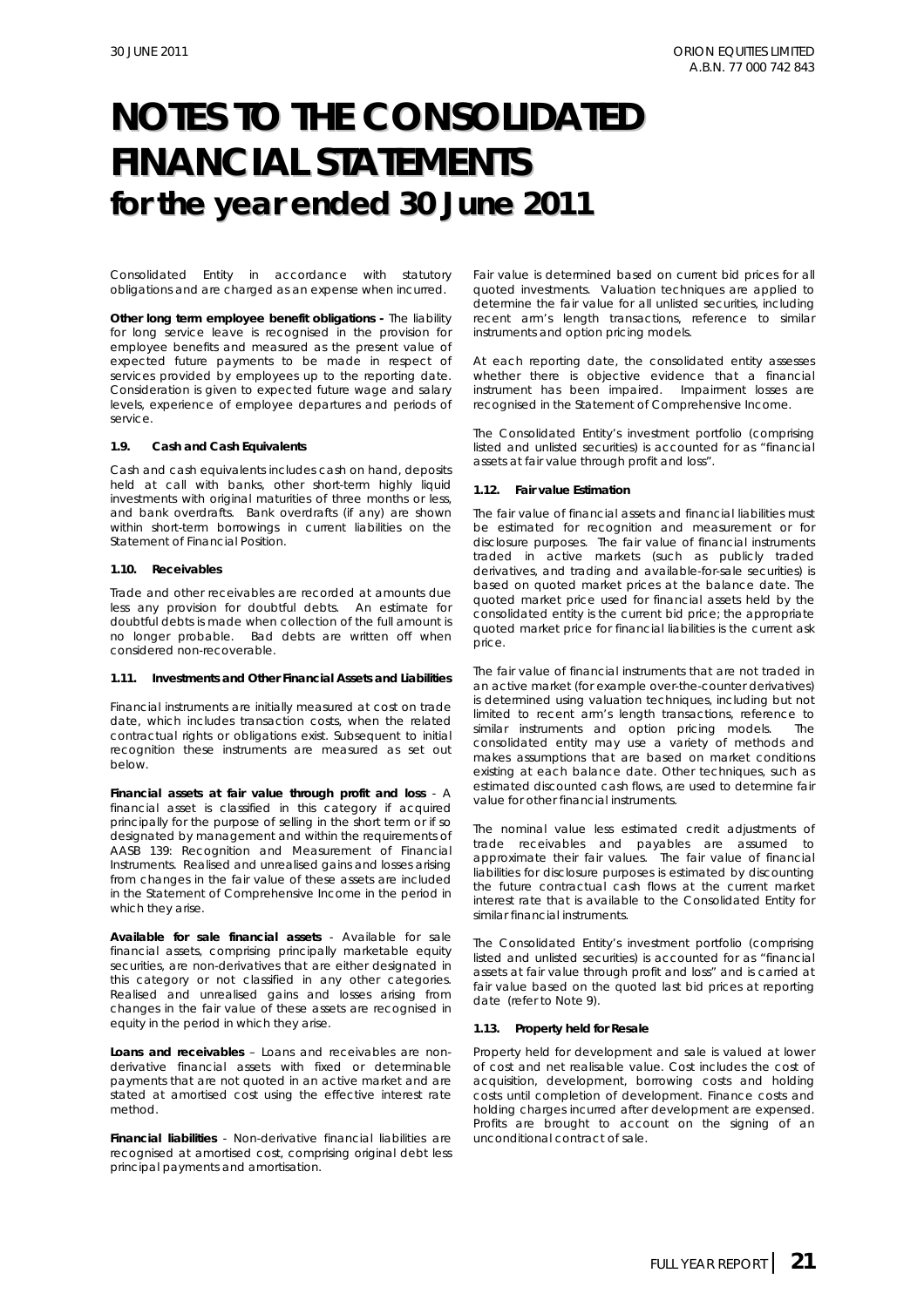Consolidated Entity in accordance with statutory obligations and are charged as an expense when incurred.

**Other long term employee benefit obligations -** The liability for long service leave is recognised in the provision for employee benefits and measured as the present value of expected future payments to be made in respect of services provided by employees up to the reporting date. Consideration is given to expected future wage and salary levels, experience of employee departures and periods of service.

#### **1.9. Cash and Cash Equivalents**

Cash and cash equivalents includes cash on hand, deposits held at call with banks, other short-term highly liquid investments with original maturities of three months or less, and bank overdrafts. Bank overdrafts (if any) are shown within short-term borrowings in current liabilities on the Statement of Financial Position.

#### **1.10. Receivables**

Trade and other receivables are recorded at amounts due less any provision for doubtful debts. An estimate for doubtful debts is made when collection of the full amount is no longer probable. Bad debts are written off when considered non-recoverable.

#### **1.11. Investments and Other Financial Assets and Liabilities**

Financial instruments are initially measured at cost on trade date, which includes transaction costs, when the related contractual rights or obligations exist. Subsequent to initial recognition these instruments are measured as set out below.

*Financial assets at fair value through profit and loss* - A financial asset is classified in this category if acquired principally for the purpose of selling in the short term or if so designated by management and within the requirements of AASB 139: Recognition and Measurement of Financial Instruments. Realised and unrealised gains and losses arising from changes in the fair value of these assets are included in the Statement of Comprehensive Income in the period in which they arise.

*Available for sale financial assets* - Available for sale financial assets, comprising principally marketable equity securities, are non-derivatives that are either designated in this category or not classified in any other categories. Realised and unrealised gains and losses arising from changes in the fair value of these assets are recognised in equity in the period in which they arise.

*Loans and receivables* – Loans and receivables are nonderivative financial assets with fixed or determinable payments that are not quoted in an active market and are stated at amortised cost using the effective interest rate method.

*Financial liabilities* - Non-derivative financial liabilities are recognised at amortised cost, comprising original debt less principal payments and amortisation.

Fair value is determined based on current bid prices for all quoted investments. Valuation techniques are applied to determine the fair value for all unlisted securities, including recent arm's length transactions, reference to similar instruments and option pricing models.

At each reporting date, the consolidated entity assesses whether there is objective evidence that  $a$  financial instrument has been impaired. Impairment losses are recognised in the Statement of Comprehensive Income.

The Consolidated Entity's investment portfolio (comprising listed and unlisted securities) is accounted for as "financial assets at fair value through profit and loss".

#### **1.12. Fair value Estimation**

The fair value of financial assets and financial liabilities must be estimated for recognition and measurement or for disclosure purposes. The fair value of financial instruments traded in active markets (such as publicly traded derivatives, and trading and available-for-sale securities) is based on quoted market prices at the balance date. The quoted market price used for financial assets held by the consolidated entity is the current bid price; the appropriate quoted market price for financial liabilities is the current ask price.

The fair value of financial instruments that are not traded in an active market (for example over-the-counter derivatives) is determined using valuation techniques, including but not limited to recent arm's length transactions, reference to similar instruments and option pricing models. The consolidated entity may use a variety of methods and makes assumptions that are based on market conditions existing at each balance date. Other techniques, such as estimated discounted cash flows, are used to determine fair value for other financial instruments.

The nominal value less estimated credit adjustments of trade receivables and payables are assumed to approximate their fair values. The fair value of financial liabilities for disclosure purposes is estimated by discounting the future contractual cash flows at the current market interest rate that is available to the Consolidated Entity for similar financial instruments.

The Consolidated Entity's investment portfolio (comprising listed and unlisted securities) is accounted for as "financial assets at fair value through profit and loss" and is carried at fair value based on the quoted last bid prices at reporting date (refer to Note 9).

#### **1.13. Property held for Resale**

Property held for development and sale is valued at lower of cost and net realisable value. Cost includes the cost of acquisition, development, borrowing costs and holding costs until completion of development. Finance costs and holding charges incurred after development are expensed. Profits are brought to account on the signing of an unconditional contract of sale.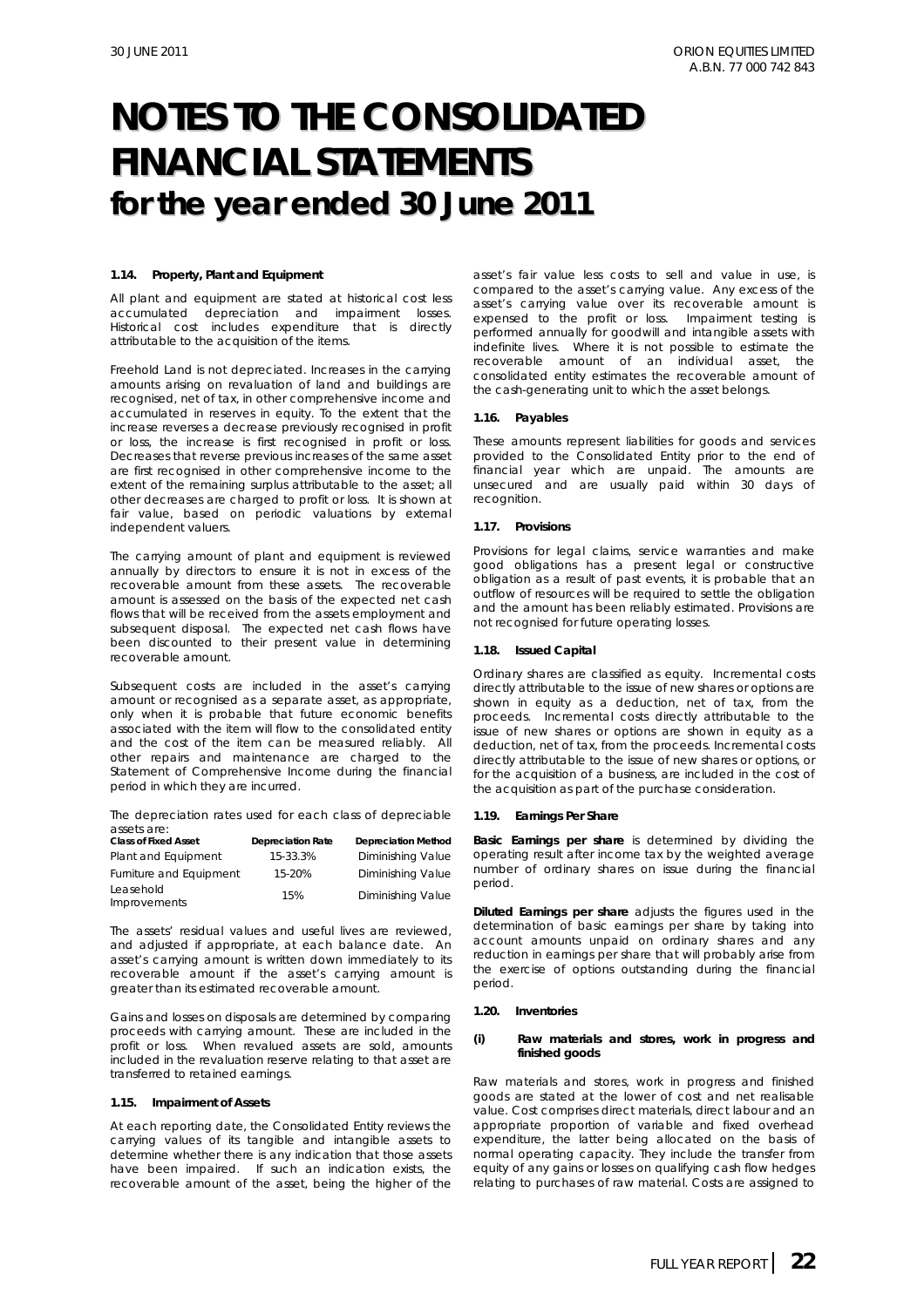#### **1.14. Property, Plant and Equipment**

All plant and equipment are stated at historical cost less accumulated depreciation and impairment losses. Historical cost includes expenditure that is directly attributable to the acquisition of the items.

Freehold Land is not depreciated. Increases in the carrying amounts arising on revaluation of land and buildings are recognised, net of tax, in other comprehensive income and accumulated in reserves in equity. To the extent that the increase reverses a decrease previously recognised in profit or loss, the increase is first recognised in profit or loss. Decreases that reverse previous increases of the same asset are first recognised in other comprehensive income to the extent of the remaining surplus attributable to the asset; all other decreases are charged to profit or loss. It is shown at fair value, based on periodic valuations by external independent valuers.

The carrying amount of plant and equipment is reviewed annually by directors to ensure it is not in excess of the recoverable amount from these assets. The recoverable amount is assessed on the basis of the expected net cash flows that will be received from the assets employment and subsequent disposal. The expected net cash flows have been discounted to their present value in determining recoverable amount.

Subsequent costs are included in the asset's carrying amount or recognised as a separate asset, as appropriate, only when it is probable that future economic benefits associated with the item will flow to the consolidated entity and the cost of the item can be measured reliably. All other repairs and maintenance are charged to the Statement of Comprehensive Income during the financial period in which they are incurred.

The depreciation rates used for each class of depreciable assets are:

| <b>Class of Fixed Asset</b> | <b>Depreciation Rate</b> | <b>Depreciation Method</b> |
|-----------------------------|--------------------------|----------------------------|
| Plant and Equipment         | 15-33.3%                 | Diminishing Value          |
| Furniture and Equipment     | 15-20%                   | Diminishing Value          |
| Leasehold<br>Improvements   | 15%                      | Diminishing Value          |

The assets' residual values and useful lives are reviewed, and adjusted if appropriate, at each balance date. An asset's carrying amount is written down immediately to its recoverable amount if the asset's carrying amount is greater than its estimated recoverable amount.

Gains and losses on disposals are determined by comparing proceeds with carrying amount. These are included in the profit or loss. When revalued assets are sold, amounts included in the revaluation reserve relating to that asset are transferred to retained earnings.

#### **1.15. Impairment of Assets**

At each reporting date, the Consolidated Entity reviews the carrying values of its tangible and intangible assets to determine whether there is any indication that those assets have been impaired. If such an indication exists, the recoverable amount of the asset, being the higher of the

asset's fair value less costs to sell and value in use, is compared to the asset's carrying value. Any excess of the asset's carrying value over its recoverable amount is expensed to the profit or loss. Impairment testing is performed annually for goodwill and intangible assets with indefinite lives. Where it is not possible to estimate the recoverable amount of an individual asset, the consolidated entity estimates the recoverable amount of the cash-generating unit to which the asset belongs.

#### **1.16. Payables**

These amounts represent liabilities for goods and services provided to the Consolidated Entity prior to the end of financial year which are unpaid. The amounts are unsecured and are usually paid within 30 days of recognition.

#### **1.17. Provisions**

Provisions for legal claims, service warranties and make good obligations has a present legal or constructive obligation as a result of past events, it is probable that an outflow of resources will be required to settle the obligation and the amount has been reliably estimated. Provisions are not recognised for future operating losses.

#### **1.18. Issued Capital**

Ordinary shares are classified as equity. Incremental costs directly attributable to the issue of new shares or options are shown in equity as a deduction, net of tax, from the proceeds. Incremental costs directly attributable to the issue of new shares or options are shown in equity as a deduction, net of tax, from the proceeds. Incremental costs directly attributable to the issue of new shares or options, or for the acquisition of a business, are included in the cost of the acquisition as part of the purchase consideration.

#### **1.19. Earnings Per Share**

*Basic Earnings per share* is determined by dividing the operating result after income tax by the weighted average number of ordinary shares on issue during the financial period.

*Diluted Earnings per share* adjusts the figures used in the determination of basic earnings per share by taking into account amounts unpaid on ordinary shares and any reduction in earnings per share that will probably arise from the exercise of options outstanding during the financial period.

#### **1.20. Inventories**

#### *(i)* **Raw materials and stores, work in progress and finished goods**

Raw materials and stores, work in progress and finished goods are stated at the lower of cost and net realisable value. Cost comprises direct materials, direct labour and an appropriate proportion of variable and fixed overhead expenditure, the latter being allocated on the basis of normal operating capacity. They include the transfer from equity of any gains or losses on qualifying cash flow hedges relating to purchases of raw material. Costs are assigned to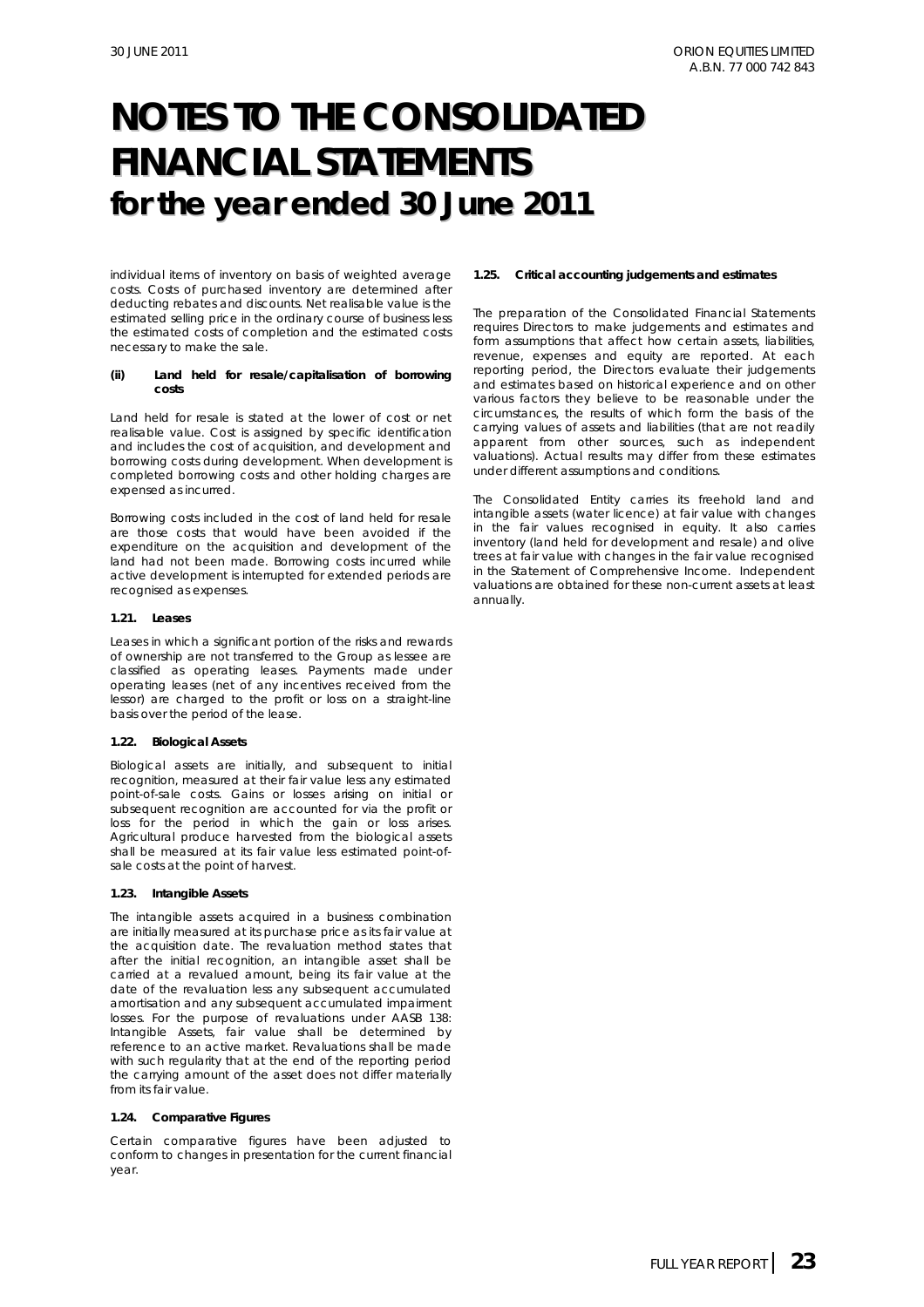individual items of inventory on basis of weighted average costs. Costs of purchased inventory are determined after deducting rebates and discounts. Net realisable value is the estimated selling price in the ordinary course of business less the estimated costs of completion and the estimated costs necessary to make the sale.

#### *(ii)* **Land held for resale/capitalisation of borrowing costs**

Land held for resale is stated at the lower of cost or net realisable value. Cost is assigned by specific identification and includes the cost of acquisition, and development and borrowing costs during development. When development is completed borrowing costs and other holding charges are expensed as incurred.

Borrowing costs included in the cost of land held for resale are those costs that would have been avoided if the expenditure on the acquisition and development of the land had not been made. Borrowing costs incurred while active development is interrupted for extended periods are recognised as expenses.

#### **1.21. Leases**

Leases in which a significant portion of the risks and rewards of ownership are not transferred to the Group as lessee are classified as operating leases. Payments made under operating leases (net of any incentives received from the lessor) are charged to the profit or loss on a straight-line basis over the period of the lease.

#### **1.22. Biological Assets**

Biological assets are initially, and subsequent to initial recognition, measured at their fair value less any estimated point-of-sale costs. Gains or losses arising on initial or subsequent recognition are accounted for via the profit or loss for the period in which the gain or loss arises. Agricultural produce harvested from the biological assets shall be measured at its fair value less estimated point-ofsale costs at the point of harvest.

#### **1.23. Intangible Assets**

The intangible assets acquired in a business combination are initially measured at its purchase price as its fair value at the acquisition date. The revaluation method states that after the initial recognition, an intangible asset shall be carried at a revalued amount, being its fair value at the date of the revaluation less any subsequent accumulated amortisation and any subsequent accumulated impairment losses. For the purpose of revaluations under AASB 138: *Intangible Assets*, fair value shall be determined by reference to an active market. Revaluations shall be made with such regularity that at the end of the reporting period the carrying amount of the asset does not differ materially from its fair value.

#### **1.24. Comparative Figures**

Certain comparative figures have been adjusted to conform to changes in presentation for the current financial year.

#### **1.25. Critical accounting judgements and estimates**

The preparation of the Consolidated Financial Statements requires Directors to make judgements and estimates and form assumptions that affect how certain assets, liabilities, revenue, expenses and equity are reported. At each reporting period, the Directors evaluate their judgements and estimates based on historical experience and on other various factors they believe to be reasonable under the circumstances, the results of which form the basis of the carrying values of assets and liabilities (that are not readily apparent from other sources, such as independent valuations). Actual results may differ from these estimates under different assumptions and conditions.

The Consolidated Entity carries its freehold land and intangible assets (water licence) at fair value with changes in the fair values recognised in equity. It also carries inventory (land held for development and resale) and olive trees at fair value with changes in the fair value recognised in the Statement of Comprehensive Income. Independent valuations are obtained for these non-current assets at least annually.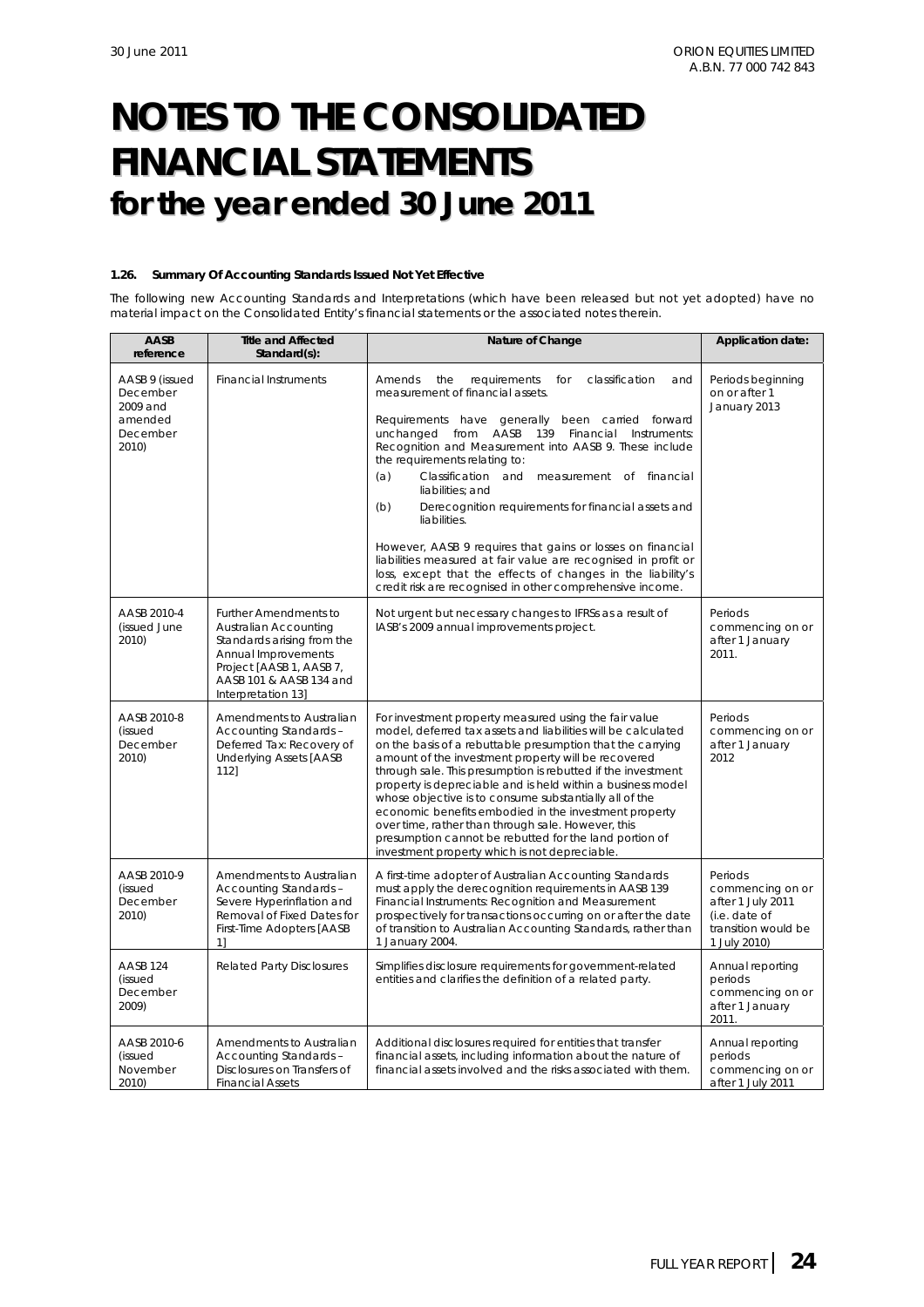#### **1.26. Summary Of Accounting Standards Issued Not Yet Effective**

The following new Accounting Standards and Interpretations (which have been released but not yet adopted) have no material impact on the Consolidated Entity's financial statements or the associated notes therein.

| AASB<br>reference                                                      | <b>Title and Affected</b><br>Standard(s):                                                                                                                                               | Nature of Change                                                                                                                                                                                                                                                                                                                                                                                                                                                                                                                                                                                                                                                                                                                | Application date:                                                                                        |
|------------------------------------------------------------------------|-----------------------------------------------------------------------------------------------------------------------------------------------------------------------------------------|---------------------------------------------------------------------------------------------------------------------------------------------------------------------------------------------------------------------------------------------------------------------------------------------------------------------------------------------------------------------------------------------------------------------------------------------------------------------------------------------------------------------------------------------------------------------------------------------------------------------------------------------------------------------------------------------------------------------------------|----------------------------------------------------------------------------------------------------------|
| AASB 9 (issued<br>December<br>2009 and<br>amended<br>December<br>2010) | <b>Financial Instruments</b>                                                                                                                                                            | for<br>classification<br>Amends<br>the<br>requirements<br>and<br>measurement of financial assets.<br>Requirements have generally<br>been carried forward<br>unchanged from AASB<br>139 Financial<br>Instruments:<br>Recognition and Measurement into AASB 9. These include<br>the requirements relating to:<br>(a)<br>Classification and measurement of financial<br>liabilities; and<br>Derecognition requirements for financial assets and<br>(b)<br>liabilities.<br>However, AASB 9 requires that gains or losses on financial<br>liabilities measured at fair value are recognised in profit or<br>loss, except that the effects of changes in the liability's<br>credit risk are recognised in other comprehensive income. | Periods beginning<br>on or after 1<br>January 2013                                                       |
| AASB 2010-4<br>(issued June<br>2010)                                   | <b>Further Amendments to</b><br>Australian Accounting<br>Standards arising from the<br>Annual Improvements<br>Project [AASB 1, AASB 7,<br>AASB 101 & AASB 134 and<br>Interpretation 13] | Not urgent but necessary changes to IFRSs as a result of<br>IASB's 2009 annual improvements project.                                                                                                                                                                                                                                                                                                                                                                                                                                                                                                                                                                                                                            | Periods<br>commencing on or<br>after 1 January<br>2011.                                                  |
| AASB 2010-8<br>(issued<br>December<br>2010)                            | Amendments to Australian<br>Accounting Standards -<br>Deferred Tax: Recovery of<br><b>Underlying Assets [AASB</b><br>112]                                                               | For investment property measured using the fair value<br>model, deferred tax assets and liabilities will be calculated<br>on the basis of a rebuttable presumption that the carrying<br>amount of the investment property will be recovered<br>through sale. This presumption is rebutted if the investment<br>property is depreciable and is held within a business model<br>whose objective is to consume substantially all of the<br>economic benefits embodied in the investment property<br>over time, rather than through sale. However, this<br>presumption cannot be rebutted for the land portion of<br>investment property which is not depreciable.                                                                  | Periods<br>commencing on or<br>after 1 January<br>2012                                                   |
| AASB 2010-9<br>(issued<br>December<br>2010)                            | Amendments to Australian<br>Accounting Standards -<br>Severe Hyperinflation and<br>Removal of Fixed Dates for<br>First-Time Adopters [AASB<br>11                                        | A first-time adopter of Australian Accounting Standards<br>must apply the derecognition requirements in AASB 139<br>Financial Instruments: Recognition and Measurement<br>prospectively for transactions occurring on or after the date<br>of transition to Australian Accounting Standards, rather than<br>1 January 2004.                                                                                                                                                                                                                                                                                                                                                                                                     | Periods<br>commencing on or<br>after 1 July 2011<br>(i.e. date of<br>transition would be<br>1 July 2010) |
| AASB 124<br>(issued<br>December<br>2009)                               | <b>Related Party Disclosures</b>                                                                                                                                                        | Simplifies disclosure requirements for government-related<br>entities and clarifies the definition of a related party.                                                                                                                                                                                                                                                                                                                                                                                                                                                                                                                                                                                                          | Annual reporting<br>periods<br>commencing on or<br>after 1 January<br>2011.                              |
| AASB 2010-6<br>(issued<br>November<br>2010)                            | Amendments to Australian<br>Accounting Standards -<br>Disclosures on Transfers of<br><b>Financial Assets</b>                                                                            | Additional disclosures required for entities that transfer<br>financial assets, including information about the nature of<br>financial assets involved and the risks associated with them.                                                                                                                                                                                                                                                                                                                                                                                                                                                                                                                                      | Annual reporting<br>periods<br>commencing on or<br>after 1 July 2011                                     |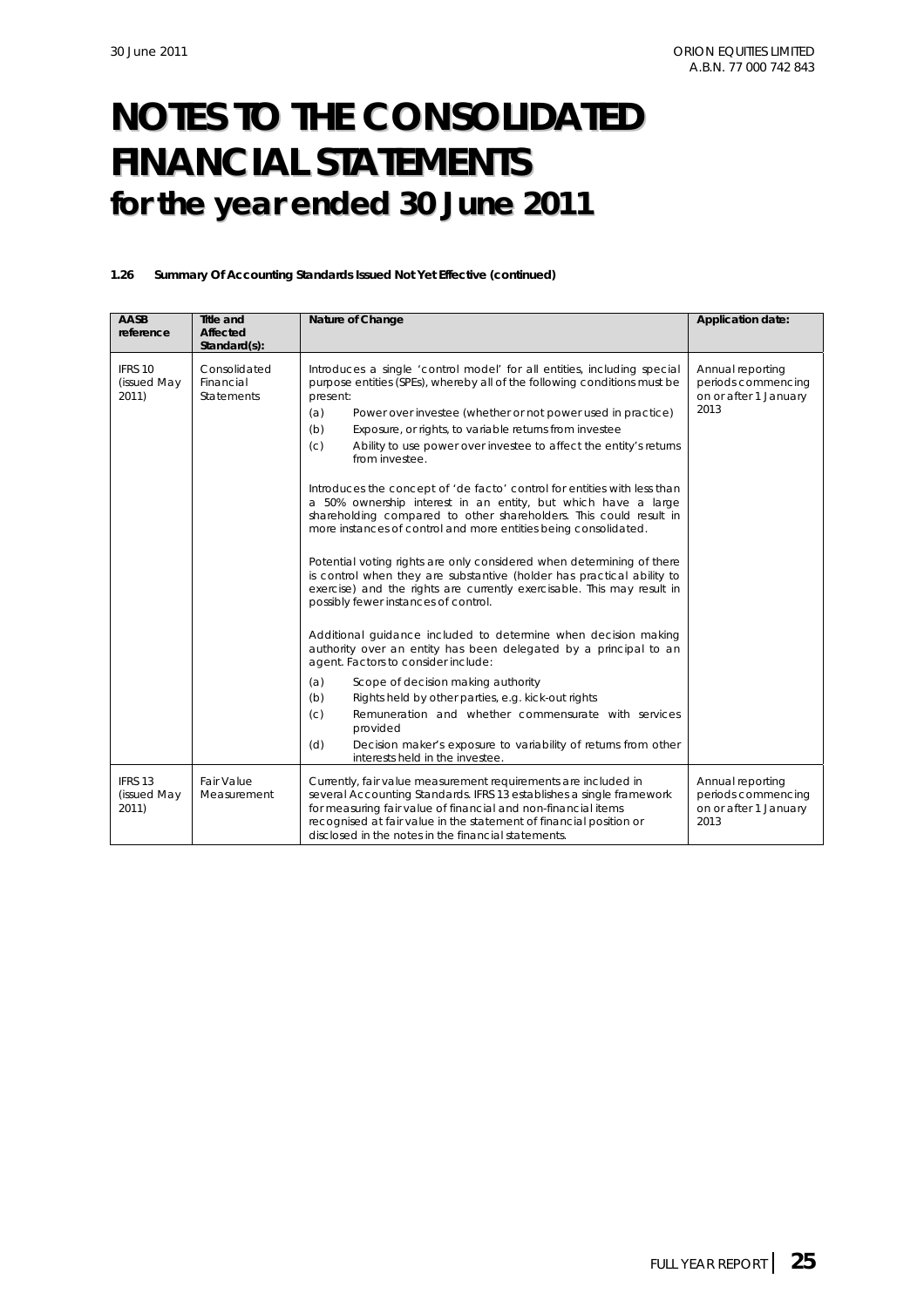#### **1.26 Summary Of Accounting Standards Issued Not Yet Effective (continued)**

| AASB<br>reference               | <b>Title and</b><br>Affected<br>Standard(s):   | Nature of Change                                                                                                                                                                                                                                                                                                                                                                                                                                                                                                                                                                                                                                                                                                                                                                                                                                                                                                                                                                                                                                                                                                                                                                                                                                                                                                                                                                                                                           | Application date:                                                       |
|---------------------------------|------------------------------------------------|--------------------------------------------------------------------------------------------------------------------------------------------------------------------------------------------------------------------------------------------------------------------------------------------------------------------------------------------------------------------------------------------------------------------------------------------------------------------------------------------------------------------------------------------------------------------------------------------------------------------------------------------------------------------------------------------------------------------------------------------------------------------------------------------------------------------------------------------------------------------------------------------------------------------------------------------------------------------------------------------------------------------------------------------------------------------------------------------------------------------------------------------------------------------------------------------------------------------------------------------------------------------------------------------------------------------------------------------------------------------------------------------------------------------------------------------|-------------------------------------------------------------------------|
| IFRS 10<br>(issued May<br>2011) | Consolidated<br>Financial<br><b>Statements</b> | Introduces a single 'control model' for all entities, including special<br>purpose entities (SPEs), whereby all of the following conditions must be<br>present:<br>Power over investee (whether or not power used in practice)<br>(a)<br>Exposure, or rights, to variable returns from investee<br>(b)<br>(c)<br>Ability to use power over investee to affect the entity's returns<br>from investee.<br>Introduces the concept of 'de facto' control for entities with less than<br>a 50% ownership interest in an entity, but which have a large<br>shareholding compared to other shareholders. This could result in<br>more instances of control and more entities being consolidated.<br>Potential voting rights are only considered when determining of there<br>is control when they are substantive (holder has practical ability to<br>exercise) and the rights are currently exercisable. This may result in<br>possibly fewer instances of control.<br>Additional guidance included to determine when decision making<br>authority over an entity has been delegated by a principal to an<br>agent. Factors to consider include:<br>(a)<br>Scope of decision making authority<br>Rights held by other parties, e.g. kick-out rights<br>(b)<br>Remuneration and whether commensurate with services<br>(c)<br>provided<br>Decision maker's exposure to variability of returns from other<br>(d)<br>interests held in the investee. | Annual reporting<br>periods commencing<br>on or after 1 January<br>2013 |
| IFRS 13<br>(issued May<br>2011) | Fair Value<br>Measurement                      | Currently, fair value measurement requirements are included in<br>several Accounting Standards. IFRS 13 establishes a single framework<br>for measuring fair value of financial and non-financial items<br>recognised at fair value in the statement of financial position or<br>disclosed in the notes in the financial statements.                                                                                                                                                                                                                                                                                                                                                                                                                                                                                                                                                                                                                                                                                                                                                                                                                                                                                                                                                                                                                                                                                                       | Annual reporting<br>periods commencing<br>on or after 1 January<br>2013 |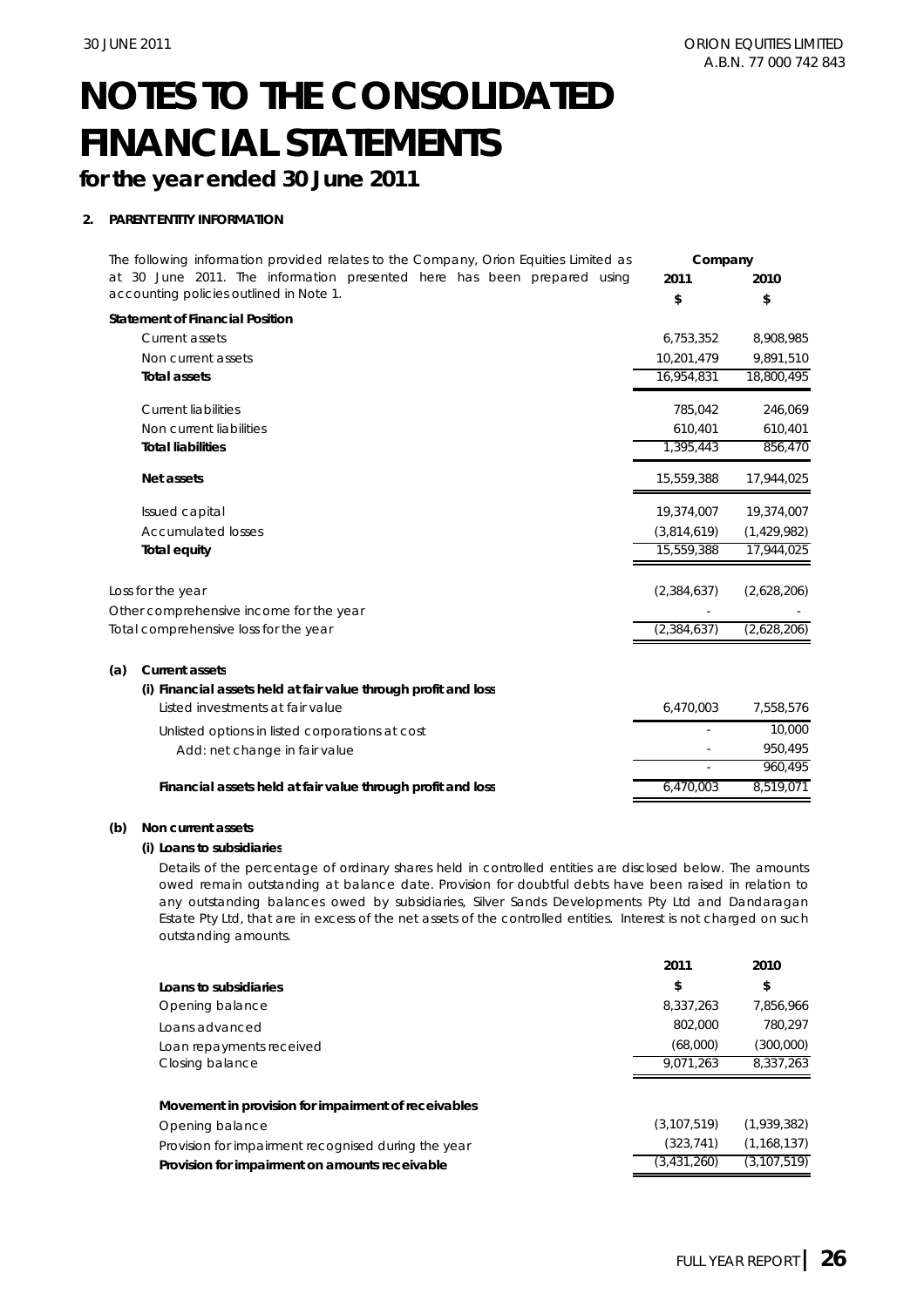## **for the year ended 30 June 2011**

### **2. PARENT ENTITY INFORMATION**

| The following information provided relates to the Company, Orion Equities Limited as | Company       |             |
|--------------------------------------------------------------------------------------|---------------|-------------|
| at 30 June 2011. The information presented here has been prepared using              | 2011          | 2010        |
| accounting policies outlined in Note 1.                                              | \$            | \$          |
| <b>Statement of Financial Position</b>                                               |               |             |
| Current assets                                                                       | 6,753,352     | 8,908,985   |
| Non current assets                                                                   | 10.201.479    | 9,891,510   |
| <b>Total assets</b>                                                                  | 16,954,831    | 18,800,495  |
| <b>Current liabilities</b>                                                           | 785,042       | 246,069     |
| Non current liabilities                                                              | 610,401       | 610,401     |
| <b>Total liabilities</b>                                                             | 1,395,443     | 856,470     |
| <b>Net assets</b>                                                                    | 15,559,388    | 17,944,025  |
| Issued capital                                                                       | 19,374,007    | 19,374,007  |
| <b>Accumulated losses</b>                                                            | (3,814,619)   | (1,429,982) |
| <b>Total equity</b>                                                                  | 15,559,388    | 17,944,025  |
| Loss for the year                                                                    | (2, 384, 637) | (2,628,206) |
| Other comprehensive income for the year                                              |               |             |
| Total comprehensive loss for the year                                                | (2,384,637)   | (2,628,206) |
| <b>Current assets</b><br>(a)                                                         |               |             |
| (i) Financial assets held at fair value through profit and loss                      |               |             |
| Listed investments at fair value                                                     | 6,470,003     | 7,558,576   |
| Unlisted options in listed corporations at cost                                      |               | 10,000      |
| Add: net change in fair value                                                        |               | 950,495     |
|                                                                                      |               | 960,495     |
| Financial assets held at fair value through profit and loss                          | 6,470,003     | 8,519,071   |

#### **(b) Non current assets**

#### **(i) Loans to subsidiaries**

Details of the percentage of ordinary shares held in controlled entities are disclosed below. The amounts owed remain outstanding at balance date. Provision for doubtful debts have been raised in relation to any outstanding balances owed by subsidiaries, Silver Sands Developments Pty Ltd and Dandaragan Estate Pty Ltd, that are in excess of the net assets of the controlled entities. Interest is not charged on such outstanding amounts.

|                                                     | 2011          | 2010          |
|-----------------------------------------------------|---------------|---------------|
| Loans to subsidiaries                               | \$            | \$            |
| Opening balance                                     | 8,337,263     | 7.856.966     |
| Loans advanced                                      | 802.000       | 780,297       |
| Loan repayments received                            | (68,000)      | (300,000)     |
| Closing balance                                     | 9.071.263     | 8,337,263     |
| Movement in provision for impairment of receivables |               |               |
| Opening balance                                     | (3, 107, 519) | (1,939,382)   |
| Provision for impairment recognised during the year | (323, 741)    | (1, 168, 137) |
| Provision for impairment on amounts receivable      | (3,431,260)   | (3, 107, 519) |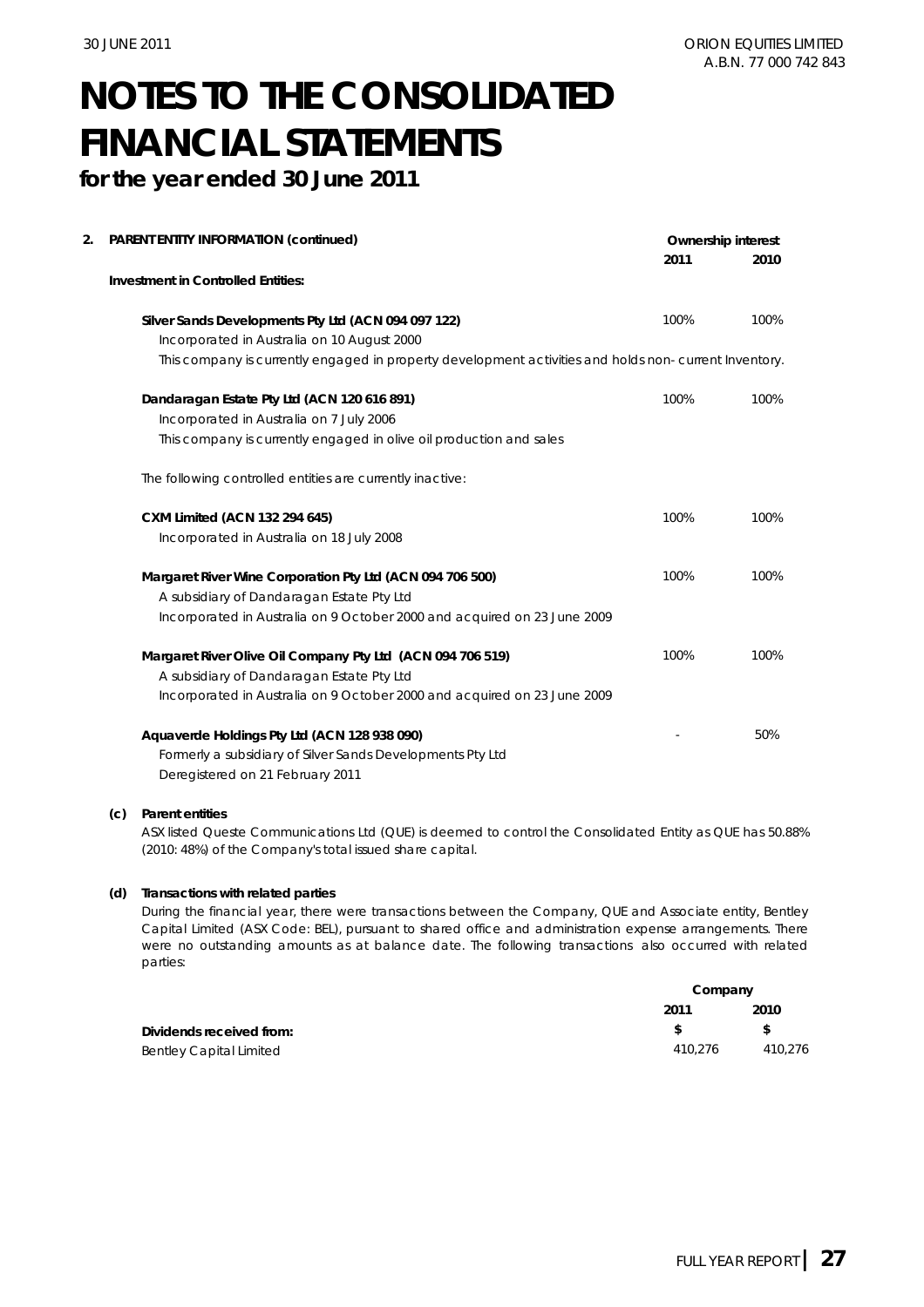**for the year ended 30 June 2011**

| 2. | PARENT ENTITY INFORMATION (continued)                                                                 | <b>Ownership interest</b> |      |
|----|-------------------------------------------------------------------------------------------------------|---------------------------|------|
|    |                                                                                                       | 2011                      | 2010 |
|    | <b>Investment in Controlled Entities:</b>                                                             |                           |      |
|    | Silver Sands Developments Pty Ltd (ACN 094 097 122)                                                   | 100%                      | 100% |
|    | Incorporated in Australia on 10 August 2000                                                           |                           |      |
|    | This company is currently engaged in property development activities and holds non-current Inventory. |                           |      |
|    | Dandaragan Estate Pty Ltd (ACN 120 616 891)                                                           | 100%                      | 100% |
|    | Incorporated in Australia on 7 July 2006                                                              |                           |      |
|    | This company is currently engaged in olive oil production and sales                                   |                           |      |
|    | The following controlled entities are currently inactive:                                             |                           |      |
|    | CXM Limited (ACN 132 294 645)                                                                         | 100%                      | 100% |
|    | Incorporated in Australia on 18 July 2008                                                             |                           |      |
|    | Margaret River Wine Corporation Pty Ltd (ACN 094 706 500)                                             | 100%                      | 100% |
|    | A subsidiary of Dandaragan Estate Pty Ltd                                                             |                           |      |
|    | Incorporated in Australia on 9 October 2000 and acquired on 23 June 2009                              |                           |      |
|    | Margaret River Olive Oil Company Pty Ltd (ACN 094 706 519)                                            | 100%                      | 100% |
|    | A subsidiary of Dandaragan Estate Pty Ltd                                                             |                           |      |
|    | Incorporated in Australia on 9 October 2000 and acquired on 23 June 2009                              |                           |      |
|    | Aquaverde Holdings Pty Ltd (ACN 128 938 090)                                                          |                           | 50%  |
|    | Formerly a subsidiary of Silver Sands Developments Pty Ltd                                            |                           |      |
|    | Deregistered on 21 February 2011                                                                      |                           |      |
|    |                                                                                                       |                           |      |

#### **(c) Parent entities**

ASX listed Queste Communications Ltd (QUE) is deemed to control the Consolidated Entity as QUE has 50.88% (2010: 48%) of the Company's total issued share capital.

#### **(d) Transactions with related parties**

During the financial year, there were transactions between the Company, QUE and Associate entity, Bentley Capital Limited (ASX Code: BEL), pursuant to shared office and administration expense arrangements. There were no outstanding amounts as at balance date. The following transactions also occurred with related parties:

|                                | Company |         |
|--------------------------------|---------|---------|
|                                | 2011    | 2010    |
| Dividends received from:       |         | £.      |
| <b>Bentley Capital Limited</b> | 410.276 | 410.276 |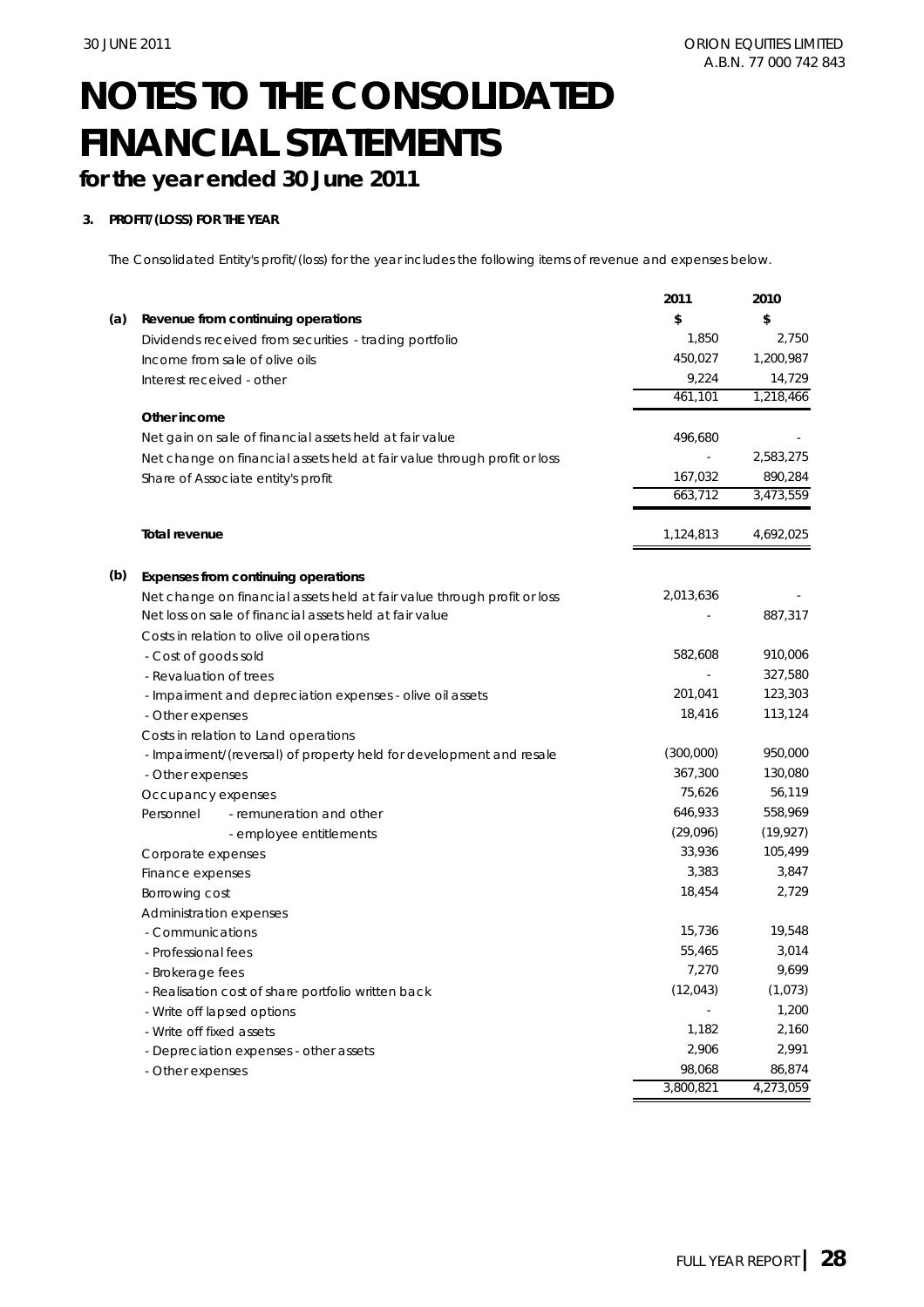## **for the year ended 30 June 2011**

### **3. PROFIT/(LOSS) FOR THE YEAR**

The Consolidated Entity's profit/(loss) for the year includes the following items of revenue and expenses below.

|     |                                                                          | 2011      | 2010      |
|-----|--------------------------------------------------------------------------|-----------|-----------|
| (a) | Revenue from continuing operations                                       | \$        | \$        |
|     | Dividends received from securities - trading portfolio                   | 1,850     | 2,750     |
|     | Income from sale of olive oils                                           | 450,027   | 1,200,987 |
|     | Interest received - other                                                | 9,224     | 14,729    |
|     |                                                                          | 461,101   | 1,218,466 |
|     | Other income                                                             |           |           |
|     | Net gain on sale of financial assets held at fair value                  | 496,680   |           |
|     | Net change on financial assets held at fair value through profit or loss |           | 2,583,275 |
|     | Share of Associate entity's profit                                       | 167,032   | 890,284   |
|     |                                                                          | 663,712   | 3,473,559 |
|     | <b>Total revenue</b>                                                     | 1,124,813 | 4,692,025 |
|     |                                                                          |           |           |
| (b) | Expenses from continuing operations                                      |           |           |
|     | Net change on financial assets held at fair value through profit or loss | 2,013,636 |           |
|     | Net loss on sale of financial assets held at fair value                  |           | 887,317   |
|     | Costs in relation to olive oil operations                                |           |           |
|     | - Cost of goods sold                                                     | 582,608   | 910,006   |
|     | - Revaluation of trees                                                   |           | 327,580   |
|     | - Impairment and depreciation expenses - olive oil assets                | 201,041   | 123,303   |
|     | - Other expenses                                                         | 18,416    | 113,124   |
|     | Costs in relation to Land operations                                     |           |           |
|     | - Impairment/(reversal) of property held for development and resale      | (300,000) | 950,000   |
|     | - Other expenses                                                         | 367,300   | 130,080   |
|     | Occupancy expenses                                                       | 75,626    | 56,119    |
|     | Personnel<br>- remuneration and other                                    | 646,933   | 558,969   |
|     | - employee entitlements                                                  | (29,096)  | (19, 927) |
|     | Corporate expenses                                                       | 33,936    | 105,499   |
|     | Finance expenses                                                         | 3,383     | 3,847     |
|     | Borrowing cost                                                           | 18,454    | 2,729     |
|     | Administration expenses                                                  |           |           |
|     | - Communications                                                         | 15,736    | 19,548    |
|     | - Professional fees                                                      | 55,465    | 3,014     |
|     | - Brokerage fees                                                         | 7,270     | 9,699     |
|     | - Realisation cost of share portfolio written back                       | (12,043)  | (1,073)   |
|     | - Write off lapsed options                                               |           | 1.200     |
|     | - Write off fixed assets                                                 | 1,182     | 2,160     |
|     | - Depreciation expenses - other assets                                   | 2,906     | 2,991     |
|     | - Other expenses                                                         | 98,068    | 86,874    |
|     |                                                                          | 3,800,821 | 4,273,059 |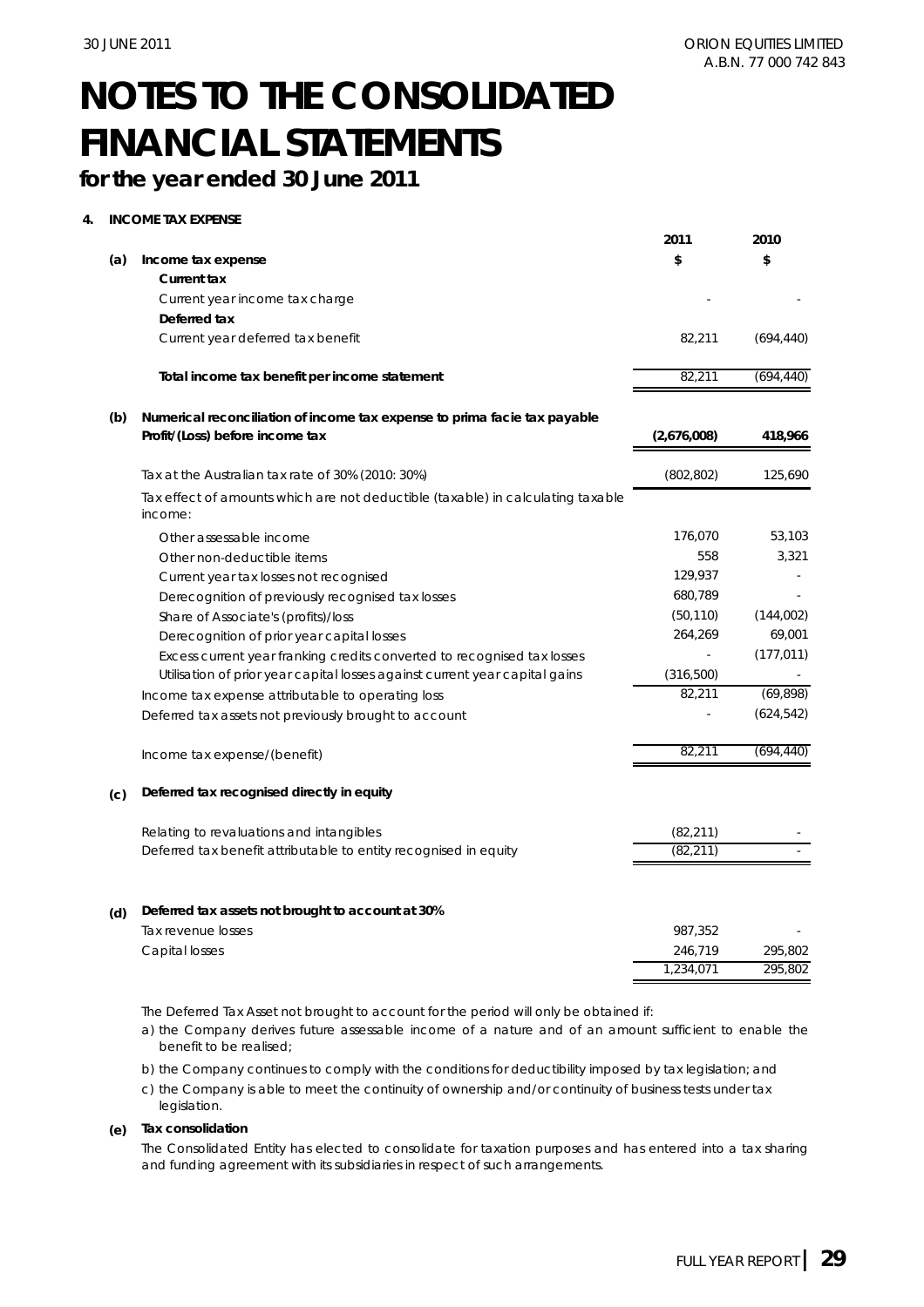## **for the year ended 30 June 2011**

### **4. INCOME TAX EXPENSE**

| \$<br>\$<br>(a)<br>Income tax expense<br><b>Current tax</b><br>Current year income tax charge<br>Deferred tax<br>Current year deferred tax benefit<br>82,211<br>(694, 440)<br>82,211<br>(694, 440)<br>Total income tax benefit per income statement<br>(b)<br>Numerical reconciliation of income tax expense to prima facie tax payable<br>Profit/(Loss) before income tax<br>(2,676,008)<br>418,966<br>(802, 802)<br>125,690<br>Tax at the Australian tax rate of 30% (2010: 30%)<br>Tax effect of amounts which are not deductible (taxable) in calculating taxable<br>income:<br>176,070<br>53,103<br>Other assessable income<br>558<br>3,321<br>Other non-deductible items<br>129,937<br>Current year tax losses not recognised<br>680,789<br>Derecognition of previously recognised tax losses<br>(50, 110)<br>(144,002)<br>Share of Associate's (profits)/loss<br>264,269<br>69,001<br>Derecognition of prior year capital losses<br>(177, 011)<br>Excess current year franking credits converted to recognised tax losses<br>(316, 500)<br>Utilisation of prior year capital losses against current year capital gains<br>(69, 898)<br>82,211<br>Income tax expense attributable to operating loss<br>(624, 542)<br>Deferred tax assets not previously brought to account<br>82,211<br>(694, 440)<br>Income tax expense/(benefit)<br>Deferred tax recognised directly in equity<br>(c)<br>Relating to revaluations and intangibles<br>(82, 211)<br>(82, 211)<br>Deferred tax benefit attributable to entity recognised in equity<br>Deferred tax assets not brought to account at 30%<br>(d)<br>Tax revenue losses<br>987,352<br>Capital losses<br>246,719<br>295,802<br>1,234,071<br>295,802 |  | 2011 | 2010 |
|------------------------------------------------------------------------------------------------------------------------------------------------------------------------------------------------------------------------------------------------------------------------------------------------------------------------------------------------------------------------------------------------------------------------------------------------------------------------------------------------------------------------------------------------------------------------------------------------------------------------------------------------------------------------------------------------------------------------------------------------------------------------------------------------------------------------------------------------------------------------------------------------------------------------------------------------------------------------------------------------------------------------------------------------------------------------------------------------------------------------------------------------------------------------------------------------------------------------------------------------------------------------------------------------------------------------------------------------------------------------------------------------------------------------------------------------------------------------------------------------------------------------------------------------------------------------------------------------------------------------------------------------------------------------------------------------------|--|------|------|
|                                                                                                                                                                                                                                                                                                                                                                                                                                                                                                                                                                                                                                                                                                                                                                                                                                                                                                                                                                                                                                                                                                                                                                                                                                                                                                                                                                                                                                                                                                                                                                                                                                                                                                      |  |      |      |
|                                                                                                                                                                                                                                                                                                                                                                                                                                                                                                                                                                                                                                                                                                                                                                                                                                                                                                                                                                                                                                                                                                                                                                                                                                                                                                                                                                                                                                                                                                                                                                                                                                                                                                      |  |      |      |
|                                                                                                                                                                                                                                                                                                                                                                                                                                                                                                                                                                                                                                                                                                                                                                                                                                                                                                                                                                                                                                                                                                                                                                                                                                                                                                                                                                                                                                                                                                                                                                                                                                                                                                      |  |      |      |
|                                                                                                                                                                                                                                                                                                                                                                                                                                                                                                                                                                                                                                                                                                                                                                                                                                                                                                                                                                                                                                                                                                                                                                                                                                                                                                                                                                                                                                                                                                                                                                                                                                                                                                      |  |      |      |
|                                                                                                                                                                                                                                                                                                                                                                                                                                                                                                                                                                                                                                                                                                                                                                                                                                                                                                                                                                                                                                                                                                                                                                                                                                                                                                                                                                                                                                                                                                                                                                                                                                                                                                      |  |      |      |
|                                                                                                                                                                                                                                                                                                                                                                                                                                                                                                                                                                                                                                                                                                                                                                                                                                                                                                                                                                                                                                                                                                                                                                                                                                                                                                                                                                                                                                                                                                                                                                                                                                                                                                      |  |      |      |
|                                                                                                                                                                                                                                                                                                                                                                                                                                                                                                                                                                                                                                                                                                                                                                                                                                                                                                                                                                                                                                                                                                                                                                                                                                                                                                                                                                                                                                                                                                                                                                                                                                                                                                      |  |      |      |
|                                                                                                                                                                                                                                                                                                                                                                                                                                                                                                                                                                                                                                                                                                                                                                                                                                                                                                                                                                                                                                                                                                                                                                                                                                                                                                                                                                                                                                                                                                                                                                                                                                                                                                      |  |      |      |
|                                                                                                                                                                                                                                                                                                                                                                                                                                                                                                                                                                                                                                                                                                                                                                                                                                                                                                                                                                                                                                                                                                                                                                                                                                                                                                                                                                                                                                                                                                                                                                                                                                                                                                      |  |      |      |
|                                                                                                                                                                                                                                                                                                                                                                                                                                                                                                                                                                                                                                                                                                                                                                                                                                                                                                                                                                                                                                                                                                                                                                                                                                                                                                                                                                                                                                                                                                                                                                                                                                                                                                      |  |      |      |
|                                                                                                                                                                                                                                                                                                                                                                                                                                                                                                                                                                                                                                                                                                                                                                                                                                                                                                                                                                                                                                                                                                                                                                                                                                                                                                                                                                                                                                                                                                                                                                                                                                                                                                      |  |      |      |
|                                                                                                                                                                                                                                                                                                                                                                                                                                                                                                                                                                                                                                                                                                                                                                                                                                                                                                                                                                                                                                                                                                                                                                                                                                                                                                                                                                                                                                                                                                                                                                                                                                                                                                      |  |      |      |
|                                                                                                                                                                                                                                                                                                                                                                                                                                                                                                                                                                                                                                                                                                                                                                                                                                                                                                                                                                                                                                                                                                                                                                                                                                                                                                                                                                                                                                                                                                                                                                                                                                                                                                      |  |      |      |
|                                                                                                                                                                                                                                                                                                                                                                                                                                                                                                                                                                                                                                                                                                                                                                                                                                                                                                                                                                                                                                                                                                                                                                                                                                                                                                                                                                                                                                                                                                                                                                                                                                                                                                      |  |      |      |
|                                                                                                                                                                                                                                                                                                                                                                                                                                                                                                                                                                                                                                                                                                                                                                                                                                                                                                                                                                                                                                                                                                                                                                                                                                                                                                                                                                                                                                                                                                                                                                                                                                                                                                      |  |      |      |
|                                                                                                                                                                                                                                                                                                                                                                                                                                                                                                                                                                                                                                                                                                                                                                                                                                                                                                                                                                                                                                                                                                                                                                                                                                                                                                                                                                                                                                                                                                                                                                                                                                                                                                      |  |      |      |
|                                                                                                                                                                                                                                                                                                                                                                                                                                                                                                                                                                                                                                                                                                                                                                                                                                                                                                                                                                                                                                                                                                                                                                                                                                                                                                                                                                                                                                                                                                                                                                                                                                                                                                      |  |      |      |
|                                                                                                                                                                                                                                                                                                                                                                                                                                                                                                                                                                                                                                                                                                                                                                                                                                                                                                                                                                                                                                                                                                                                                                                                                                                                                                                                                                                                                                                                                                                                                                                                                                                                                                      |  |      |      |
|                                                                                                                                                                                                                                                                                                                                                                                                                                                                                                                                                                                                                                                                                                                                                                                                                                                                                                                                                                                                                                                                                                                                                                                                                                                                                                                                                                                                                                                                                                                                                                                                                                                                                                      |  |      |      |
|                                                                                                                                                                                                                                                                                                                                                                                                                                                                                                                                                                                                                                                                                                                                                                                                                                                                                                                                                                                                                                                                                                                                                                                                                                                                                                                                                                                                                                                                                                                                                                                                                                                                                                      |  |      |      |
|                                                                                                                                                                                                                                                                                                                                                                                                                                                                                                                                                                                                                                                                                                                                                                                                                                                                                                                                                                                                                                                                                                                                                                                                                                                                                                                                                                                                                                                                                                                                                                                                                                                                                                      |  |      |      |
|                                                                                                                                                                                                                                                                                                                                                                                                                                                                                                                                                                                                                                                                                                                                                                                                                                                                                                                                                                                                                                                                                                                                                                                                                                                                                                                                                                                                                                                                                                                                                                                                                                                                                                      |  |      |      |
|                                                                                                                                                                                                                                                                                                                                                                                                                                                                                                                                                                                                                                                                                                                                                                                                                                                                                                                                                                                                                                                                                                                                                                                                                                                                                                                                                                                                                                                                                                                                                                                                                                                                                                      |  |      |      |
|                                                                                                                                                                                                                                                                                                                                                                                                                                                                                                                                                                                                                                                                                                                                                                                                                                                                                                                                                                                                                                                                                                                                                                                                                                                                                                                                                                                                                                                                                                                                                                                                                                                                                                      |  |      |      |
|                                                                                                                                                                                                                                                                                                                                                                                                                                                                                                                                                                                                                                                                                                                                                                                                                                                                                                                                                                                                                                                                                                                                                                                                                                                                                                                                                                                                                                                                                                                                                                                                                                                                                                      |  |      |      |
|                                                                                                                                                                                                                                                                                                                                                                                                                                                                                                                                                                                                                                                                                                                                                                                                                                                                                                                                                                                                                                                                                                                                                                                                                                                                                                                                                                                                                                                                                                                                                                                                                                                                                                      |  |      |      |
|                                                                                                                                                                                                                                                                                                                                                                                                                                                                                                                                                                                                                                                                                                                                                                                                                                                                                                                                                                                                                                                                                                                                                                                                                                                                                                                                                                                                                                                                                                                                                                                                                                                                                                      |  |      |      |
|                                                                                                                                                                                                                                                                                                                                                                                                                                                                                                                                                                                                                                                                                                                                                                                                                                                                                                                                                                                                                                                                                                                                                                                                                                                                                                                                                                                                                                                                                                                                                                                                                                                                                                      |  |      |      |

The Deferred Tax Asset not brought to account for the period will only be obtained if:

a) the Company derives future assessable income of a nature and of an amount sufficient to enable the benefit to be realised;

b) the Company continues to comply with the conditions for deductibility imposed by tax legislation; and

c) the Company is able to meet the continuity of ownership and/or continuity of business tests under tax legislation.

### **(e) Tax consolidation**

The Consolidated Entity has elected to consolidate for taxation purposes and has entered into a tax sharing and funding agreement with its subsidiaries in respect of such arrangements.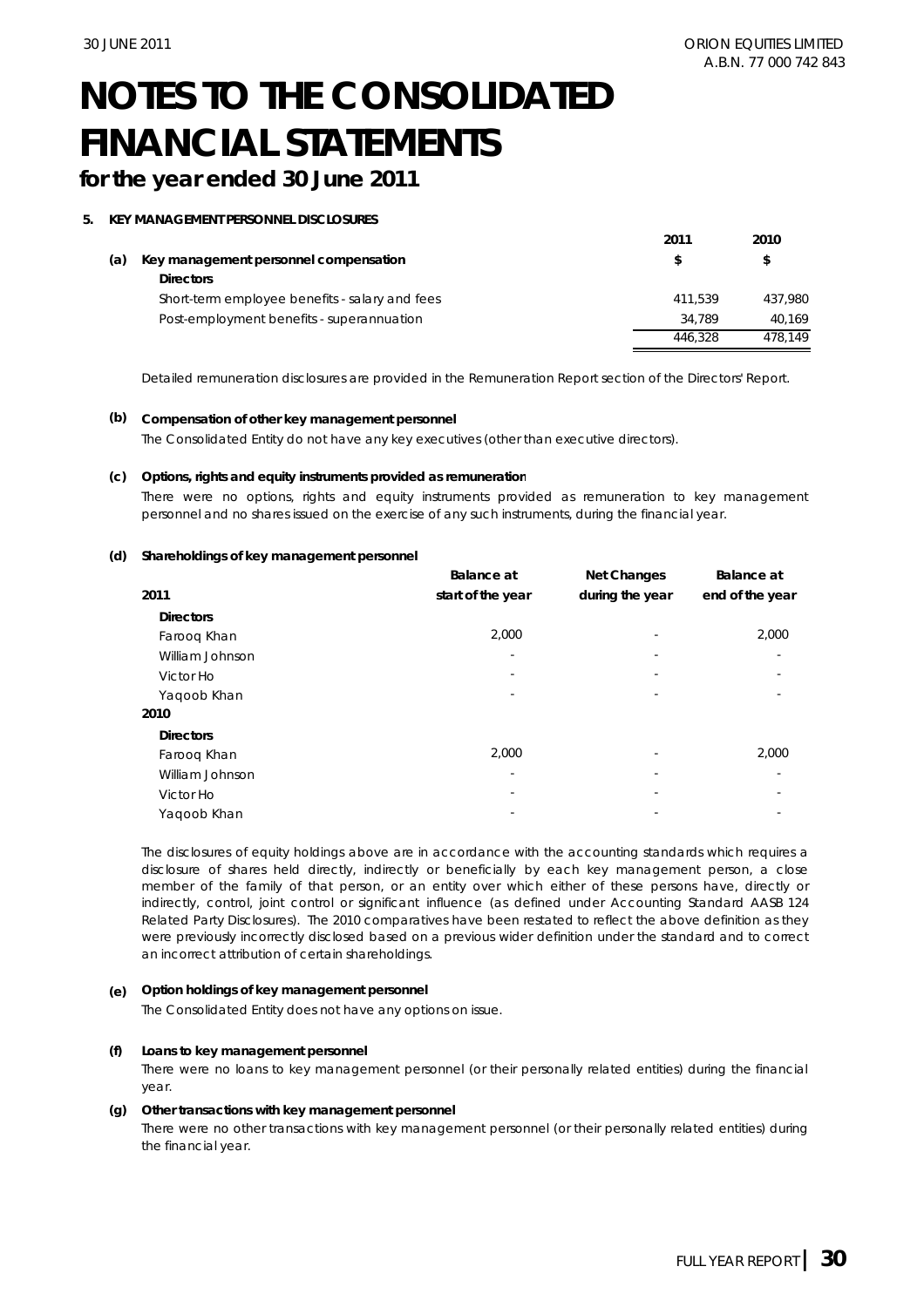## **for the year ended 30 June 2011**

#### **5. KEY MANAGEMENT PERSONNEL DISCLOSURES**

|     |                                                | 2011    | 2010    |
|-----|------------------------------------------------|---------|---------|
| (a) | Key management personnel compensation          | S       | S       |
|     | <b>Directors</b>                               |         |         |
|     | Short-term employee benefits - salary and fees | 411.539 | 437.980 |
|     | Post-employment benefits - superannuation      | 34.789  | 40.169  |
|     |                                                | 446.328 | 478.149 |

Detailed remuneration disclosures are provided in the Remuneration Report section of the Directors' Report.

#### **(b) Compensation of other key management personnel**

The Consolidated Entity do not have any key executives (other than executive directors).

#### **(c) Options, rights and equity instruments provided as remuneration**

There were no options, rights and equity instruments provided as remuneration to key management personnel and no shares issued on the exercise of any such instruments, during the financial year.

#### **(d) Shareholdings of key management personnel**

|                  | <b>Balance</b> at | <b>Net Changes</b>       | <b>Balance</b> at |
|------------------|-------------------|--------------------------|-------------------|
| 2011             | start of the year | during the year          | end of the year   |
| <b>Directors</b> |                   |                          |                   |
| Faroog Khan      | 2,000             |                          | 2,000             |
| William Johnson  | ٠                 |                          |                   |
| Victor Ho        |                   |                          |                   |
| Yaqoob Khan      |                   | $\overline{\phantom{a}}$ |                   |
| 2010             |                   |                          |                   |
| <b>Directors</b> |                   |                          |                   |
| Faroog Khan      | 2,000             |                          | 2,000             |
| William Johnson  |                   |                          |                   |
| Victor Ho        |                   |                          |                   |
| Yagoob Khan      |                   |                          |                   |

The disclosures of equity holdings above are in accordance with the accounting standards which requires a disclosure of shares held directly, indirectly or beneficially by each key management person, a close member of the family of that person, or an entity over which either of these persons have, directly or indirectly, control, joint control or significant influence (as defined under Accounting Standard AASB 124 Related Party Disclosures). The 2010 comparatives have been restated to reflect the above definition as they were previously incorrectly disclosed based on a previous wider definition under the standard and to correct an incorrect attribution of certain shareholdings.

#### **(e) Option holdings of key management personnel**

The Consolidated Entity does not have any options on issue.

#### **(f) Loans to key management personnel**

There were no loans to key management personnel (or their personally related entities) during the financial year.

#### **(g) Other transactions with key management personnel**

There were no other transactions with key management personnel (or their personally related entities) during the financial year.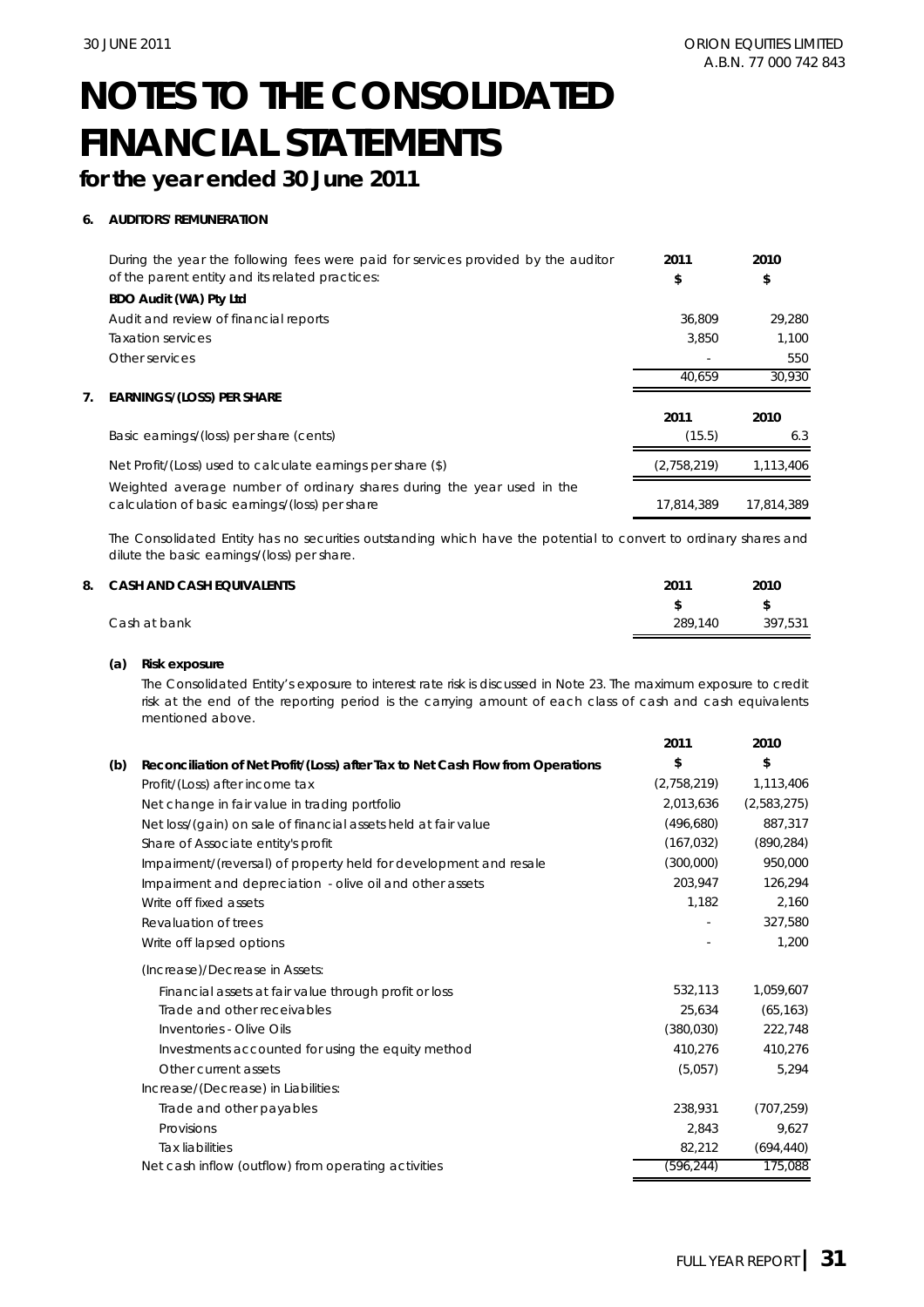## **for the year ended 30 June 2011**

### **6. AUDITORS' REMUNERATION**

|    | During the year the following fees were paid for services provided by the auditor                                        | 2011        | 2010       |
|----|--------------------------------------------------------------------------------------------------------------------------|-------------|------------|
|    | of the parent entity and its related practices:                                                                          | \$          | \$         |
|    | BDO Audit (WA) Pty Ltd                                                                                                   |             |            |
|    | Audit and review of financial reports                                                                                    | 36.809      | 29,280     |
|    | <b>Taxation services</b>                                                                                                 | 3.850       | 1.100      |
|    | Other services                                                                                                           |             | 550        |
|    |                                                                                                                          | 40.659      | 30.930     |
| 7. | <b>EARNINGS/(LOSS) PER SHARE</b>                                                                                         |             |            |
|    |                                                                                                                          | 2011        | 2010       |
|    | Basic earnings/(loss) per share (cents)                                                                                  | (15.5)      | 6.3        |
|    | Net Profit/(Loss) used to calculate earnings per share (\$)                                                              | (2,758,219) | 1.113.406  |
|    | Weighted average number of ordinary shares during the year used in the<br>calculation of basic earnings/(loss) per share | 17.814.389  | 17.814.389 |

The Consolidated Entity has no securities outstanding which have the potential to convert to ordinary shares and dilute the basic earnings/(loss) per share.

| 8. CASH AND CASH EQUIVALENTS | 2011    | 2010    |
|------------------------------|---------|---------|
|                              |         | £.      |
| Cash at bank                 | 289.140 | 397.531 |

#### **(a) Risk exposure**

The Consolidated Entity's exposure to interest rate risk is discussed in Note 23. The maximum exposure to credit risk at the end of the reporting period is the carrying amount of each class of cash and cash equivalents mentioned above.

|     |                                                                                | 2011        | 2010        |
|-----|--------------------------------------------------------------------------------|-------------|-------------|
| (b) | Reconciliation of Net Profit/(Loss) after Tax to Net Cash Flow from Operations | \$          | \$          |
|     | Profit/(Loss) after income tax                                                 | (2,758,219) | 1,113,406   |
|     | Net change in fair value in trading portfolio                                  | 2,013,636   | (2,583,275) |
|     | Net loss/(gain) on sale of financial assets held at fair value                 | (496,680)   | 887,317     |
|     | Share of Associate entity's profit                                             | (167, 032)  | (890, 284)  |
|     | Impairment/(reversal) of property held for development and resale              | (300,000)   | 950,000     |
|     | Impairment and depreciation - olive oil and other assets                       | 203,947     | 126,294     |
|     | Write off fixed assets                                                         | 1,182       | 2,160       |
|     | Revaluation of trees                                                           |             | 327,580     |
|     | Write off lapsed options                                                       |             | 1,200       |
|     | (Increase)/Decrease in Assets:                                                 |             |             |
|     | Financial assets at fair value through profit or loss                          | 532,113     | 1,059,607   |
|     | Trade and other receivables                                                    | 25,634      | (65, 163)   |
|     | Inventories - Olive Oils                                                       | (380, 030)  | 222,748     |
|     | Investments accounted for using the equity method                              | 410,276     | 410,276     |
|     | Other current assets                                                           | (5,057)     | 5,294       |
|     | Increase/(Decrease) in Liabilities:                                            |             |             |
|     | Trade and other payables                                                       | 238,931     | (707, 259)  |
|     | Provisions                                                                     | 2,843       | 9,627       |
|     | <b>Tax liabilities</b>                                                         | 82,212      | (694, 440)  |
|     | Net cash inflow (outflow) from operating activities                            | (596, 244)  | 175,088     |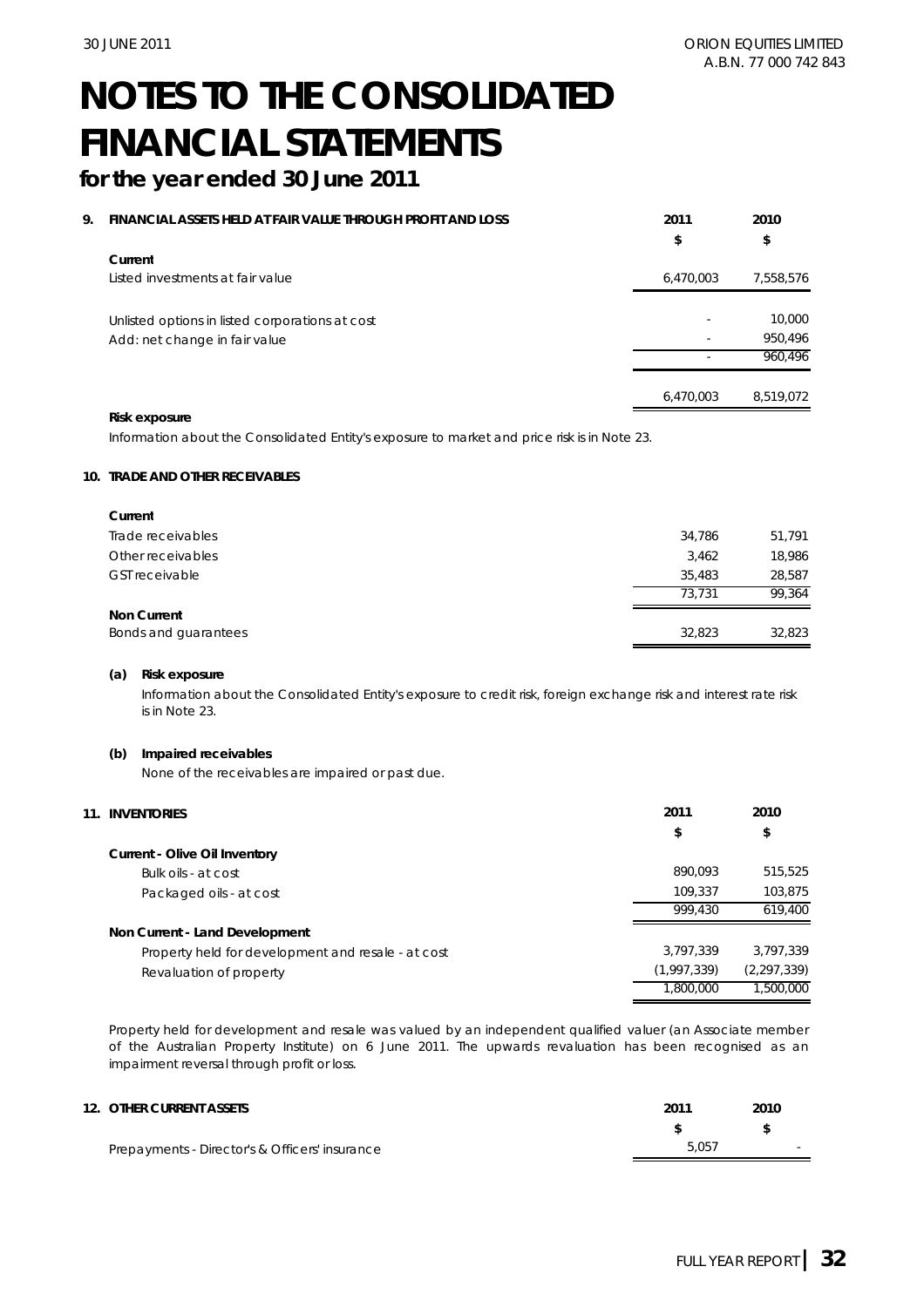**2011 2010**

# **NOTES TO THE CONSOLIDATED FINANCIAL STATEMENTS**

## **for the year ended 30 June 2011**

#### **9. FINANCIAL ASSETS HELD AT FAIR VALUE THROUGH PROFIT AND LOSS**

|                                                                                  | \$                       | \$                |
|----------------------------------------------------------------------------------|--------------------------|-------------------|
| Current<br>Listed investments at fair value                                      | 6,470,003                | 7,558,576         |
| Unlisted options in listed corporations at cost<br>Add: net change in fair value | $\sim$                   | 10,000<br>950,496 |
|                                                                                  | $\overline{\phantom{a}}$ | 960,496           |
|                                                                                  | 6,470,003                | 8,519,072         |

#### **Risk exposure**

Information about the Consolidated Entity's exposure to market and price risk is in Note 23.

#### **10. TRADE AND OTHER RECEIVABLES**

| Current               |        |        |
|-----------------------|--------|--------|
| Trade receivables     | 34,786 | 51,791 |
| Other receivables     | 3,462  | 18,986 |
| <b>GST</b> receivable | 35,483 | 28,587 |
|                       | 73.731 | 99.364 |
| <b>Non Current</b>    |        |        |
| Bonds and quarantees  | 32,823 | 32,823 |

#### **(a) Risk exposure**

Information about the Consolidated Entity's exposure to credit risk, foreign exchange risk and interest rate risk is in Note 23.

#### **(b) Impaired receivables**

None of the receivables are impaired or past due.

| 11. | <b>INVENTORIES</b>                                 | 2011        | 2010          |
|-----|----------------------------------------------------|-------------|---------------|
|     |                                                    | \$          | \$            |
|     | <b>Current - Olive Oil Inventory</b>               |             |               |
|     | Bulk oils - at cost                                | 890.093     | 515,525       |
|     | Packaged oils - at cost                            | 109.337     | 103.875       |
|     |                                                    | 999.430     | 619,400       |
|     | Non Current - Land Development                     |             |               |
|     | Property held for development and resale - at cost | 3,797,339   | 3.797.339     |
|     | Revaluation of property                            | (1,997,339) | (2, 297, 339) |
|     |                                                    | 1,800,000   | 1,500,000     |

Property held for development and resale was valued by an independent qualified valuer (an Associate member of the Australian Property Institute) on 6 June 2011. The upwards revaluation has been recognised as an impairment reversal through profit or loss.

| 12. OTHER CURRENT ASSETS                       | 2011  | 2010   |
|------------------------------------------------|-------|--------|
|                                                |       |        |
| Prepayments - Director's & Officers' insurance | 5.057 | $\sim$ |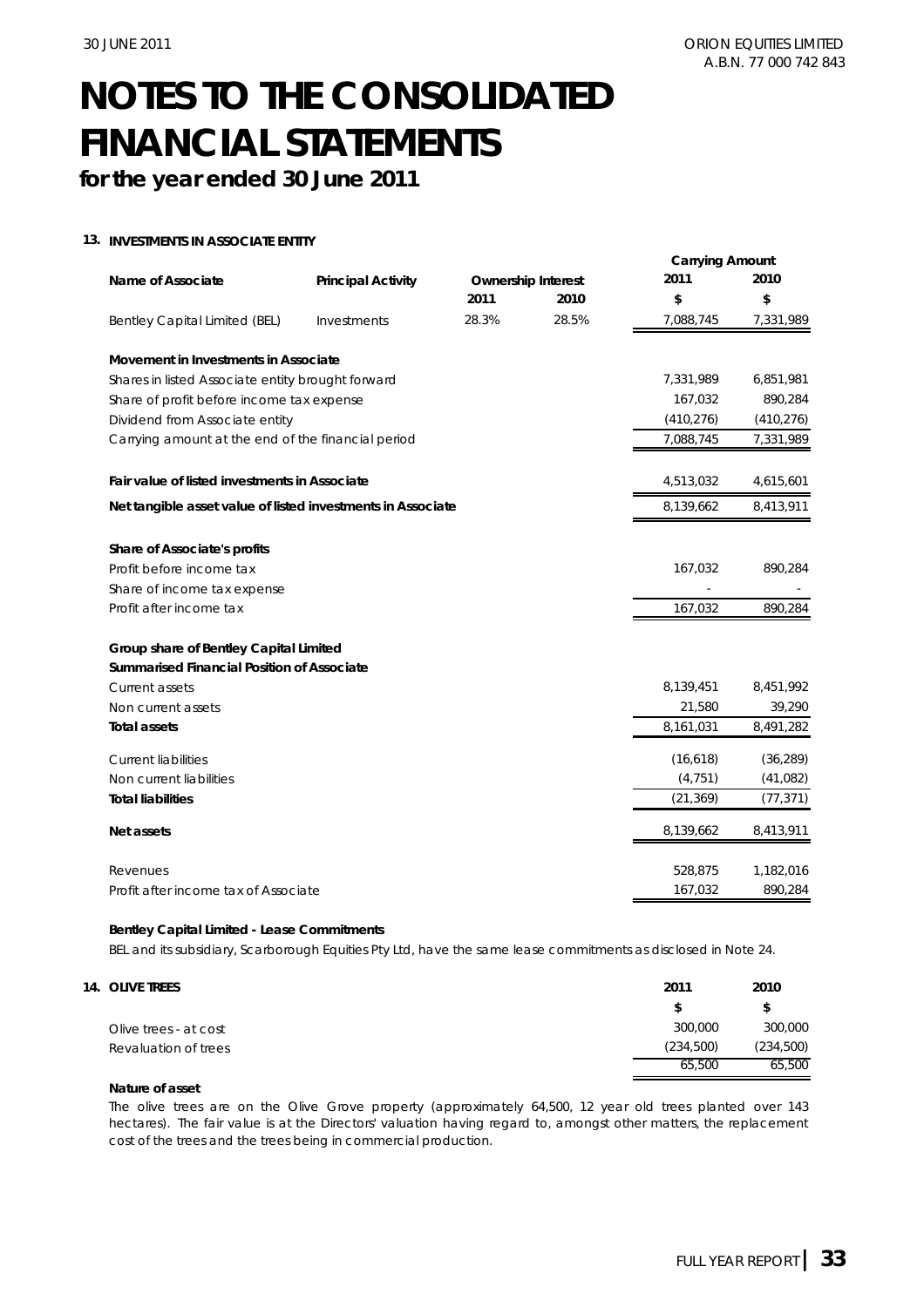**for the year ended 30 June 2011**

#### **13. INVESTMENTS IN ASSOCIATE ENTITY**

|                                                             |                           |       |                           | <b>Carrying Amount</b> |            |
|-------------------------------------------------------------|---------------------------|-------|---------------------------|------------------------|------------|
| Name of Associate                                           | <b>Principal Activity</b> |       | <b>Ownership Interest</b> | 2011                   | 2010       |
|                                                             |                           | 2011  | 2010                      | \$                     | \$         |
| Bentley Capital Limited (BEL)                               | Investments               | 28.3% | 28.5%                     | 7,088,745              | 7,331,989  |
| Movement in Investments in Associate                        |                           |       |                           |                        |            |
| Shares in listed Associate entity brought forward           |                           |       |                           | 7,331,989              | 6,851,981  |
| Share of profit before income tax expense                   |                           |       |                           | 167,032                | 890,284    |
| Dividend from Associate entity                              |                           |       |                           | (410, 276)             | (410, 276) |
| Carrying amount at the end of the financial period          |                           |       |                           | 7,088,745              | 7,331,989  |
| Fair value of listed investments in Associate               |                           |       |                           | 4,513,032              | 4,615,601  |
| Net tangible asset value of listed investments in Associate |                           |       |                           | 8,139,662              | 8,413,911  |
| Share of Associate's profits                                |                           |       |                           |                        |            |
| Profit before income tax                                    |                           |       |                           | 167,032                | 890,284    |
| Share of income tax expense                                 |                           |       |                           |                        |            |
| Profit after income tax                                     |                           |       |                           | 167,032                | 890,284    |
| Group share of Bentley Capital Limited                      |                           |       |                           |                        |            |
| <b>Summarised Financial Position of Associate</b>           |                           |       |                           |                        |            |
| Current assets                                              |                           |       |                           | 8,139,451              | 8,451,992  |
| Non current assets                                          |                           |       |                           | 21,580                 | 39,290     |
| <b>Total assets</b>                                         |                           |       |                           | 8,161,031              | 8,491,282  |
| <b>Current liabilities</b>                                  |                           |       |                           | (16, 618)              | (36, 289)  |
| Non current liabilities                                     |                           |       |                           | (4, 751)               | (41,082)   |
| <b>Total liabilities</b>                                    |                           |       |                           | (21, 369)              | (77, 371)  |
| Net assets                                                  |                           |       |                           | 8,139,662              | 8,413,911  |
| Revenues                                                    |                           |       |                           | 528,875                | 1,182,016  |
| Profit after income tax of Associate                        |                           |       |                           | 167,032                | 890,284    |

#### **Bentley Capital Limited - Lease Commitments**

BEL and its subsidiary, Scarborough Equities Pty Ltd, have the same lease commitments as disclosed in Note 24.

| 14. OLIVE TREES       | 2011      | 2010       |
|-----------------------|-----------|------------|
|                       |           |            |
| Olive trees - at cost | 300,000   | 300,000    |
| Revaluation of trees  | (234,500) | (234, 500) |
|                       | 65,500    | 65,500     |

#### **Nature of asset**

The olive trees are on the Olive Grove property (approximately 64,500, 12 year old trees planted over 143 hectares). The fair value is at the Directors' valuation having regard to, amongst other matters, the replacement cost of the trees and the trees being in commercial production.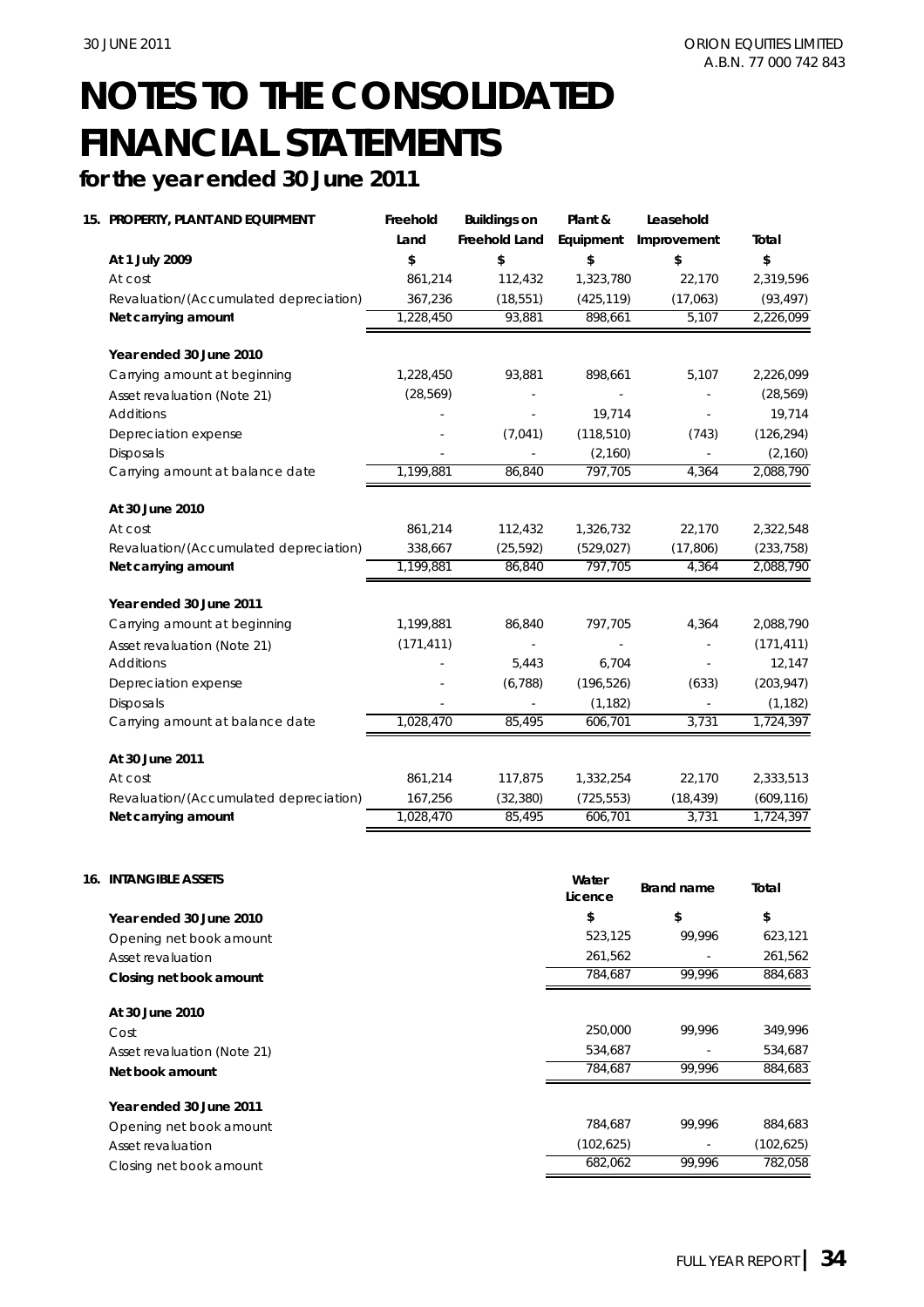## **for the year ended 30 June 2011**

| 15. PROPERTY, PLANT AND EQUIPMENT      | Freehold   | <b>Buildings on</b> | Plant &    | Leasehold   |            |
|----------------------------------------|------------|---------------------|------------|-------------|------------|
|                                        | Land       | Freehold Land       | Equipment  | Improvement | Total      |
| At 1 July 2009                         | \$         | \$                  | \$         | \$          | \$         |
| At cost                                | 861,214    | 112,432             | 1,323,780  | 22,170      | 2,319,596  |
| Revaluation/(Accumulated depreciation) | 367,236    | (18, 551)           | (425, 119) | (17,063)    | (93, 497)  |
| Net carrying amount                    | 1,228,450  | 93,881              | 898,661    | 5,107       | 2,226,099  |
| Year ended 30 June 2010                |            |                     |            |             |            |
| Carrying amount at beginning           | 1,228,450  | 93,881              | 898,661    | 5,107       | 2,226,099  |
| Asset revaluation (Note 21)            | (28, 569)  |                     |            |             | (28, 569)  |
| Additions                              |            |                     | 19,714     |             | 19,714     |
| Depreciation expense                   |            | (7,041)             | (118, 510) | (743)       | (126, 294) |
| <b>Disposals</b>                       |            |                     | (2, 160)   |             | (2,160)    |
| Carrying amount at balance date        | 1,199,881  | 86,840              | 797,705    | 4.364       | 2,088,790  |
| At 30 June 2010                        |            |                     |            |             |            |
| At cost                                | 861,214    | 112,432             | 1,326,732  | 22,170      | 2,322,548  |
| Revaluation/(Accumulated depreciation) | 338,667    | (25, 592)           | (529, 027) | (17, 806)   | (233, 758) |
| Net carrying amount                    | 1,199,881  | 86,840              | 797,705    | 4,364       | 2,088,790  |
| Year ended 30 June 2011                |            |                     |            |             |            |
| Carrying amount at beginning           | 1,199,881  | 86,840              | 797,705    | 4,364       | 2,088,790  |
| Asset revaluation (Note 21)            | (171, 411) |                     |            |             | (171, 411) |
| <b>Additions</b>                       |            | 5,443               | 6,704      |             | 12,147     |
| Depreciation expense                   |            | (6,788)             | (196, 526) | (633)       | (203, 947) |
| <b>Disposals</b>                       |            |                     | (1, 182)   |             | (1, 182)   |
| Carrying amount at balance date        | 1,028,470  | 85,495              | 606,701    | 3,731       | 1,724,397  |
| At 30 June 2011                        |            |                     |            |             |            |
| At cost                                | 861,214    | 117,875             | 1,332,254  | 22,170      | 2,333,513  |
| Revaluation/(Accumulated depreciation) | 167,256    | (32, 380)           | (725, 553) | (18, 439)   | (609, 116) |
| Net carrying amount                    | 1,028,470  | 85,495              | 606,701    | 3,731       | 1,724,397  |

| <b>INTANGIBLE ASSETS</b><br>16. | Water<br>Licence | <b>Brand name</b>        | Total      |
|---------------------------------|------------------|--------------------------|------------|
| Year ended 30 June 2010         | \$               | \$                       | \$         |
| Opening net book amount         | 523,125          | 99,996                   | 623,121    |
| Asset revaluation               | 261,562          |                          | 261,562    |
| Closing net book amount         | 784,687          | 99,996                   | 884,683    |
| At 30 June 2010                 |                  |                          |            |
| Cost                            | 250,000          | 99.996                   | 349,996    |
| Asset revaluation (Note 21)     | 534,687          |                          | 534,687    |
| Net book amount                 | 784.687          | 99.996                   | 884,683    |
| Year ended 30 June 2011         |                  |                          |            |
| Opening net book amount         | 784,687          | 99.996                   | 884,683    |
| Asset revaluation               | (102, 625)       | $\overline{\phantom{a}}$ | (102, 625) |
| Closing net book amount         | 682,062          | 99.996                   | 782,058    |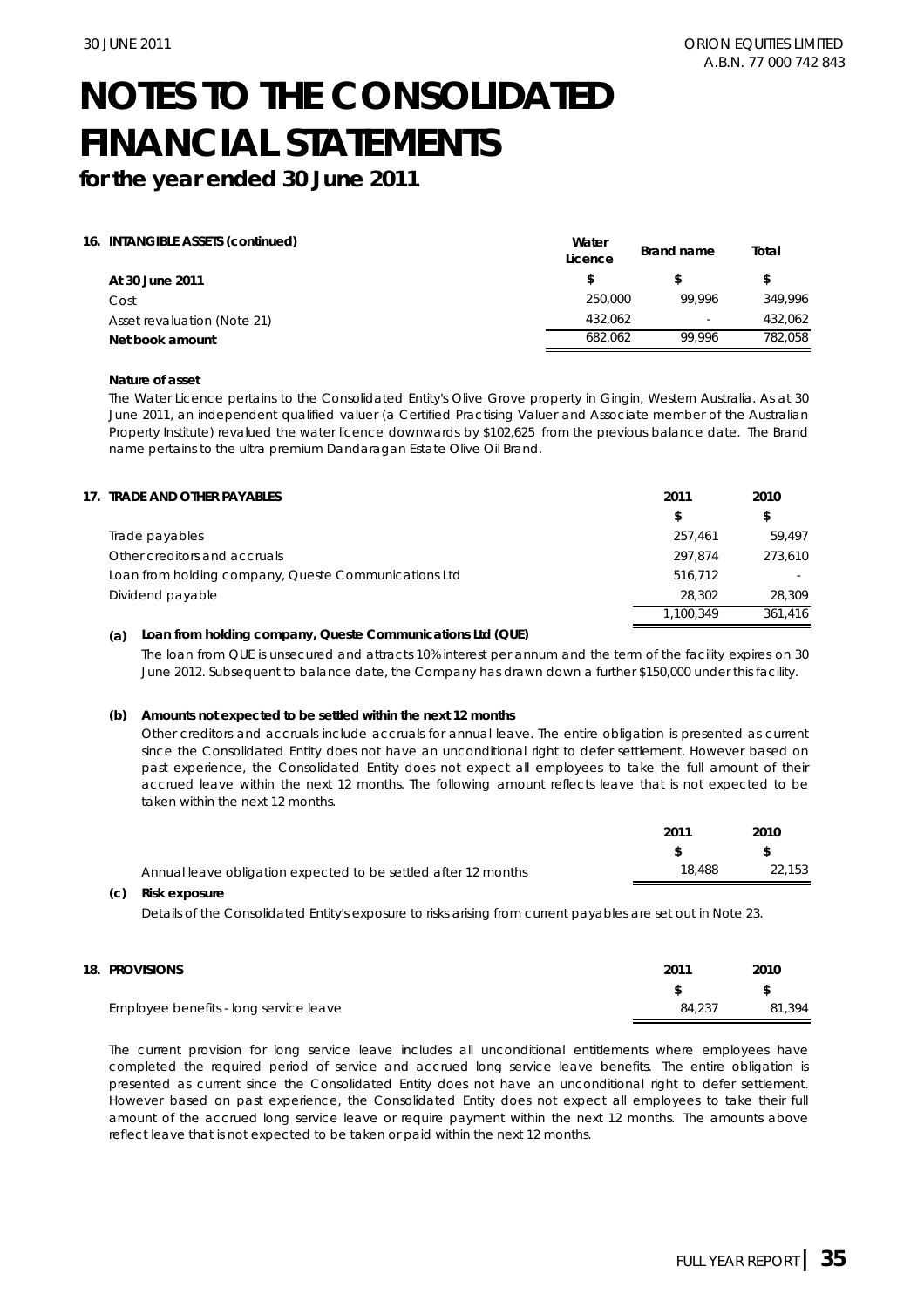**for the year ended 30 June 2011**

|  | 16. INTANGIBLE ASSETS (continued) |  |  |  |
|--|-----------------------------------|--|--|--|
|--|-----------------------------------|--|--|--|

|                             | wuw<br>Licence | Brand name               | Total   |
|-----------------------------|----------------|--------------------------|---------|
| At 30 June 2011             |                |                          | S       |
| Cost                        | 250,000        | 99.996                   | 349.996 |
| Asset revaluation (Note 21) | 432.062        | $\overline{\phantom{0}}$ | 432,062 |
| Net book amount             | 682.062        | 99.996                   | 782.058 |

**Water** 

#### **Nature of asset**

The Water Licence pertains to the Consolidated Entity's Olive Grove property in Gingin, Western Australia. As at 30 June 2011, an independent qualified valuer (a Certified Practising Valuer and Associate member of the Australian Property Institute) revalued the water licence downwards by \$102,625 from the previous balance date. The Brand name pertains to the ultra premium Dandaragan Estate Olive Oil Brand.

| 17. TRADE AND OTHER PAYABLES                         | 2011      | 2010    |
|------------------------------------------------------|-----------|---------|
|                                                      | \$        | \$      |
| Trade payables                                       | 257.461   | 59.497  |
| Other creditors and accruals                         | 297.874   | 273.610 |
| Loan from holding company, Queste Communications Ltd | 516,712   |         |
| Dividend payable                                     | 28.302    | 28,309  |
|                                                      | 1.100.349 | 361.416 |

#### **(a) Loan from holding company, Queste Communications Ltd (QUE)**

The loan from QUE is unsecured and attracts 10% interest per annum and the term of the facility expires on 30 June 2012. Subsequent to balance date, the Company has drawn down a further \$150,000 under this facility.

#### **(b) Amounts not expected to be settled within the next 12 months**

Other creditors and accruals include accruals for annual leave. The entire obligation is presented as current since the Consolidated Entity does not have an unconditional right to defer settlement. However based on past experience, the Consolidated Entity does not expect all employees to take the full amount of their accrued leave within the next 12 months. The following amount reflects leave that is not expected to be taken within the next 12 months.

|                                                                | 2011   | 2010   |
|----------------------------------------------------------------|--------|--------|
|                                                                |        | - \$   |
| Annual leave obligation expected to be settled after 12 months | 18.488 | 22.153 |
|                                                                |        |        |

#### **(c) Risk exposure**

Details of the Consolidated Entity's exposure to risks arising from current payables are set out in Note 23.

**18. PROVISIONS** Employee benefits - long service leave **\$ \$** 84,237 81,394 **2011 2010**

The current provision for long service leave includes all unconditional entitlements where employees have completed the required period of service and accrued long service leave benefits. The entire obligation is presented as current since the Consolidated Entity does not have an unconditional right to defer settlement. However based on past experience, the Consolidated Entity does not expect all employees to take their full amount of the accrued long service leave or require payment within the next 12 months. The amounts above reflect leave that is not expected to be taken or paid within the next 12 months.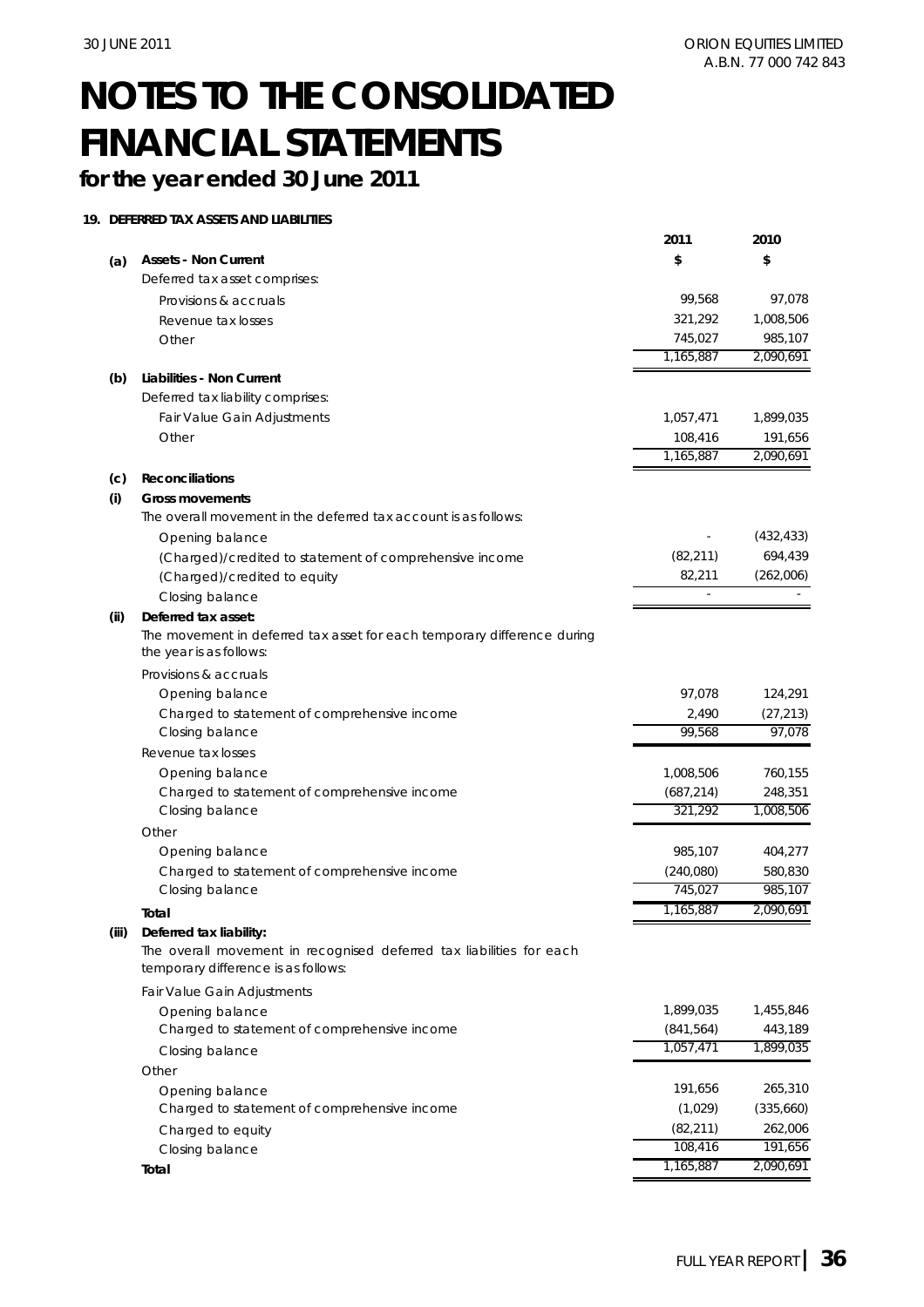## **for the year ended 30 June 2011**

### **19. DEFERRED TAX ASSETS AND LIABILITIES**

|       |                                                                                                    | 2011       | 2010       |
|-------|----------------------------------------------------------------------------------------------------|------------|------------|
| (a)   | <b>Assets - Non Current</b>                                                                        | \$         | \$         |
|       | Deferred tax asset comprises:                                                                      |            |            |
|       | Provisions & accruals                                                                              | 99,568     | 97,078     |
|       | Revenue tax losses                                                                                 | 321,292    | 1,008,506  |
|       | Other                                                                                              | 745,027    | 985,107    |
|       |                                                                                                    | 1,165,887  | 2,090,691  |
| (b)   | Liabilities - Non Current                                                                          |            |            |
|       | Deferred tax liability comprises:                                                                  |            |            |
|       | Fair Value Gain Adjustments                                                                        | 1,057,471  | 1,899,035  |
|       | Other                                                                                              | 108,416    | 191,656    |
|       |                                                                                                    | 1,165,887  | 2,090,691  |
| (c)   | <b>Reconciliations</b>                                                                             |            |            |
| (i)   | <b>Gross movements</b>                                                                             |            |            |
|       | The overall movement in the deferred tax account is as follows:                                    |            |            |
|       | Opening balance                                                                                    |            | (432, 433) |
|       | (Charged)/credited to statement of comprehensive income                                            | (82, 211)  | 694,439    |
|       | (Charged)/credited to equity                                                                       | 82,211     | (262,006)  |
|       | Closing balance                                                                                    |            |            |
| (ii)  | Deferred tax asset:                                                                                |            |            |
|       | The movement in deferred tax asset for each temporary difference during<br>the year is as follows: |            |            |
|       | Provisions & accruals                                                                              |            |            |
|       | Opening balance                                                                                    | 97,078     | 124,291    |
|       | Charged to statement of comprehensive income                                                       | 2,490      | (27, 213)  |
|       | Closing balance                                                                                    | 99,568     | 97,078     |
|       | Revenue tax losses                                                                                 |            |            |
|       | Opening balance                                                                                    | 1,008,506  | 760,155    |
|       | Charged to statement of comprehensive income                                                       | (687, 214) | 248,351    |
|       | Closing balance                                                                                    | 321,292    | 1,008,506  |
|       | Other                                                                                              |            |            |
|       | Opening balance                                                                                    | 985,107    | 404,277    |
|       | Charged to statement of comprehensive income                                                       | (240,080)  | 580,830    |
|       | Closing balance                                                                                    | 745,027    | 985,107    |
|       | Total                                                                                              | 1,165,887  | 2,090,691  |
| (iii) | Deferred tax liability:<br>The overall movement in recognised deferred tax liabilities for each    |            |            |
|       | temporary difference is as follows:                                                                |            |            |
|       | Fair Value Gain Adjustments                                                                        |            |            |
|       | Opening balance                                                                                    | 1,899,035  | 1,455,846  |
|       | Charged to statement of comprehensive income                                                       | (841, 564) | 443,189    |
|       | Closing balance                                                                                    | 1,057,471  | 1,899,035  |
|       | Other                                                                                              |            |            |
|       | Opening balance                                                                                    | 191,656    | 265,310    |
|       | Charged to statement of comprehensive income                                                       | (1,029)    | (335,660)  |
|       | Charged to equity                                                                                  | (82, 211)  | 262,006    |
|       | Closing balance                                                                                    | 108,416    | 191,656    |
|       | Total                                                                                              | 1,165,887  | 2,090,691  |
|       |                                                                                                    |            |            |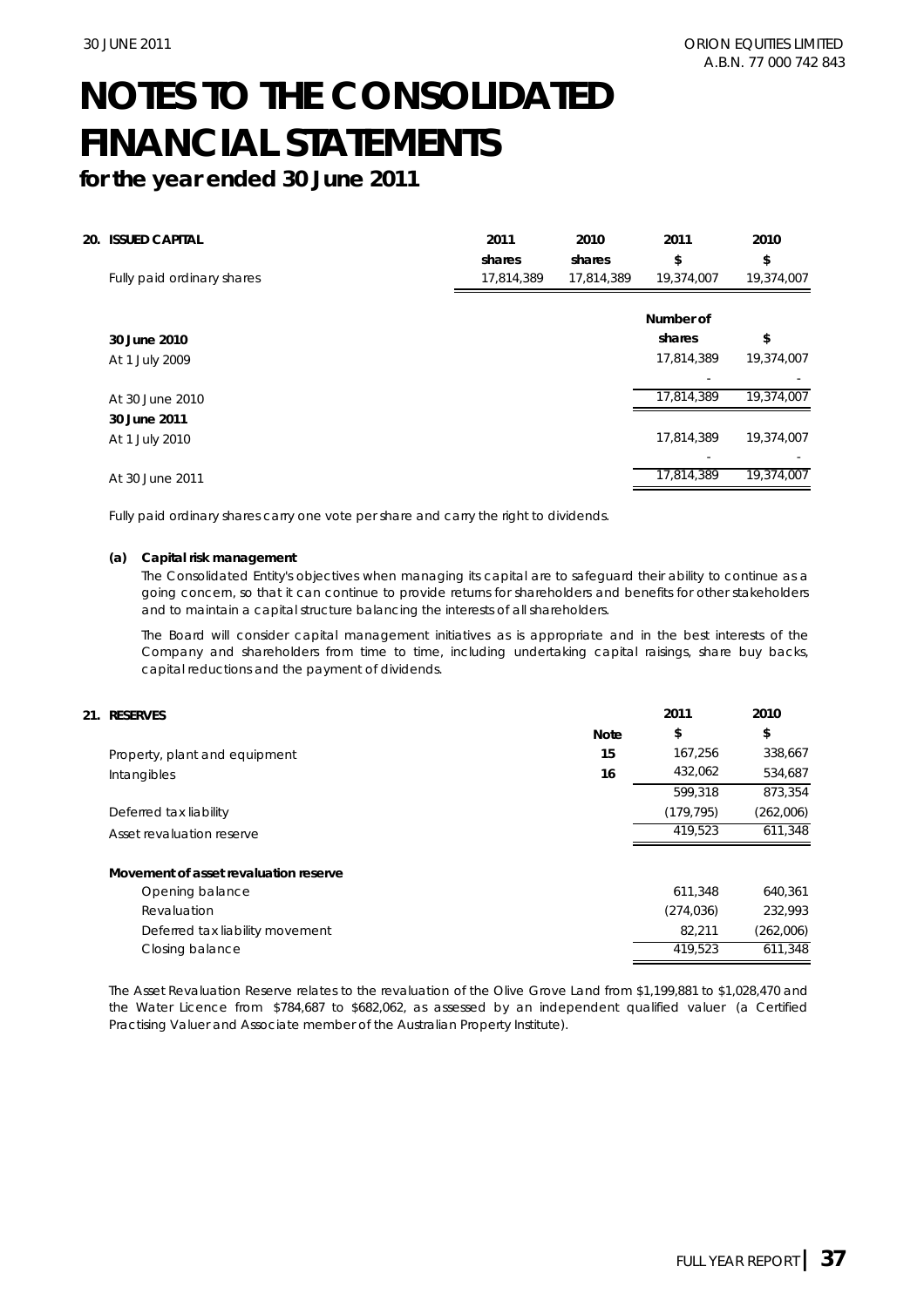**for the year ended 30 June 2011**

| 20. | <b>ISSUED CAPITAL</b>      | 2011<br>shares | 2010<br>shares | 2011<br>\$ | 2010<br>\$ |
|-----|----------------------------|----------------|----------------|------------|------------|
|     | Fully paid ordinary shares | 17,814,389     | 17,814,389     | 19,374,007 | 19,374,007 |
|     |                            |                |                | Number of  |            |
|     | 30 June 2010               |                |                | shares     | \$         |
|     | At 1 July 2009             |                |                | 17,814,389 | 19,374,007 |
|     |                            |                |                |            |            |
|     | At 30 June 2010            |                |                | 17,814,389 | 19,374,007 |
|     | 30 June 2011               |                |                |            |            |
|     | At 1 July 2010             |                |                | 17,814,389 | 19,374,007 |
|     |                            |                |                |            |            |
|     | At 30 June 2011            |                |                | 17,814,389 | 19,374,007 |

Fully paid ordinary shares carry one vote per share and carry the right to dividends.

#### **(a) Capital risk management**

The Consolidated Entity's objectives when managing its capital are to safeguard their ability to continue as a going concern, so that it can continue to provide returns for shareholders and benefits for other stakeholders and to maintain a capital structure balancing the interests of all shareholders.

The Board will consider capital management initiatives as is appropriate and in the best interests of the Company and shareholders from time to time, including undertaking capital raisings, share buy backs, capital reductions and the payment of dividends.

| 21. RESERVES                          |             | 2011       | 2010      |
|---------------------------------------|-------------|------------|-----------|
|                                       | <b>Note</b> | \$         | \$        |
| Property, plant and equipment         | 15          | 167,256    | 338,667   |
| Intangibles                           | 16          | 432,062    | 534,687   |
|                                       |             | 599.318    | 873,354   |
| Deferred tax liability                |             | (179, 795) | (262,006) |
| Asset revaluation reserve             |             | 419.523    | 611,348   |
| Movement of asset revaluation reserve |             |            |           |
| Opening balance                       |             | 611.348    | 640,361   |
| Revaluation                           |             | (274, 036) | 232,993   |
| Deferred tax liability movement       |             | 82,211     | (262,006) |
| Closing balance                       |             | 419.523    | 611,348   |

The Asset Revaluation Reserve relates to the revaluation of the Olive Grove Land from \$1,199,881 to \$1,028,470 and the Water Licence from \$784,687 to \$682,062, as assessed by an independent qualified valuer (a Certified Practising Valuer and Associate member of the Australian Property Institute).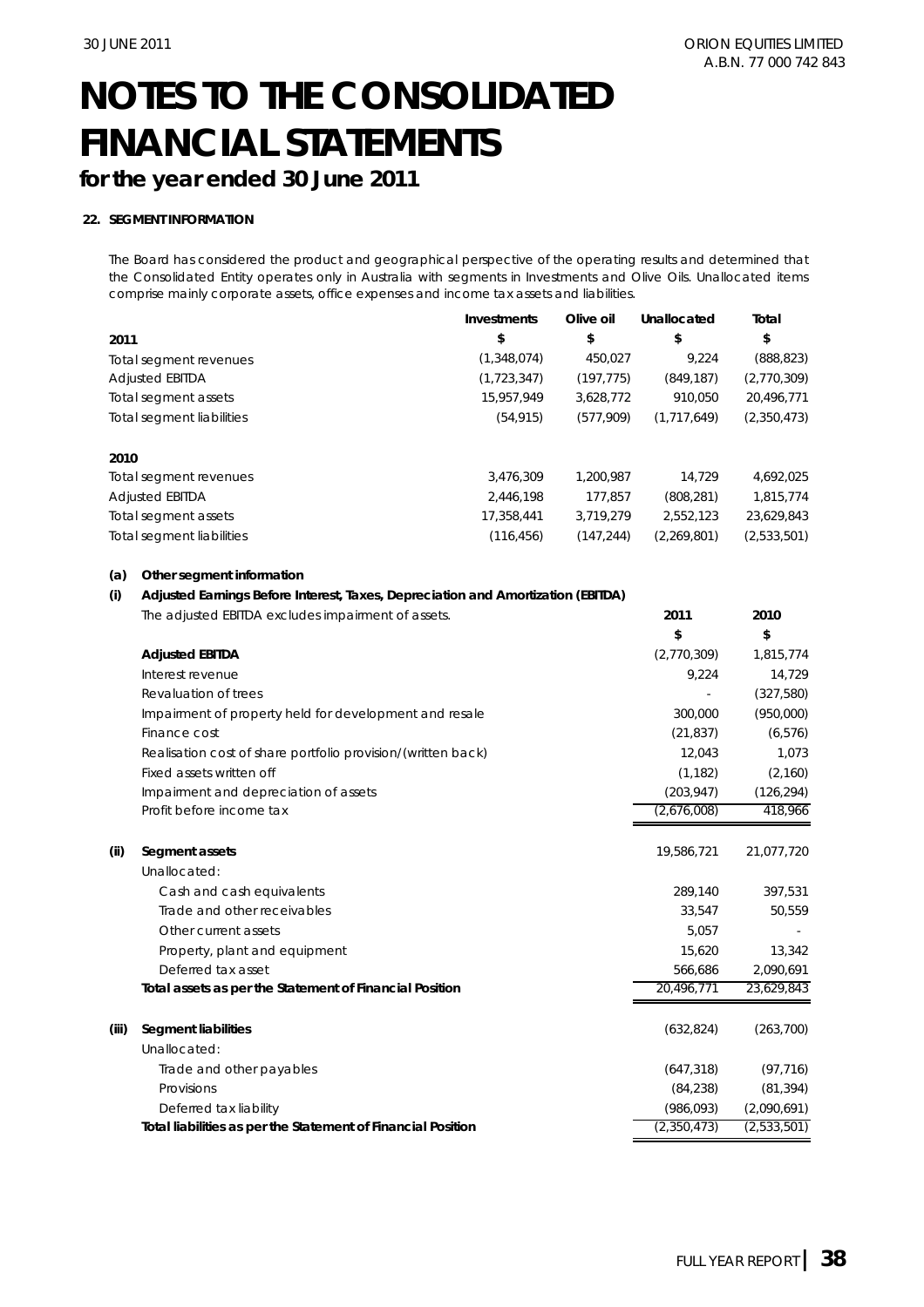## **for the year ended 30 June 2011**

### **22. SEGMENT INFORMATION**

The Board has considered the product and geographical perspective of the operating results and determined that the Consolidated Entity operates only in Australia with segments in Investments and Olive Oils. Unallocated items comprise mainly corporate assets, office expenses and income tax assets and liabilities.

|                                  | Investments | Olive oil  | Unallocated | Total       |
|----------------------------------|-------------|------------|-------------|-------------|
| 2011                             | \$          | \$         | \$          | \$          |
| Total segment revenues           | (1,348,074) | 450,027    | 9.224       | (888, 823)  |
| <b>Adjusted EBITDA</b>           | (1,723,347) | (197, 775) | (849, 187)  | (2,770,309) |
| Total segment assets             | 15.957.949  | 3,628,772  | 910.050     | 20,496,771  |
| <b>Total segment liabilities</b> | (54, 915)   | (577,909)  | (1,717,649) | (2,350,473) |
| 2010                             |             |            |             |             |
| Total segment revenues           | 3,476,309   | 1.200.987  | 14.729      | 4,692,025   |
| <b>Adjusted EBITDA</b>           | 2,446,198   | 177.857    | (808, 281)  | 1,815,774   |
| Total segment assets             | 17.358.441  | 3,719,279  | 2,552,123   | 23,629,843  |
| <b>Total segment liabilities</b> | (116, 456)  | (147.244)  | (2,269,801) | (2,533,501) |

#### **(a) Other segment information**

#### **(i) Adjusted Earnings Before Interest, Taxes, Depreciation and Amortization (EBITDA)**

|       | The adjusted EBITDA excludes impairment of assets.           | 2011        | 2010        |
|-------|--------------------------------------------------------------|-------------|-------------|
|       |                                                              | \$          | \$          |
|       | <b>Adjusted EBITDA</b>                                       | (2,770,309) | 1,815,774   |
|       | Interest revenue                                             | 9,224       | 14,729      |
|       | Revaluation of trees                                         |             | (327,580)   |
|       | Impairment of property held for development and resale       | 300,000     | (950,000)   |
|       | Finance cost                                                 | (21, 837)   | (6, 576)    |
|       | Realisation cost of share portfolio provision/(written back) | 12,043      | 1,073       |
|       | Fixed assets written off                                     | (1, 182)    | (2,160)     |
|       | Impairment and depreciation of assets                        | (203, 947)  | (126, 294)  |
|       | Profit before income tax                                     | (2,676,008) | 418,966     |
| (ii)  | Segment assets                                               | 19,586,721  | 21,077,720  |
|       | Unallocated:                                                 |             |             |
|       | Cash and cash equivalents                                    | 289,140     | 397,531     |
|       | Trade and other receivables                                  | 33,547      | 50,559      |
|       | Other current assets                                         | 5.057       |             |
|       | Property, plant and equipment                                | 15,620      | 13,342      |
|       | Deferred tax asset                                           | 566,686     | 2,090,691   |
|       | Total assets as per the Statement of Financial Position      | 20,496,771  | 23,629,843  |
| (iii) | <b>Segment liabilities</b>                                   | (632, 824)  | (263, 700)  |
|       | Unallocated:                                                 |             |             |
|       | Trade and other payables                                     | (647, 318)  | (97, 716)   |
|       | Provisions                                                   | (84, 238)   | (81, 394)   |
|       | Deferred tax liability                                       | (986, 093)  | (2,090,691) |
|       | Total liabilities as per the Statement of Financial Position | (2,350,473) | (2,533,501) |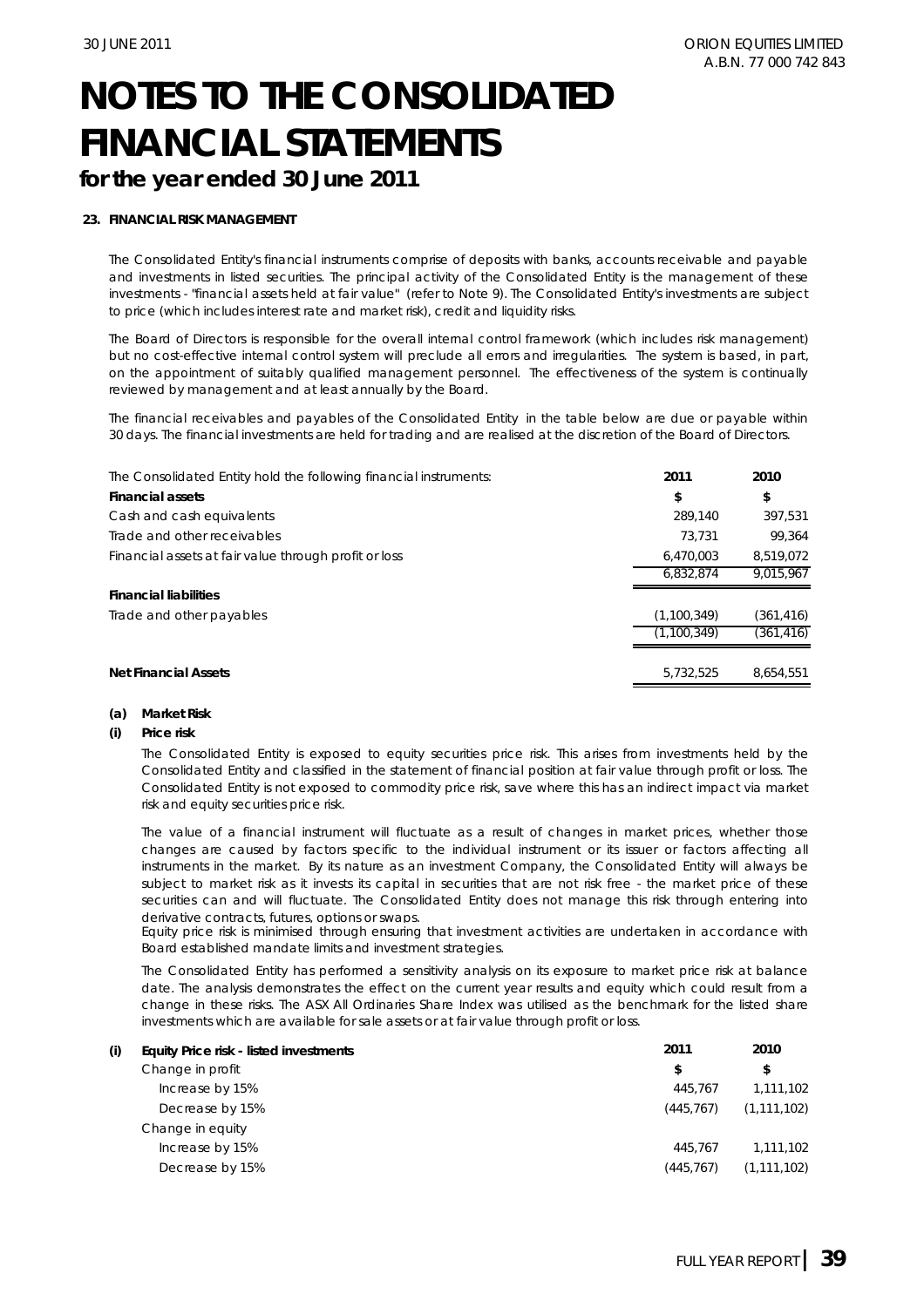### **23. FINANCIAL RISK MANAGEMENT**

The Consolidated Entity's financial instruments comprise of deposits with banks, accounts receivable and payable and investments in listed securities. The principal activity of the Consolidated Entity is the management of these investments - "financial assets held at fair value" (refer to Note 9). The Consolidated Entity's investments are subject to price (which includes interest rate and market risk), credit and liquidity risks.

The Board of Directors is responsible for the overall internal control framework (which includes risk management) but no cost-effective internal control system will preclude all errors and irregularities. The system is based, in part, on the appointment of suitably qualified management personnel. The effectiveness of the system is continually reviewed by management and at least annually by the Board.

The financial receivables and payables of the Consolidated Entity in the table below are due or payable within 30 days. The financial investments are held for trading and are realised at the discretion of the Board of Directors.

| The Consolidated Entity hold the following financial instruments: | 2011        | 2010       |
|-------------------------------------------------------------------|-------------|------------|
| <b>Financial assets</b>                                           | \$          | \$         |
| Cash and cash equivalents                                         | 289.140     | 397.531    |
| Trade and other receivables                                       | 73.731      | 99.364     |
| Financial assets at fair value through profit or loss             | 6.470.003   | 8,519,072  |
|                                                                   | 6.832.874   | 9.015.967  |
| <b>Financial liabilities</b>                                      |             |            |
| Trade and other payables                                          | (1,100,349) | (361,416)  |
|                                                                   | (1,100,349) | (361, 416) |
|                                                                   |             |            |
| <b>Net Financial Assets</b>                                       | 5.732.525   | 8.654.551  |

#### **(a) Market Risk**

#### **(i) Price risk**

The Consolidated Entity is exposed to equity securities price risk. This arises from investments held by the Consolidated Entity and classified in the statement of financial position at fair value through profit or loss. The Consolidated Entity is not exposed to commodity price risk, save where this has an indirect impact via market risk and equity securities price risk.

The value of a financial instrument will fluctuate as a result of changes in market prices, whether those changes are caused by factors specific to the individual instrument or its issuer or factors affecting all instruments in the market. By its nature as an investment Company, the Consolidated Entity will always be subject to market risk as it invests its capital in securities that are not risk free - the market price of these securities can and will fluctuate. The Consolidated Entity does not manage this risk through entering into derivative contracts, futures, options or swaps.

Equity price risk is minimised through ensuring that investment activities are undertaken in accordance with Board established mandate limits and investment strategies.

The Consolidated Entity has performed a sensitivity analysis on its exposure to market price risk at balance date. The analysis demonstrates the effect on the current year results and equity which could result from a change in these risks. The ASX All Ordinaries Share Index was utilised as the benchmark for the listed share investments which are available for sale assets or at fair value through profit or loss.

| (i) | Equity Price risk - listed investments | 2011      | 2010          |
|-----|----------------------------------------|-----------|---------------|
|     | Change in profit                       | S         | \$            |
|     | Increase by 15%                        | 445.767   | 1,111,102     |
|     | Decrease by 15%                        | (445.767) | (1, 111, 102) |
|     | Change in equity                       |           |               |
|     | Increase by 15%                        | 445.767   | 1.111.102     |
|     | Decrease by 15%                        | (445.767) | (1, 111, 102) |
|     |                                        |           |               |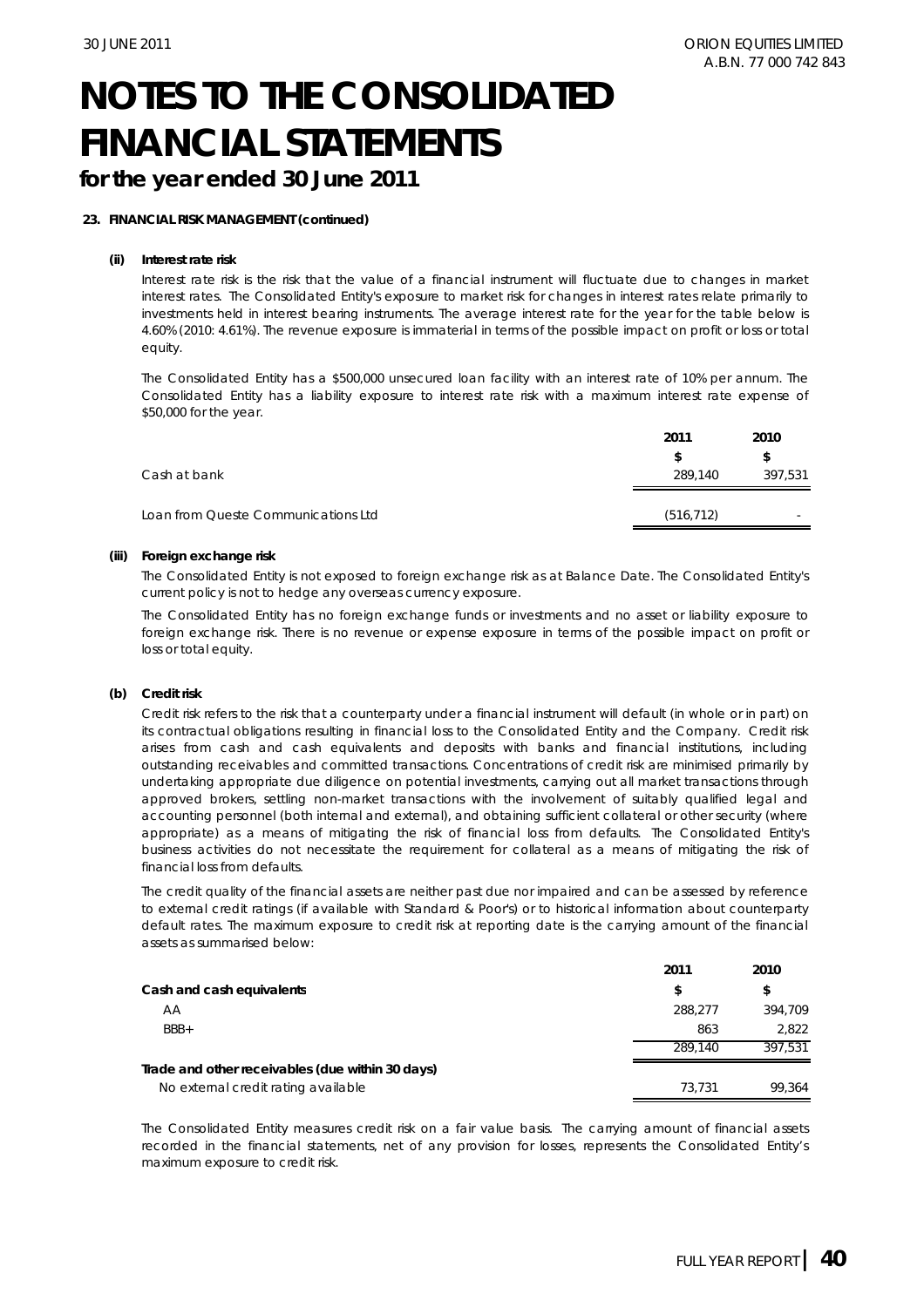## **for the year ended 30 June 2011**

#### **23. FINANCIAL RISK MANAGEMENT (continued)**

#### **(ii) Interest rate risk**

Interest rate risk is the risk that the value of a financial instrument will fluctuate due to changes in market interest rates. The Consolidated Entity's exposure to market risk for changes in interest rates relate primarily to investments held in interest bearing instruments. The average interest rate for the year for the table below is 4.60% (2010: 4.61%). The revenue exposure is immaterial in terms of the possible impact on profit or loss or total equity.

The Consolidated Entity has a \$500,000 unsecured loan facility with an interest rate of 10% per annum. The Consolidated Entity has a liability exposure to interest rate risk with a maximum interest rate expense of \$50,000 for the year.

|                                     | 2011       | 2010    |
|-------------------------------------|------------|---------|
|                                     |            |         |
| Cash at bank                        | 289.140    | 397,531 |
| Loan from Queste Communications Ltd | (516, 712) | -       |
|                                     |            |         |

#### **(iii) Foreign exchange risk**

The Consolidated Entity is not exposed to foreign exchange risk as at Balance Date. The Consolidated Entity's current policy is not to hedge any overseas currency exposure.

The Consolidated Entity has no foreign exchange funds or investments and no asset or liability exposure to foreign exchange risk. There is no revenue or expense exposure in terms of the possible impact on profit or loss or total equity.

#### **(b) Credit risk**

Credit risk refers to the risk that a counterparty under a financial instrument will default (in whole or in part) on its contractual obligations resulting in financial loss to the Consolidated Entity and the Company. Credit risk arises from cash and cash equivalents and deposits with banks and financial institutions, including outstanding receivables and committed transactions. Concentrations of credit risk are minimised primarily by undertaking appropriate due diligence on potential investments, carrying out all market transactions through approved brokers, settling non-market transactions with the involvement of suitably qualified legal and accounting personnel (both internal and external), and obtaining sufficient collateral or other security (where appropriate) as a means of mitigating the risk of financial loss from defaults. The Consolidated Entity's business activities do not necessitate the requirement for collateral as a means of mitigating the risk of financial loss from defaults.

The credit quality of the financial assets are neither past due nor impaired and can be assessed by reference to external credit ratings (if available with Standard & Poor's) or to historical information about counterparty default rates. The maximum exposure to credit risk at reporting date is the carrying amount of the financial assets as summarised below:

|                                                  | 2011    | 2010    |
|--------------------------------------------------|---------|---------|
| Cash and cash equivalents                        | S       | \$      |
| AA                                               | 288.277 | 394,709 |
| $BBB+$                                           | 863     | 2.822   |
|                                                  | 289.140 | 397.531 |
| Trade and other receivables (due within 30 days) |         |         |
| No external credit rating available              | 73.731  | 99.364  |

The Consolidated Entity measures credit risk on a fair value basis. The carrying amount of financial assets recorded in the financial statements, net of any provision for losses, represents the Consolidated Entity's maximum exposure to credit risk.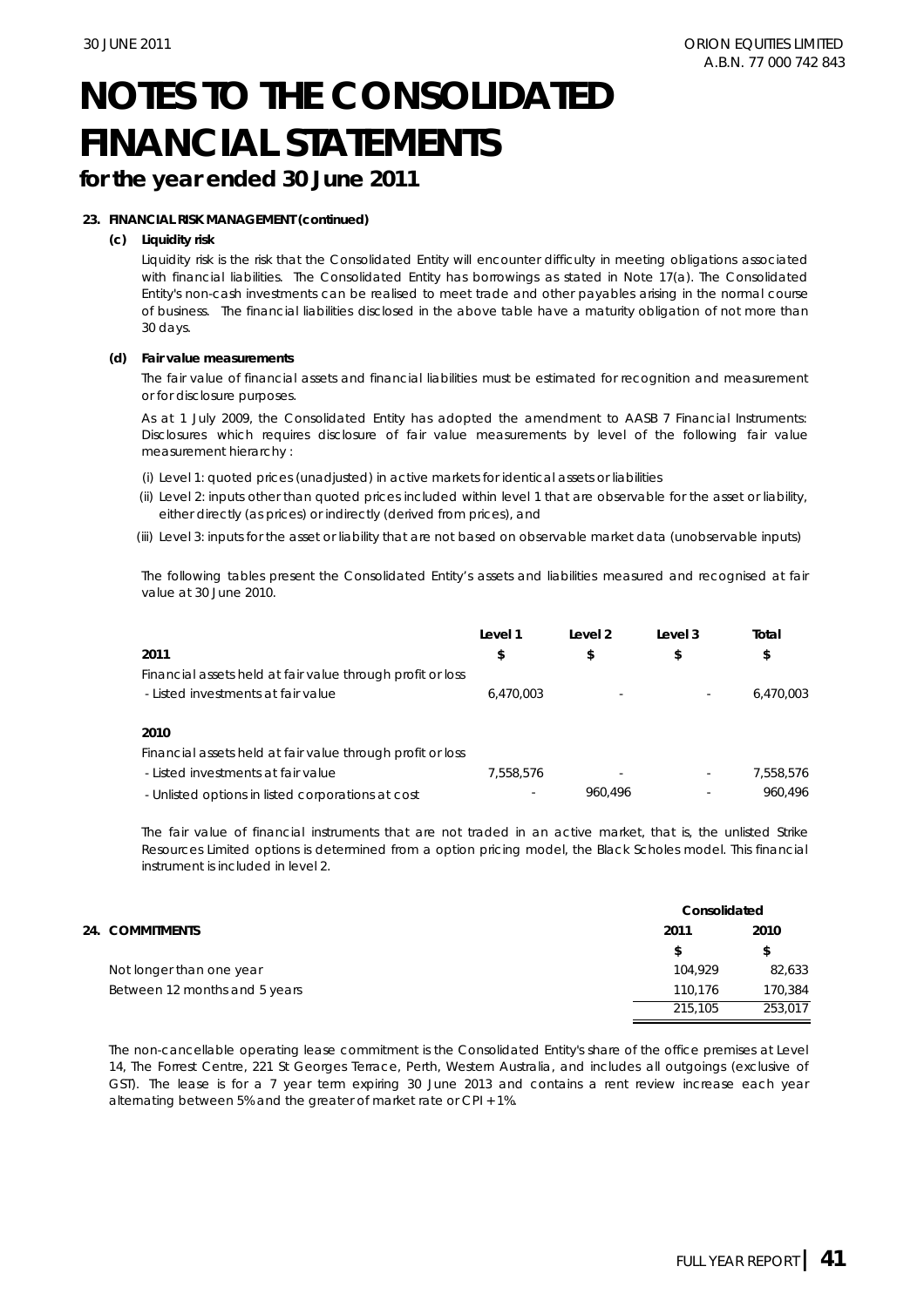## **for the year ended 30 June 2011**

#### **23. FINANCIAL RISK MANAGEMENT (continued)**

#### **(c) Liquidity risk**

Liquidity risk is the risk that the Consolidated Entity will encounter difficulty in meeting obligations associated with financial liabilities. The Consolidated Entity has borrowings as stated in Note 17(a). The Consolidated Entity's non-cash investments can be realised to meet trade and other payables arising in the normal course of business. The financial liabilities disclosed in the above table have a maturity obligation of not more than 30 days.

#### **(d) Fair value measurements**

The fair value of financial assets and financial liabilities must be estimated for recognition and measurement or for disclosure purposes.

As at 1 July 2009, the Consolidated Entity has adopted the amendment to *AASB 7 Financial Instruments: Disclosures* which requires disclosure of fair value measurements by level of the following fair value measurement hierarchy :

(i) Level 1: quoted prices (unadjusted) in active markets for identical assets or liabilities

- (ii) Level 2: inputs other than quoted prices included within level 1 that are observable for the asset or liability, either directly (as prices) or indirectly (derived from prices), and
- (iii) Level 3: inputs for the asset or liability that are not based on observable market data (unobservable inputs)

The following tables present the Consolidated Entity's assets and liabilities measured and recognised at fair value at 30 June 2010.

|                                                            | Level 1   | Level 2 | Level 3                  | Total     |
|------------------------------------------------------------|-----------|---------|--------------------------|-----------|
| 2011                                                       | \$        | \$      | \$                       | \$        |
| Financial assets held at fair value through profit or loss |           |         |                          |           |
| - Listed investments at fair value                         | 6,470,003 |         | $\overline{\phantom{a}}$ | 6,470,003 |
|                                                            |           |         |                          |           |
| 2010                                                       |           |         |                          |           |
| Financial assets held at fair value through profit or loss |           |         |                          |           |
| - Listed investments at fair value                         | 7,558,576 |         | $\overline{\phantom{a}}$ | 7.558.576 |
| - Unlisted options in listed corporations at cost          |           | 960.496 |                          | 960.496   |

The fair value of financial instruments that are not traded in an active market, that is, the unlisted Strike Resources Limited options is determined from a option pricing model, the Black Scholes model. This financial instrument is included in level 2.

|                               | Consolidated |         |  |
|-------------------------------|--------------|---------|--|
| 24. COMMITMENTS               | 2011         | 2010    |  |
|                               | S            | \$      |  |
| Not longer than one year      | 104.929      | 82,633  |  |
| Between 12 months and 5 years | 110.176      | 170,384 |  |
|                               | 215,105      | 253.017 |  |

The non-cancellable operating lease commitment is the Consolidated Entity's share of the office premises at Level 14, The Forrest Centre, 221 St Georges Terrace, Perth, Western Australia, and includes all outgoings (exclusive of GST). The lease is for a 7 year term expiring 30 June 2013 and contains a rent review increase each year alternating between 5% and the greater of market rate or CPI + 1%.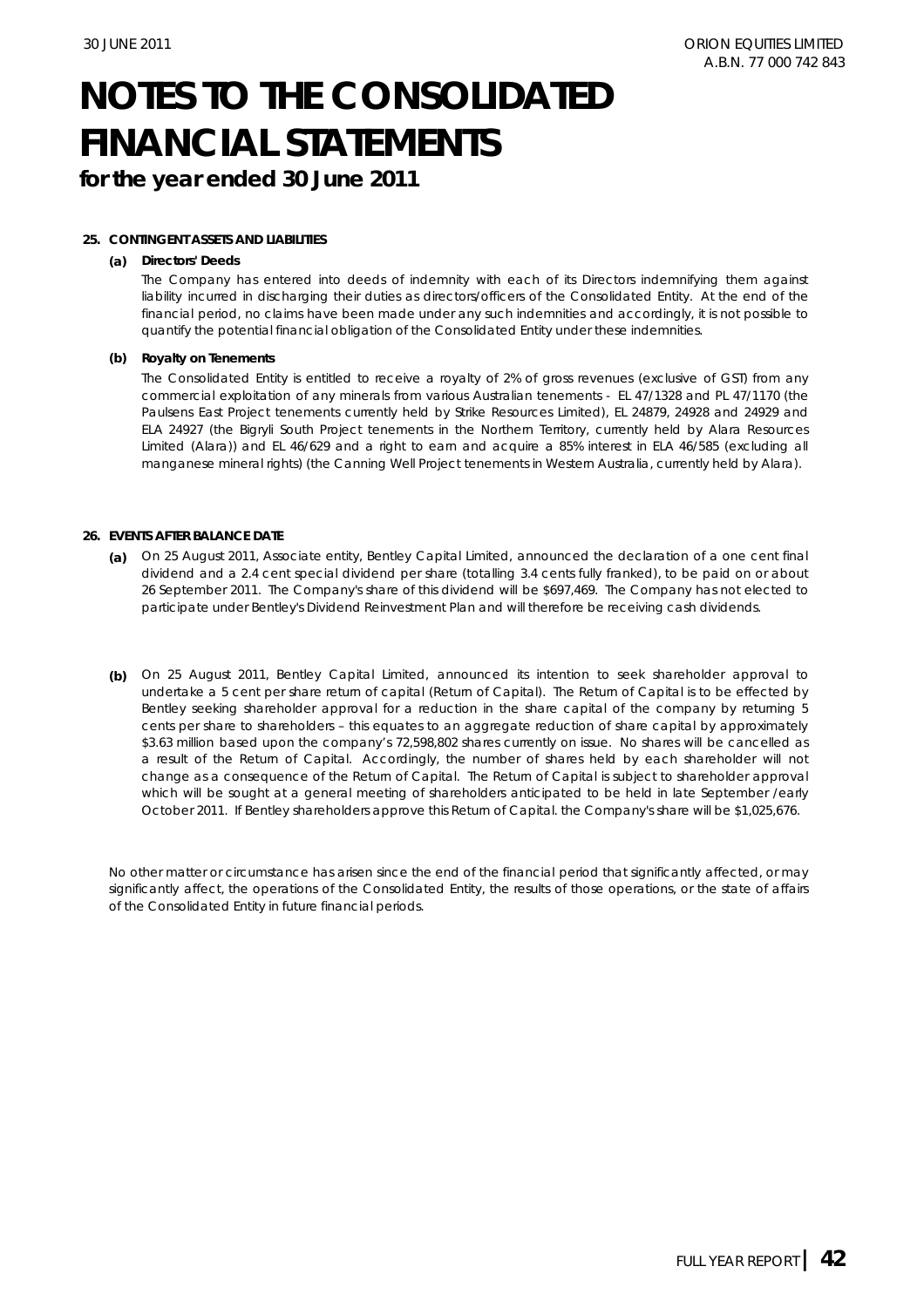**for the year ended 30 June 2011**

#### **25. CONTINGENT ASSETS AND LIABILITIES**

#### **(a) Directors' Deeds**

The Company has entered into deeds of indemnity with each of its Directors indemnifying them against liability incurred in discharging their duties as directors/officers of the Consolidated Entity. At the end of the financial period, no claims have been made under any such indemnities and accordingly, it is not possible to quantify the potential financial obligation of the Consolidated Entity under these indemnities.

#### **(b) Royalty on Tenements**

The Consolidated Entity is entitled to receive a royalty of 2% of gross revenues (exclusive of GST) from any commercial exploitation of any minerals from various Australian tenements - EL 47/1328 and PL 47/1170 (the Paulsens East Project tenements currently held by Strike Resources Limited), EL 24879, 24928 and 24929 and ELA 24927 (the Bigryli South Project tenements in the Northern Territory, currently held by Alara Resources Limited (Alara)) and EL 46/629 and a right to earn and acquire a 85% interest in ELA 46/585 (excluding all manganese mineral rights) (the Canning Well Project tenements in Western Australia, currently held by Alara).

#### **26. EVENTS AFTER BALANCE DATE**

- **(a)**  On 25 August 2011, Associate entity, Bentley Capital Limited, announced the declaration of a one cent final dividend and a 2.4 cent special dividend per share (totalling 3.4 cents fully franked), to be paid on or about 26 September 2011. The Company's share of this dividend will be \$697,469. The Company has not elected to participate under Bentley's Dividend Reinvestment Plan and will therefore be receiving cash dividends.
- **(b)**  On 25 August 2011, Bentley Capital Limited, announced its intention to seek shareholder approval to undertake a 5 cent per share return of capital (Return of Capital). The Return of Capital is to be effected by Bentley seeking shareholder approval for a reduction in the share capital of the company by returning 5 cents per share to shareholders – this equates to an aggregate reduction of share capital by approximately \$3.63 million based upon the company's 72,598,802 shares currently on issue. No shares will be cancelled as a result of the Return of Capital. Accordingly, the number of shares held by each shareholder will not change as a consequence of the Return of Capital. The Return of Capital is subject to shareholder approval which will be sought at a general meeting of shareholders anticipated to be held in late September /early October 2011. If Bentley shareholders approve this Return of Capital. the Company's share will be \$1,025,676.

No other matter or circumstance has arisen since the end of the financial period that significantly affected, or may significantly affect, the operations of the Consolidated Entity, the results of those operations, or the state of affairs of the Consolidated Entity in future financial periods.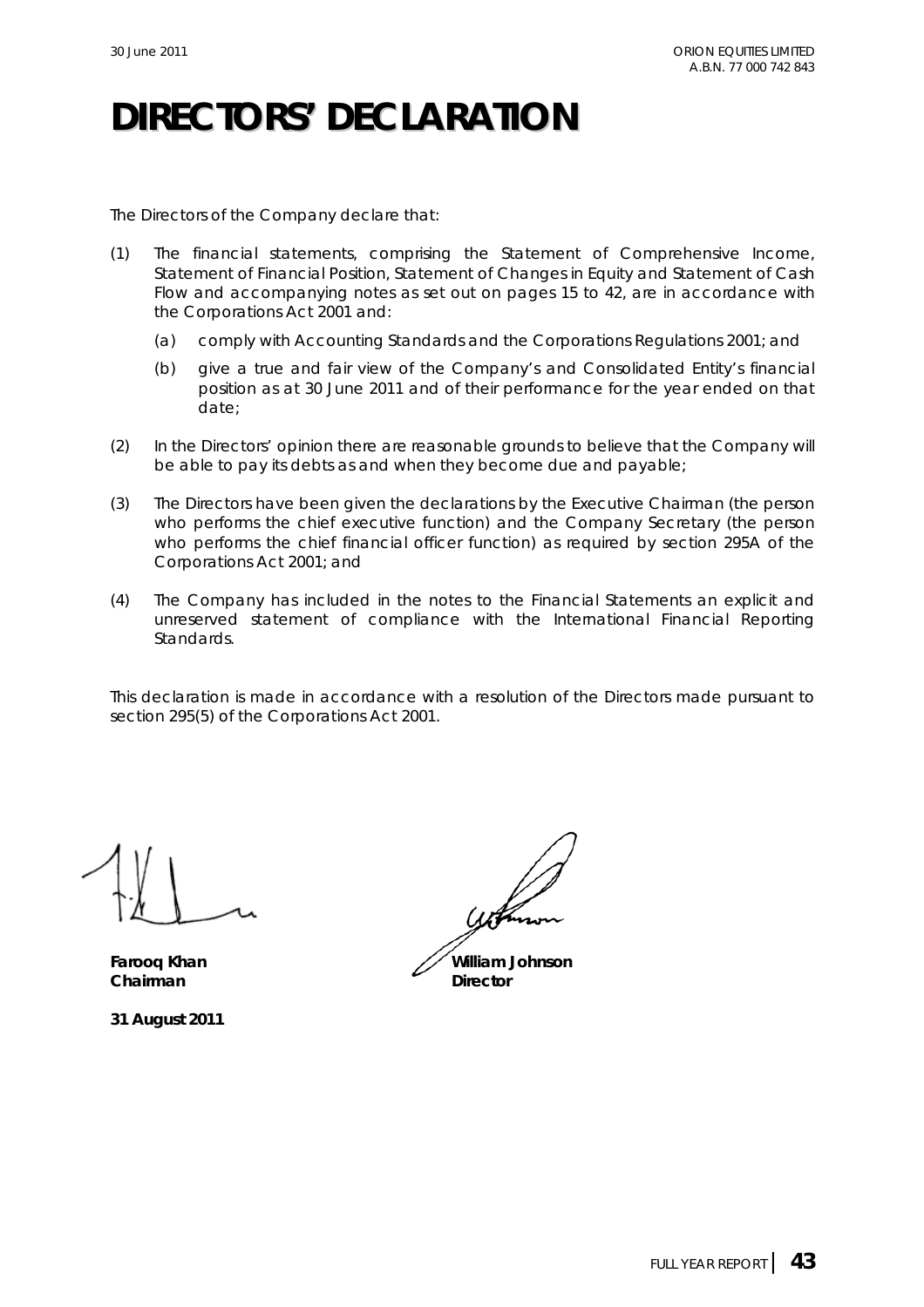## **DIRECTORS' DECLARATION**

The Directors of the Company declare that:

- (1) The financial statements, comprising the Statement of Comprehensive Income, Statement of Financial Position, Statement of Changes in Equity and Statement of Cash Flow and accompanying notes as set out on pages 15 to 42, are in accordance with the *Corporations Act 2001* and:
	- (a) comply with Accounting Standards and the Corporations Regulations 2001; and
	- (b) give a true and fair view of the Company's and Consolidated Entity's financial position as at 30 June 2011 and of their performance for the year ended on that date;
- (2) In the Directors' opinion there are reasonable grounds to believe that the Company will be able to pay its debts as and when they become due and payable;
- (3) The Directors have been given the declarations by the Executive Chairman (the person who performs the chief executive function) and the Company Secretary (the person who performs the chief financial officer function) as required by section 295A of the *Corporations Act 2001*; and
- (4) The Company has included in the notes to the Financial Statements an explicit and unreserved statement of compliance with the International Financial Reporting Standards.

This declaration is made in accordance with a resolution of the Directors made pursuant to section 295(5) of the *Corporations Act 2001*.

**Chairman** Director

**31 August 2011**

**Faroog Khan William Johnson**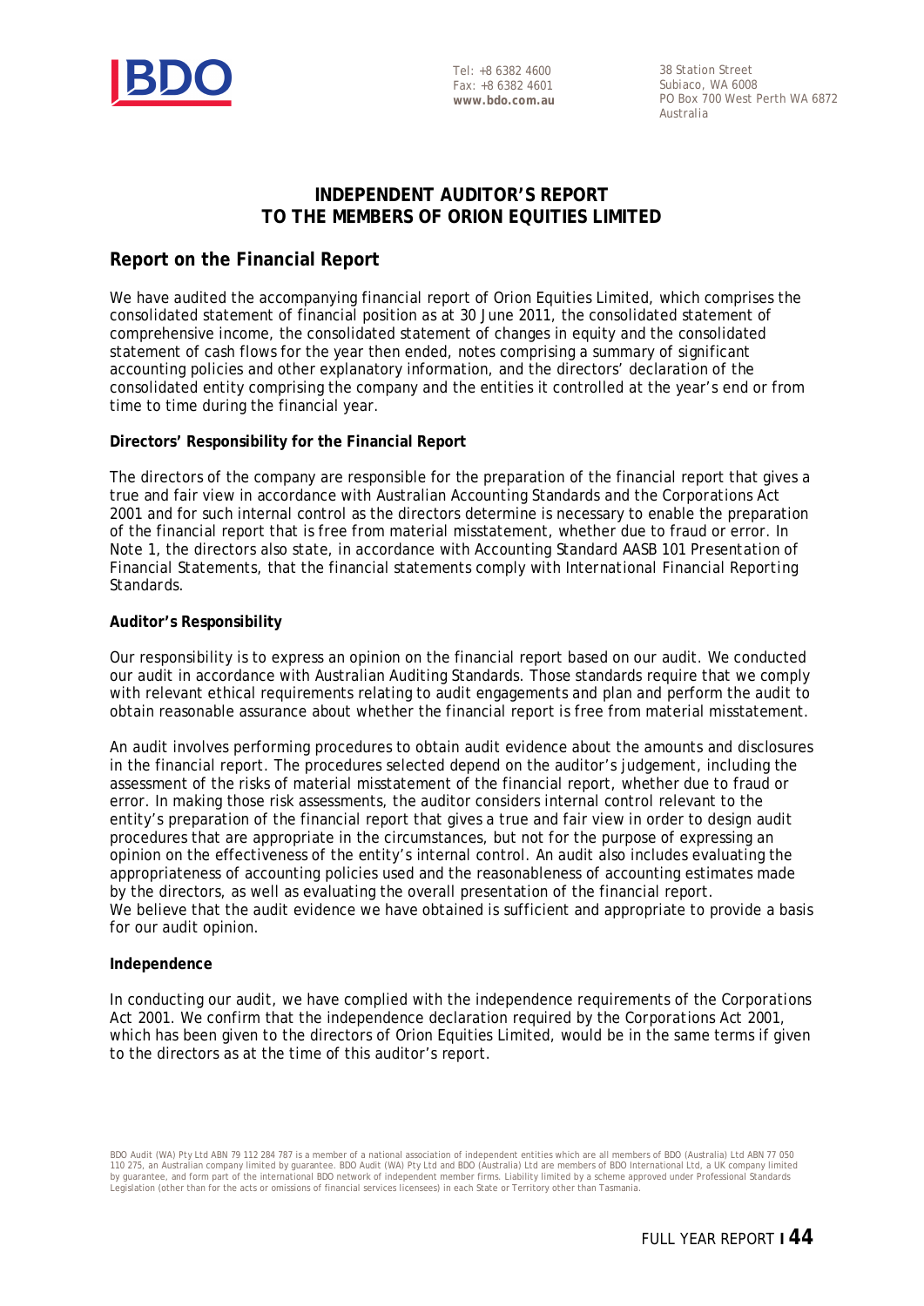

Tel: +8 6382 4600 Fax: +8 6382 4601 **www.bdo.com.au** 

38 Station Street Subiaco, WA 6008 PO Box 700 West Perth WA 6872 Australia

## **INDEPENDENT AUDITOR'S REPORT TO THE MEMBERS OF ORION EQUITIES LIMITED**

## **Report on the Financial Report**

We have audited the accompanying financial report of Orion Equities Limited, which comprises the consolidated statement of financial position as at 30 June 2011, the consolidated statement of comprehensive income, the consolidated statement of changes in equity and the consolidated statement of cash flows for the year then ended, notes comprising a summary of significant accounting policies and other explanatory information, and the directors' declaration of the consolidated entity comprising the company and the entities it controlled at the year's end or from time to time during the financial year.

### **Directors' Responsibility for the Financial Report**

The directors of the company are responsible for the preparation of the financial report that gives a true and fair view in accordance with Australian Accounting Standards and the *Corporations Act 2001* and for such internal control as the directors determine is necessary to enable the preparation of the financial report that is free from material misstatement, whether due to fraud or error. In Note 1, the directors also state, in accordance with Accounting Standard AASB 101 *Presentation of Financial Statements*, that the financial statements comply with *International Financial Reporting Standards*.

### **Auditor's Responsibility**

Our responsibility is to express an opinion on the financial report based on our audit. We conducted our audit in accordance with Australian Auditing Standards. Those standards require that we comply with relevant ethical requirements relating to audit engagements and plan and perform the audit to obtain reasonable assurance about whether the financial report is free from material misstatement.

An audit involves performing procedures to obtain audit evidence about the amounts and disclosures in the financial report. The procedures selected depend on the auditor's judgement, including the assessment of the risks of material misstatement of the financial report, whether due to fraud or error. In making those risk assessments, the auditor considers internal control relevant to the entity's preparation of the financial report that gives a true and fair view in order to design audit procedures that are appropriate in the circumstances, but not for the purpose of expressing an opinion on the effectiveness of the entity's internal control. An audit also includes evaluating the appropriateness of accounting policies used and the reasonableness of accounting estimates made by the directors, as well as evaluating the overall presentation of the financial report. We believe that the audit evidence we have obtained is sufficient and appropriate to provide a basis for our audit opinion.

#### **Independence**

In conducting our audit, we have complied with the independence requirements of the *Corporations Act 2001*. We confirm that the independence declaration required by the *Corporations Act 2001*, which has been given to the directors of Orion Equities Limited, would be in the same terms if given to the directors as at the time of this auditor's report.

BDO Audit (WA) Pty Ltd ABN 79 112 284 787 is a member of a national association of independent entities which are all members of BDO (Australia) Ltd ABN 77 050 110 275, an Australian company limited by guarantee. BDO Audit (WA) Pty Ltd and BDO (Australia) Ltd are members of BDO International Ltd, a UK company limited<br>by guarantee, and form part of the international BDO network of Legislation (other than for the acts or omissions of financial services licensees) in each State or Territory other than Tasmania.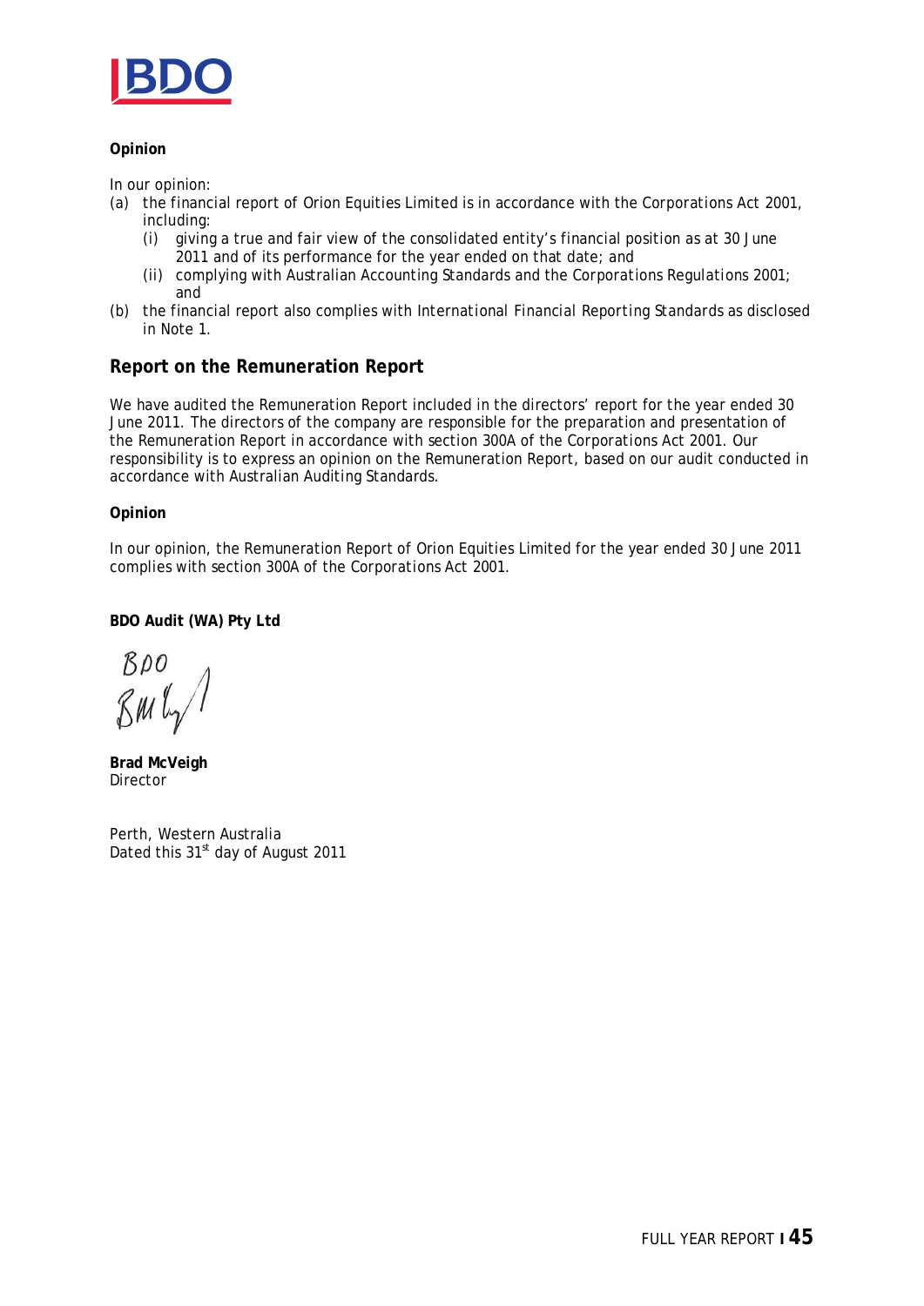

### **Opinion**

In our opinion:

- (a) the financial report of Orion Equities Limited is in accordance with the *Corporations Act 2001*, including:
	- (i) giving a true and fair view of the consolidated entity's financial position as at 30 June 2011 and of its performance for the year ended on that date; and
	- (ii) complying with Australian Accounting Standards and the *Corporations Regulations 2001*; and
- (b) the financial report also complies with *International Financial Reporting Standards* as disclosed in Note 1.

## **Report on the Remuneration Report**

We have audited the Remuneration Report included in the directors' report for the year ended 30 June 2011. The directors of the company are responsible for the preparation and presentation of the Remuneration Report in accordance with section 300A of the *Corporations Act 2001*. Our responsibility is to express an opinion on the Remuneration Report, based on our audit conducted in accordance with Australian Auditing Standards.

**Opinion** 

In our opinion, the Remuneration Report of Orion Equities Limited for the year ended 30 June 2011 complies with section 300A of the *Corporations Act 2001*.

**BDO Audit (WA) Pty Ltd** 

 $BDO$ BML,

**Brad McVeigh** Director

Perth, Western Australia Dated this 31<sup>st</sup> day of August 2011